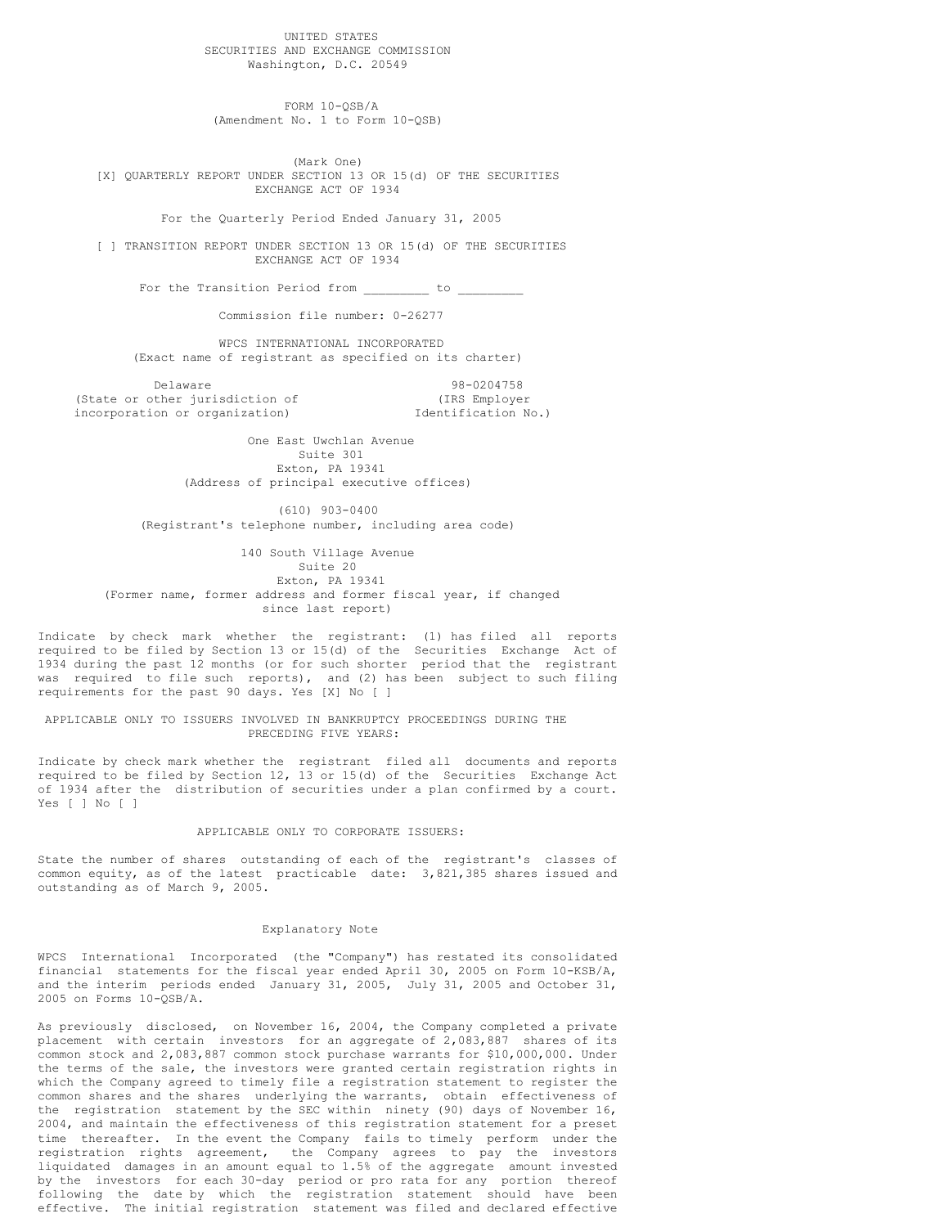UNITED STATES SECURITIES AND EXCHANGE COMMISSION Washington, D.C. 20549

FORM 10-QSB/A (Amendment No. 1 to Form 10-QSB)

(Mark One) [X] QUARTERLY REPORT UNDER SECTION 13 OR 15(d) OF THE SECURITIES EXCHANGE ACT OF 1934

For the Quarterly Period Ended January 31, 2005

[ ] TRANSITION REPORT UNDER SECTION 13 OR 15(d) OF THE SECURITIES EXCHANGE ACT OF 1934

For the Transition Period from \_\_\_\_\_\_\_\_\_\_ to \_\_\_\_\_\_

Commission file number: 0-26277

WPCS INTERNATIONAL INCORPORATED (Exact name of registrant as specified on its charter)

Delaware 98-0204758 (State or other jurisdiction of (IRS Employer incorporation or organization) and incorporation No.)

> One East Uwchlan Avenue Suite 301 Exton, PA 19341 (Address of principal executive offices)

(610) 903-0400 (Registrant's telephone number, including area code)

## 140 South Village Avenue Suite 20 Exton, PA 19341 (Former name, former address and former fiscal year, if changed since last report)

Indicate by check mark whether the registrant: (1) has filed all reports required to be filed by Section 13 or 15(d) of the Securities Exchange Act of 1934 during the past 12 months (or for such shorter period that the registrant was required to file such reports), and (2) has been subject to such filing requirements for the past 90 days. Yes [X] No [ ]

APPLICABLE ONLY TO ISSUERS INVOLVED IN BANKRUPTCY PROCEEDINGS DURING THE PRECEDING FIVE YEARS:

Indicate by check mark whether the registrant filed all documents and reports required to be filed by Section 12, 13 or 15(d) of the Securities Exchange Act of 1934 after the distribution of securities under a plan confirmed by a court. Yes [ ] No [ ]

## APPLICABLE ONLY TO CORPORATE ISSUERS:

State the number of shares outstanding of each of the registrant's classes of common equity, as of the latest practicable date: 3,821,385 shares issued and outstanding as of March 9, 2005.

## Explanatory Note

WPCS International Incorporated (the "Company") has restated its consolidated financial statements for the fiscal year ended April 30, 2005 on Form 10-KSB/A, and the interim periods ended January 31, 2005, July 31, 2005 and October 31, 2005 on Forms 10-QSB/A.

As previously disclosed, on November 16, 2004, the Company completed a private placement with certain investors for an aggregate of 2,083,887 shares of its common stock and 2,083,887 common stock purchase warrants for \$10,000,000. Under the terms of the sale, the investors were granted certain registration rights in which the Company agreed to timely file a registration statement to register the common shares and the shares underlying the warrants, obtain effectiveness of the registration statement by the SEC within ninety (90) days of November 16, 2004, and maintain the effectiveness of this registration statement for a preset time thereafter. In the event the Company fails to timely perform under the registration rights agreement, the Company agrees to pay the investors liquidated damages in an amount equal to 1.5% of the aggregate amount invested by the investors for each 30-day period or pro rata for any portion thereof following the date by which the registration statement should have been effective. The initial registration statement was filed and declared effective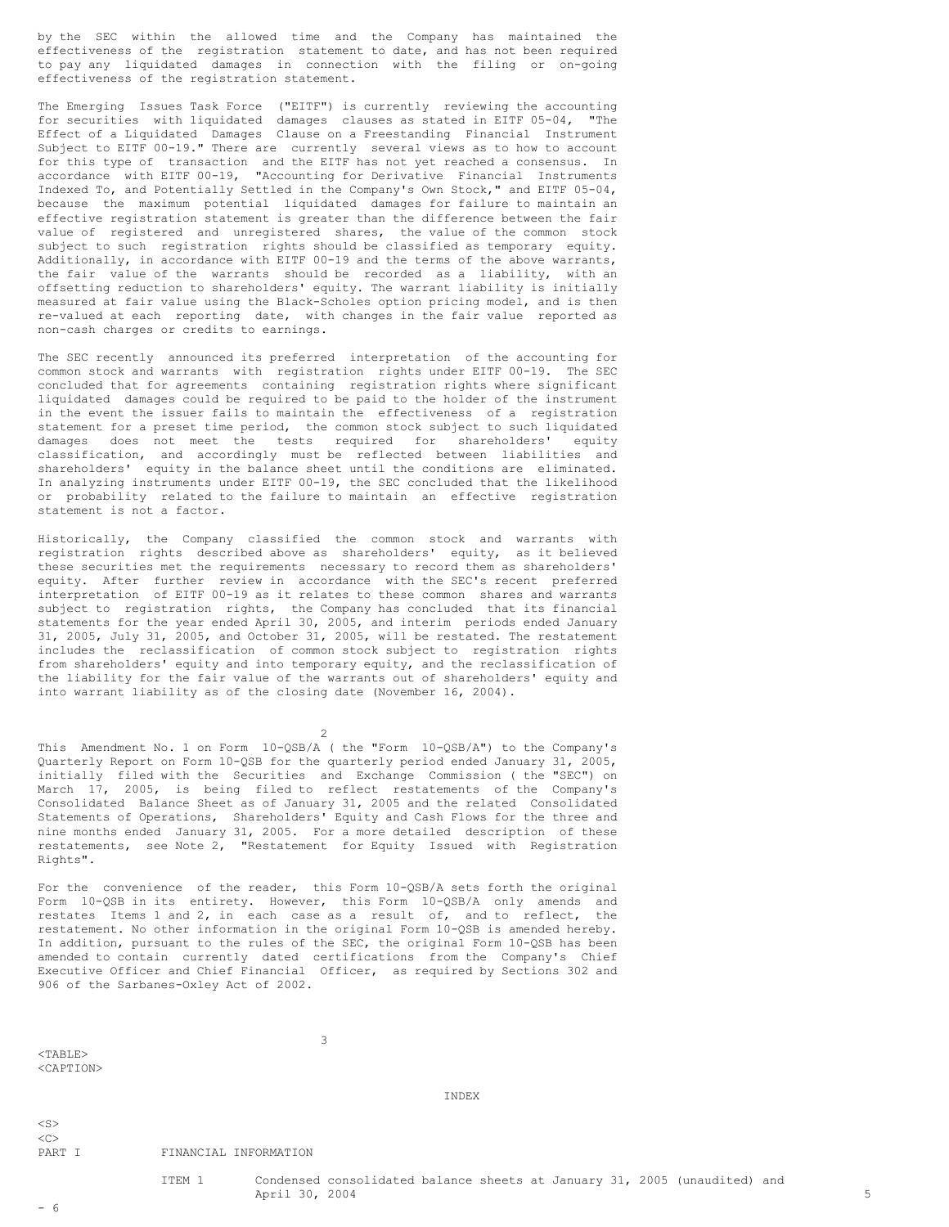by the SEC within the allowed time and the Company has maintained the effectiveness of the registration statement to date, and has not been required to pay any liquidated damages in connection with the filing or on-going effectiveness of the registration statement.

The Emerging Issues Task Force ("EITF") is currently reviewing the accounting for securities with liquidated damages clauses as stated in EITF 05-04, "The Effect of a Liquidated Damages Clause on a Freestanding Financial Instrument Subject to EITF 00-19." There are currently several views as to how to account for this type of transaction and the EITF has not yet reached a consensus. In accordance with EITF 00-19, "Accounting for Derivative Financial Instruments Indexed To, and Potentially Settled in the Company's Own Stock," and EITF 05-04, because the maximum potential liquidated damages for failure to maintain an effective registration statement is greater than the difference between the fair value of registered and unregistered shares, the value of the common stock subject to such registration rights should be classified as temporary equity. Additionally, in accordance with EITF 00-19 and the terms of the above warrants, the fair value of the warrants should be recorded as a liability, with an offsetting reduction to shareholders' equity. The warrant liability is initially measured at fair value using the Black-Scholes option pricing model, and is then re-valued at each reporting date, with changes in the fair value reported as non-cash charges or credits to earnings.

The SEC recently announced its preferred interpretation of the accounting for common stock and warrants with registration rights under EITF 00-19. The SEC concluded that for agreements containing registration rights where significant liquidated damages could be required to be paid to the holder of the instrument in the event the issuer fails to maintain the effectiveness of a registration statement for a preset time period, the common stock subject to such liquidated damages does not meet the tests required for shareholders' equity classification, and accordingly must be reflected between liabilities and shareholders' equity in the balance sheet until the conditions are eliminated. In analyzing instruments under EITF 00-19, the SEC concluded that the likelihood or probability related to the failure to maintain an effective registration statement is not a factor.

Historically, the Company classified the common stock and warrants with registration rights described above as shareholders' equity, as it believed these securities met the requirements necessary to record them as shareholders' equity. After further review in accordance with the SEC's recent preferred interpretation of EITF 00-19 as it relates to these common shares and warrants subject to registration rights, the Company has concluded that its financial statements for the year ended April 30, 2005, and interim periods ended January 31, 2005, July 31, 2005, and October 31, 2005, will be restated. The restatement includes the reclassification of common stock subject to registration rights from shareholders' equity and into temporary equity, and the reclassification of the liability for the fair value of the warrants out of shareholders' equity and into warrant liability as of the closing date (November 16, 2004).

This Amendment No. 1 on Form 10-QSB/A ( the "Form 10-QSB/A") to the Company's Quarterly Report on Form 10-QSB for the quarterly period ended January 31, 2005, initially filed with the Securities and Exchange Commission ( the "SEC") on March 17, 2005, is being filed to reflect restatements of the Company's Consolidated Balance Sheet as of January 31, 2005 and the related Consolidated Statements of Operations, Shareholders' Equity and Cash Flows for the three and nine months ended January 31, 2005. For a more detailed description of these restatements, see Note 2, "Restatement for Equity Issued with Registration Rights".

2

For the convenience of the reader, this Form 10-QSB/A sets forth the original Form 10-QSB in its entirety. However, this Form 10-QSB/A only amends and restates Items 1 and 2, in each case as a result of, and to reflect, the restatement. No other information in the original Form 10-QSB is amended hereby. In addition, pursuant to the rules of the SEC, the original Form 10-QSB has been amended to contain currently dated certifications from the Company's Chief Executive Officer and Chief Financial Officer, as required by Sections 302 and 906 of the Sarbanes-Oxley Act of 2002.

3

 $<$ TABLE> <CAPTION>

INDEX

PART I FINANCIAL INFORMATION

 $<$ S $>$  $\langle C \rangle$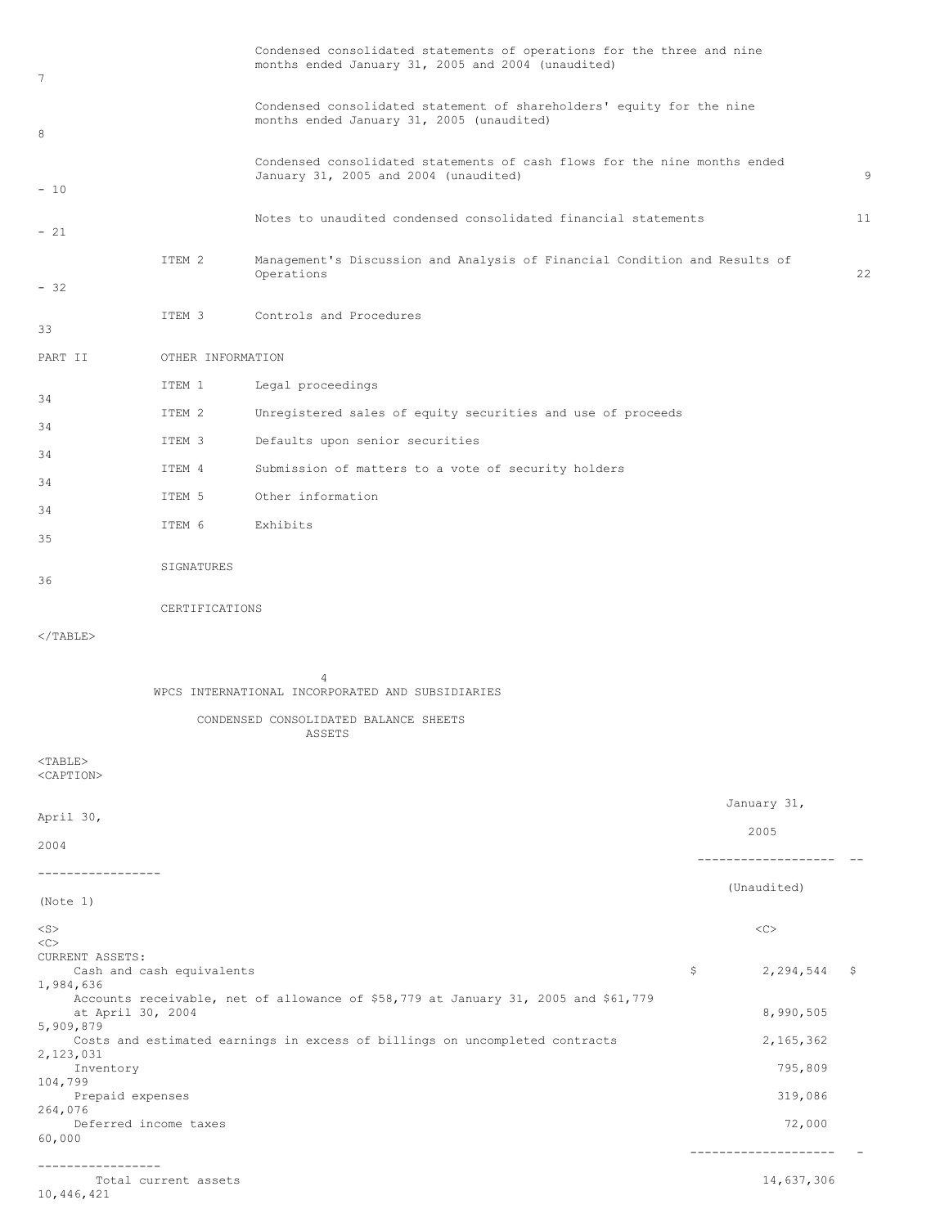|                                |                           | Condensed consolidated statements of operations for the three and nine<br>months ended January 31, 2005 and 2004 (unaudited) |                   |     |
|--------------------------------|---------------------------|------------------------------------------------------------------------------------------------------------------------------|-------------------|-----|
| 7                              |                           |                                                                                                                              |                   |     |
| 8                              |                           | Condensed consolidated statement of shareholders' equity for the nine<br>months ended January 31, 2005 (unaudited)           |                   |     |
| $-10$                          |                           | Condensed consolidated statements of cash flows for the nine months ended<br>January 31, 2005 and 2004 (unaudited)           |                   | 9   |
| $-21$                          |                           | Notes to unaudited condensed consolidated financial statements                                                               |                   | 11  |
| $-32$                          | ITEM 2                    | Management's Discussion and Analysis of Financial Condition and Results of<br>Operations                                     |                   | 22  |
| 33                             | ITEM 3                    | Controls and Procedures                                                                                                      |                   |     |
| PART II                        | OTHER INFORMATION         |                                                                                                                              |                   |     |
|                                | ITEM 1                    | Legal proceedings                                                                                                            |                   |     |
| 34                             | ITEM 2                    | Unregistered sales of equity securities and use of proceeds                                                                  |                   |     |
| 34                             | ITEM 3                    | Defaults upon senior securities                                                                                              |                   |     |
| 34                             | ITEM 4                    | Submission of matters to a vote of security holders                                                                          |                   |     |
| 34                             | ITEM 5                    | Other information                                                                                                            |                   |     |
| 34                             | ITEM 6                    | Exhibits                                                                                                                     |                   |     |
| 35                             |                           |                                                                                                                              |                   |     |
| 36                             | SIGNATURES                |                                                                                                                              |                   |     |
|                                | CERTIFICATIONS            |                                                                                                                              |                   |     |
| $\langle$ /TABLE>              |                           |                                                                                                                              |                   |     |
|                                |                           |                                                                                                                              |                   |     |
|                                |                           | 4<br>WPCS INTERNATIONAL INCORPORATED AND SUBSIDIARIES                                                                        |                   |     |
|                                |                           | CONDENSED CONSOLIDATED BALANCE SHEETS<br>ASSETS                                                                              |                   |     |
| $<$ TABLE $>$                  |                           |                                                                                                                              |                   |     |
| <caption></caption>            |                           |                                                                                                                              |                   |     |
| April 30,                      |                           |                                                                                                                              | January 31,       |     |
| 2004                           |                           |                                                                                                                              | 2005              |     |
| ---------------                |                           |                                                                                                                              | ----------------- |     |
| (Note 1)                       |                           |                                                                                                                              | (Unaudited)       |     |
| $<$ S $>$<br><<>               |                           |                                                                                                                              | <<                |     |
| CURRENT ASSETS:                | Cash and cash equivalents |                                                                                                                              | \$<br>2,294,544   | -\$ |
| 1,984,636                      |                           | Accounts receivable, net of allowance of \$58,779 at January 31, 2005 and \$61,779                                           |                   |     |
| at April 30, 2004<br>5,909,879 |                           |                                                                                                                              | 8,990,505         |     |
| 2,123,031                      |                           | Costs and estimated earnings in excess of billings on uncompleted contracts                                                  | 2,165,362         |     |
| Inventory<br>104,799           |                           |                                                                                                                              | 795,809           |     |
| Prepaid expenses<br>264,076    |                           |                                                                                                                              | 319,086           |     |
| 60,000                         | Deferred income taxes     |                                                                                                                              | 72,000            |     |
| --------------                 |                           |                                                                                                                              |                   |     |
| 10,446,421                     | Total current assets      |                                                                                                                              | 14,637,306        |     |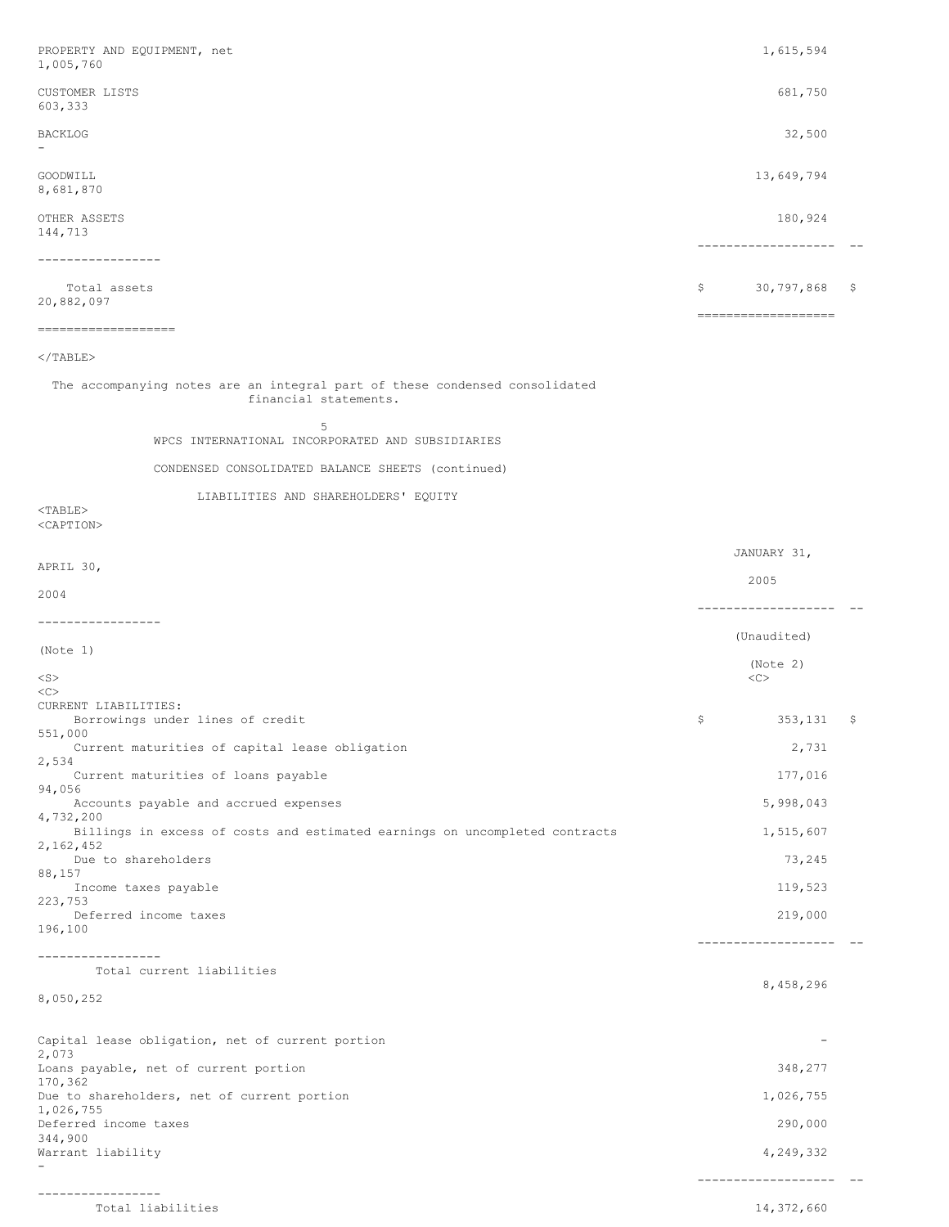| PROPERTY AND EQUIPMENT, net<br>1,005,760                                                             | 1,615,594                         |  |
|------------------------------------------------------------------------------------------------------|-----------------------------------|--|
| CUSTOMER LISTS<br>603,333                                                                            | 681,750                           |  |
| BACKLOG                                                                                              | 32,500                            |  |
| GOODWILL<br>8,681,870                                                                                | 13,649,794                        |  |
| OTHER ASSETS<br>144,713                                                                              | 180,924<br>-------------------    |  |
| -----------------<br>Total assets                                                                    | \$<br>$30,797,868$ \$             |  |
| 20,882,097                                                                                           | -------------------               |  |
| -------------------<br>$\langle$ /TABLE>                                                             |                                   |  |
| The accompanying notes are an integral part of these condensed consolidated<br>financial statements. |                                   |  |
| 5<br>WPCS INTERNATIONAL INCORPORATED AND SUBSIDIARIES                                                |                                   |  |
| CONDENSED CONSOLIDATED BALANCE SHEETS (continued)                                                    |                                   |  |
| LIABILITIES AND SHAREHOLDERS' EQUITY                                                                 |                                   |  |
| <table><br/><caption></caption></table>                                                              |                                   |  |
| APRIL 30,                                                                                            | JANUARY 31,                       |  |
| 2004                                                                                                 | 2005                              |  |
| -----------------                                                                                    | ----------------------            |  |
| (Note 1)                                                                                             | (Unaudited)                       |  |
| <s></s>                                                                                              | (Note 2)<br><<                    |  |
| <<><br>CURRENT LIABILITIES:                                                                          |                                   |  |
| Borrowings under lines of credit<br>551,000                                                          | \$<br>$353,131$ \$                |  |
| Current maturities of capital lease obligation<br>2,534                                              | 2,731                             |  |
| Current maturities of loans payable<br>94,056                                                        | 177,016                           |  |
| Accounts payable and accrued expenses<br>4,732,200                                                   | 5,998,043                         |  |
| Billings in excess of costs and estimated earnings on uncompleted contracts                          | 1,515,607                         |  |
| 2,162,452<br>Due to shareholders                                                                     | 73,245                            |  |
| 88,157<br>Income taxes payable                                                                       | 119,523                           |  |
| 223,753<br>Deferred income taxes<br>196,100                                                          | 219,000                           |  |
| -----------------                                                                                    | -------------------               |  |
| Total current liabilities                                                                            | 8,458,296                         |  |
| 8,050,252                                                                                            |                                   |  |
| Capital lease obligation, net of current portion<br>2,073                                            |                                   |  |
| Loans payable, net of current portion<br>170,362                                                     | 348,277                           |  |
| Due to shareholders, net of current portion                                                          | 1,026,755                         |  |
| 1,026,755<br>Deferred income taxes                                                                   | 290,000                           |  |
| 344,900<br>Warrant liability                                                                         | 4,249,332                         |  |
| -----------------<br>Total liabilities                                                               | -------------------<br>14,372,660 |  |
|                                                                                                      |                                   |  |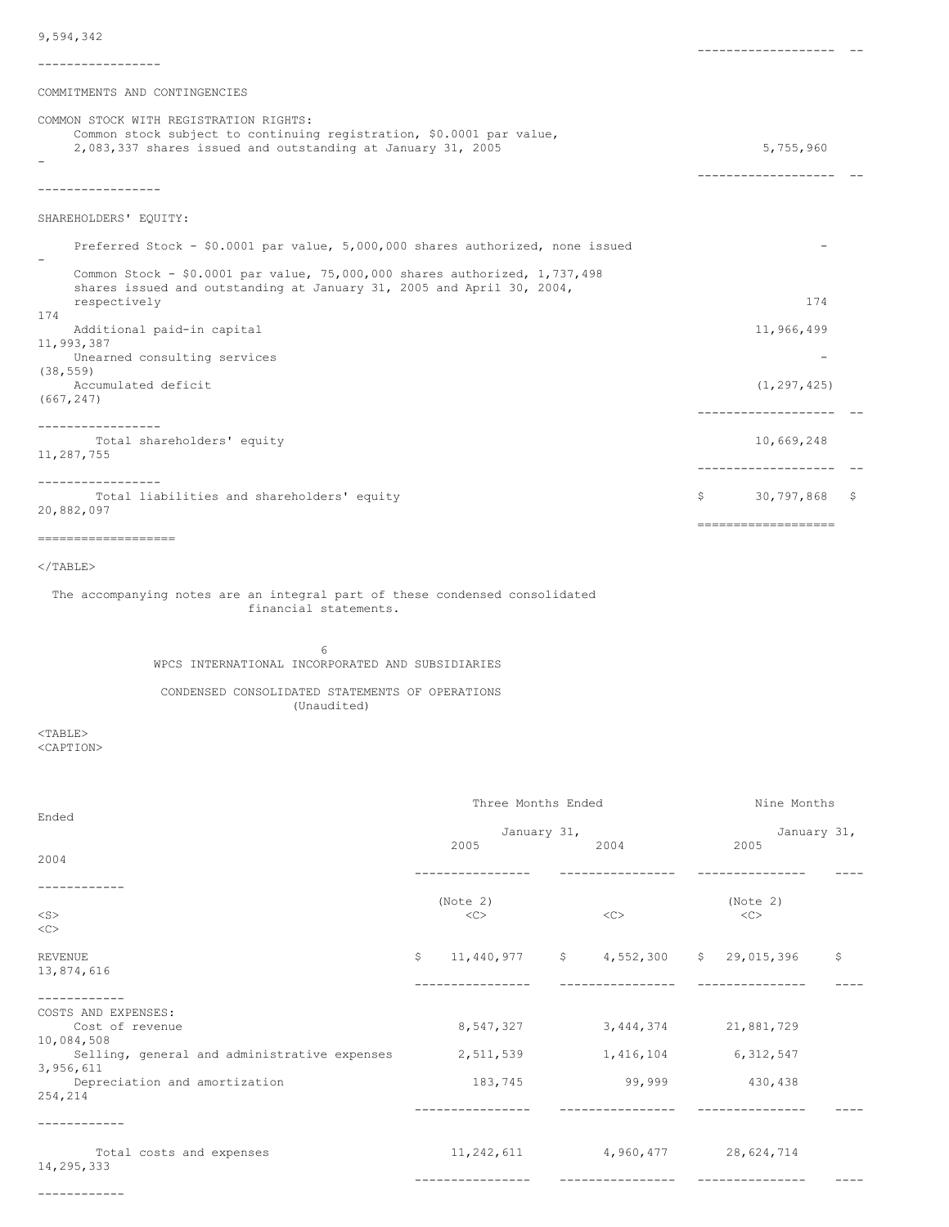9,594,342

|                                                                                                                                                                               | -------------------   |  |
|-------------------------------------------------------------------------------------------------------------------------------------------------------------------------------|-----------------------|--|
|                                                                                                                                                                               |                       |  |
| COMMITMENTS AND CONTINGENCIES                                                                                                                                                 |                       |  |
| COMMON STOCK WITH REGISTRATION RIGHTS:<br>Common stock subject to continuing registration, \$0.0001 par value,<br>2,083,337 shares issued and outstanding at January 31, 2005 | 5,755,960             |  |
| . <u>.</u> .                                                                                                                                                                  |                       |  |
| SHAREHOLDERS' EOUITY:                                                                                                                                                         |                       |  |
| Preferred Stock - \$0.0001 par value, 5,000,000 shares authorized, none issued                                                                                                |                       |  |
| Common Stock - $$0.0001$ par value, 75,000,000 shares authorized, 1,737,498<br>shares issued and outstanding at January 31, 2005 and April 30, 2004,<br>respectively<br>174   | 174                   |  |
| Additional paid-in capital<br>11,993,387                                                                                                                                      | 11,966,499            |  |
| Unearned consulting services<br>(38, 559)                                                                                                                                     |                       |  |
| Accumulated deficit<br>(667, 247)                                                                                                                                             | (1, 297, 425)         |  |
| Total shareholders' equity<br>11,287,755                                                                                                                                      | 10,669,248            |  |
|                                                                                                                                                                               |                       |  |
| Total liabilities and shareholders' equity<br>20,882,097                                                                                                                      | \$<br>$30,797,868$ \$ |  |
| --------------------                                                                                                                                                          | sessessessessessesses |  |

# $<$ /TABLE>

The accompanying notes are an integral part of these condensed consolidated financial statements.

> 6 WPCS INTERNATIONAL INCORPORATED AND SUBSIDIARIES

CONDENSED CONSOLIDATED STATEMENTS OF OPERATIONS (Unaudited)

# <TABLE> <CAPTION>

| Ended                                                                   |                             | Three Months Ended                    | Nine Months                           |  |                |    |
|-------------------------------------------------------------------------|-----------------------------|---------------------------------------|---------------------------------------|--|----------------|----|
|                                                                         | January 31,<br>2005<br>2004 |                                       | January 31,<br>2005                   |  |                |    |
| 2004                                                                    |                             |                                       |                                       |  |                |    |
| $<$ S $>$<br><<                                                         |                             | (Note 2)<br><<                        | <<                                    |  | (Note 2)<br><< |    |
| <b>REVENUE</b><br>13,874,616                                            | \$                          | 11,440,977 \$ 4,552,300 \$ 29,015,396 |                                       |  |                | \$ |
| COSTS AND EXPENSES:<br>Cost of revenue                                  |                             | 8,547,327                             | 3, 444, 374 21, 881, 729              |  |                |    |
| 10,084,508<br>Selling, general and administrative expenses<br>3,956,611 |                             | 2,511,539                             | 1, 416, 104                           |  | 6, 312, 547    |    |
| Depreciation and amortization<br>254,214                                |                             | 183,745                               | 99,999                                |  | 430,438        |    |
|                                                                         |                             |                                       |                                       |  |                |    |
| Total costs and expenses<br>14,295,333                                  |                             |                                       | 11, 242, 611 4, 960, 477 28, 624, 714 |  |                |    |
|                                                                         |                             |                                       |                                       |  |                |    |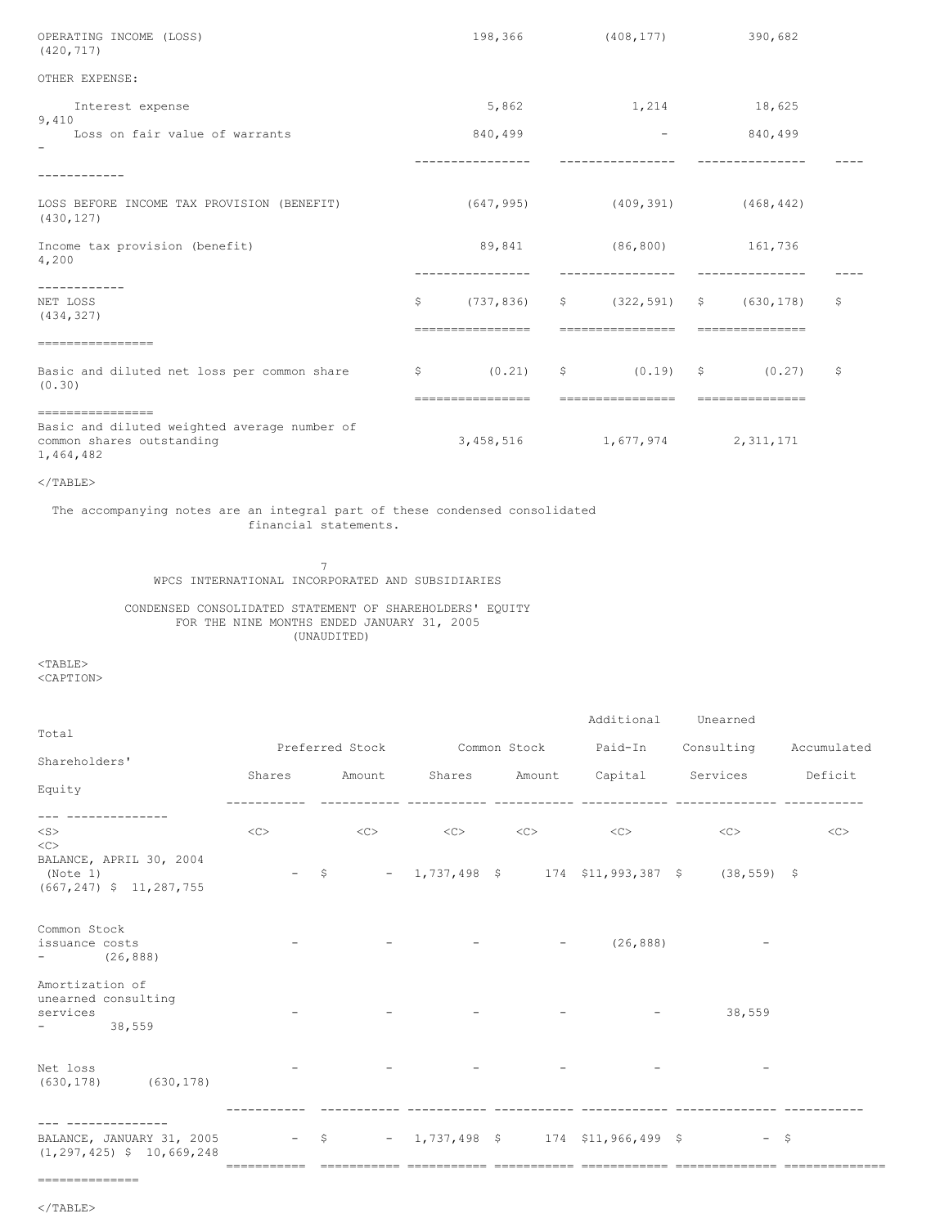| OPERATING INCOME (LOSS)<br>(420, 717)                                                                        |                                                             |                                                           |                      | 198,366    | (408, 177)                                                  | 390,682                    |     |
|--------------------------------------------------------------------------------------------------------------|-------------------------------------------------------------|-----------------------------------------------------------|----------------------|------------|-------------------------------------------------------------|----------------------------|-----|
| OTHER EXPENSE:                                                                                               |                                                             |                                                           |                      |            |                                                             |                            |     |
| Interest expense<br>9,410                                                                                    |                                                             |                                                           |                      | 5,862      | 1,214                                                       | 18,625                     |     |
| Loss on fair value of warrants                                                                               |                                                             |                                                           |                      | 840,499    | $\sim$ $-$                                                  | 840,499                    |     |
| ------------                                                                                                 |                                                             |                                                           |                      |            | ----------------                                            |                            |     |
| LOSS BEFORE INCOME TAX PROVISION (BENEFIT)<br>(430, 127)                                                     |                                                             |                                                           |                      | (647, 995) | $(409, 391)$ $(468, 442)$                                   |                            |     |
| Income tax provision (benefit)<br>4,200                                                                      |                                                             |                                                           | ----------------     | 89,841     | (86, 800)<br>----------------                               | 161,736<br>--------------- |     |
| ------------<br>NET LOSS<br>(434, 327)                                                                       |                                                             |                                                           | \$                   | (737, 836) | $$$ (322,591)                                               | \$ (630, 178)              | \$  |
| ================                                                                                             |                                                             |                                                           | =================    |            | -----------------                                           | ================           |     |
| Basic and diluted net loss per common share<br>(0.30)                                                        |                                                             |                                                           | $\frac{1}{2}$ (0.21) |            | \$ (0.19)                                                   | $\frac{1}{2}$ (0.27)       | -\$ |
| ================<br>Basic and diluted weighted average number of<br>common shares outstanding<br>1,464,482   |                                                             |                                                           |                      |            | 3, 458, 516 1, 677, 974 2, 311, 171                         |                            |     |
| $<$ /TABLE>                                                                                                  |                                                             |                                                           |                      |            |                                                             |                            |     |
| The accompanying notes are an integral part of these condensed consolidated                                  |                                                             | financial statements.                                     |                      |            |                                                             |                            |     |
|                                                                                                              |                                                             | 7                                                         |                      |            |                                                             |                            |     |
| WPCS INTERNATIONAL INCORPORATED AND SUBSIDIARIES<br>CONDENSED CONSOLIDATED STATEMENT OF SHAREHOLDERS' EQUITY |                                                             |                                                           |                      |            |                                                             |                            |     |
|                                                                                                              |                                                             | FOR THE NINE MONTHS ENDED JANUARY 31, 2005<br>(UNAUDITED) |                      |            |                                                             |                            |     |
| $TABLE$<br><caption></caption>                                                                               |                                                             |                                                           |                      |            |                                                             |                            |     |
|                                                                                                              |                                                             |                                                           |                      |            |                                                             |                            |     |
| Total                                                                                                        |                                                             |                                                           |                      |            |                                                             |                            |     |
| Shareholders'                                                                                                | Preferred Stock Common Stock Paid-In Consulting Accumulated |                                                           |                      |            | Additional Unearned                                         |                            |     |
|                                                                                                              |                                                             |                                                           |                      |            |                                                             |                            |     |
| Equity                                                                                                       |                                                             |                                                           |                      |            | Shares Amount Shares Amount Capital Services Deficit        |                            |     |
| --- --------------<br>$<$ S $>$<br><<                                                                        | $<<$ $>$                                                    | < <c></c>                                                 |                      |            | $\langle C \rangle$ $\langle C \rangle$ $\langle C \rangle$ | $<<$ $>$                   | <<  |
| BALANCE, APRIL 30, 2004<br>(Note 1)<br>$(667, 247)$ \$ 11,287,755                                            |                                                             | $\mathsf{S}$                                              |                      |            | $-$ 1,737,498 \$ 174 \$11,993,387 \$ (38,559) \$            |                            |     |
| Common Stock<br>issuance costs<br>(26, 888)                                                                  |                                                             |                                                           |                      |            | $-$ (26,888)                                                |                            |     |
| Amortization of<br>unearned consulting<br>services                                                           |                                                             |                                                           |                      |            | $ -$                                                        | 38,559                     |     |
| $-38,559$                                                                                                    |                                                             |                                                           |                      |            |                                                             |                            |     |
| Net loss<br>$(630, 178)$ $(630, 178)$                                                                        |                                                             |                                                           |                      |            | ------------ ----------- -----------                        |                            |     |

 $<$ /TABLE>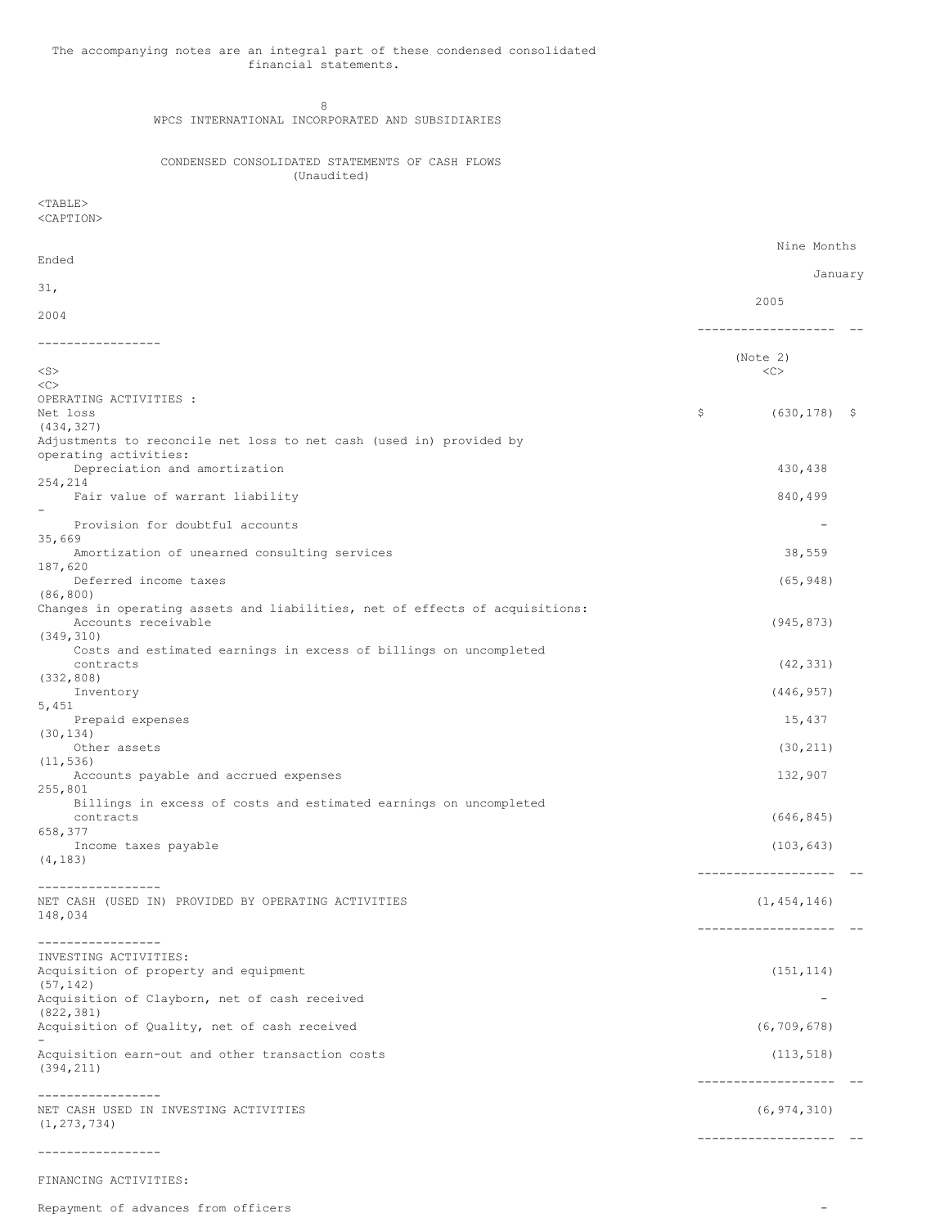8

WPCS INTERNATIONAL INCORPORATED AND SUBSIDIARIES

CONDENSED CONSOLIDATED STATEMENTS OF CASH FLOWS (Unaudited)

#### <TABLE> <CAPTION>

Nine Months Ended January 31, 2005 2004 ------------------- -- ----------------- (Note 2) <S> <C>  $<$ OPERATING ACTIVITIES : Net loss  $\zeta$  (630,178)  $\zeta$  (630,178)  $\zeta$ (434,327) Adjustments to reconcile net loss to net cash (used in) provided by operating activities: Depreciation and amortization 430,438 254,214 Fair value of warrant liability 840,499 - Provision for doubtful accounts  $-$ 35,669 Amortization of unearned consulting services 38,559 187,620 Deferred income taxes (65,948) (86,800) Changes in operating assets and liabilities, net of effects of acquisitions: Accounts receivable (945,873) (349,310) Costs and estimated earnings in excess of billings on uncompleted contracts (42,331) (332,808) Inventory (446,957) 5,451 Prepaid expenses 15,437  $(30, 134)$ <br>Other assets Other assets (30,211) (11,536) Accounts payable and accrued expenses 132,907 255,801 Billings in excess of costs and estimated earnings on uncompleted contracts (646,845) 658,377 Income taxes payable (103,643) (4,183) ------------------- -- ----------------- NET CASH (USED IN) PROVIDED BY OPERATING ACTIVITIES (1,454,146) 148,034 ------------------- -- ----------------- INVESTING ACTIVITIES: Acquisition of property and equipment (151,114) (57,142) Acquisition of Clayborn, net of cash received (822,381) Acquisition of Quality, net of cash received (6,709,678) - Acquisition earn-out and other transaction costs (113,518) (394,211) ------------------- -- ----------------- NET CASH USED IN INVESTING ACTIVITIES (6,974,310)

------------------- --

FINANCING ACTIVITIES:

-----------------

(1,273,734)

Repayment of advances from officers  $-$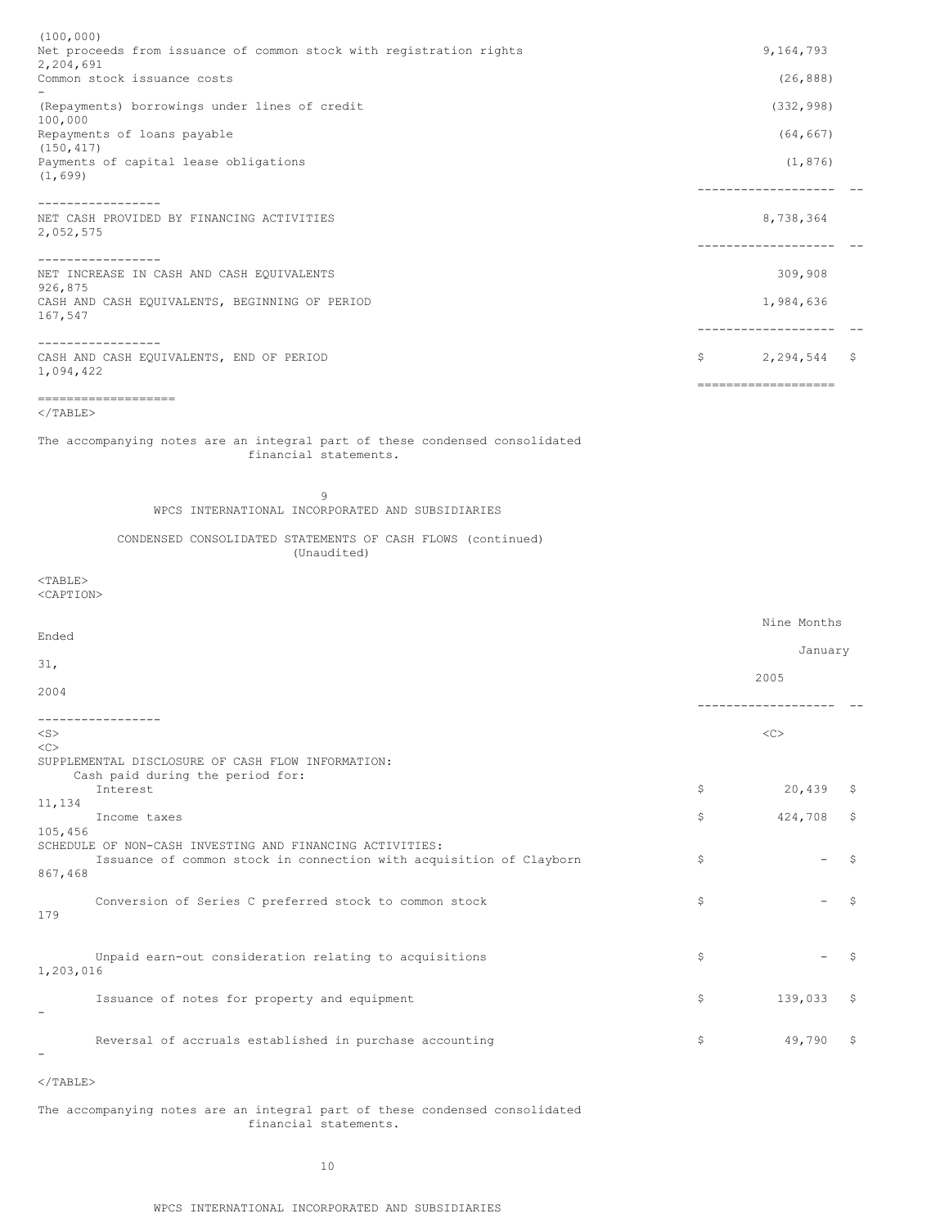| (100, 000)<br>Net proceeds from issuance of common stock with registration rights                    |     | 9,164,793                                |     |
|------------------------------------------------------------------------------------------------------|-----|------------------------------------------|-----|
| 2,204,691<br>Common stock issuance costs                                                             |     | (26, 888)                                |     |
| (Repayments) borrowings under lines of credit                                                        |     | (332, 998)                               |     |
| 100,000<br>Repayments of loans payable                                                               |     | (64, 667)                                |     |
| (150, 417)<br>Payments of capital lease obligations                                                  |     | (1, 876)                                 |     |
| (1, 699)                                                                                             |     | ------------------                       |     |
| ----------------<br>NET CASH PROVIDED BY FINANCING ACTIVITIES<br>2,052,575                           |     | 8,738,364                                |     |
| -----------------<br>NET INCREASE IN CASH AND CASH EQUIVALENTS                                       |     | 309,908                                  |     |
| 926,875<br>CASH AND CASH EQUIVALENTS, BEGINNING OF PERIOD<br>167,547                                 |     | 1,984,636<br>--------------------        |     |
| ----------------<br>CASH AND CASH EQUIVALENTS, END OF PERIOD<br>1,094,422                            | \$. | $2, 294, 544$ \$<br>-------------------- |     |
| ===================<br>$\langle$ /TABLE>                                                             |     |                                          |     |
| The accompanying notes are an integral part of these condensed consolidated<br>financial statements. |     |                                          |     |
| 9<br>WPCS INTERNATIONAL INCORPORATED AND SUBSIDIARIES                                                |     |                                          |     |
| CONDENSED CONSOLIDATED STATEMENTS OF CASH FLOWS (continued)<br>(Unaudited)                           |     |                                          |     |
| $<$ TABLE $>$                                                                                        |     |                                          |     |
| <caption></caption>                                                                                  |     |                                          |     |
| Ended                                                                                                |     | Nine Months                              |     |
| 31,                                                                                                  |     | January                                  |     |
| 2004                                                                                                 |     | 2005                                     |     |
| -----------------                                                                                    |     | -----------------------                  |     |
| $<$ S $>$<br><<                                                                                      |     | < <sub></sub>                            |     |
| SUPPLEMENTAL DISCLOSURE OF CASH FLOW INFORMATION:                                                    |     |                                          |     |
|                                                                                                      |     |                                          |     |
| Cash paid during the period for:<br>Interest                                                         | \$  | 20,439                                   | \$. |
| 11,134<br>Income taxes                                                                               | \$  | 424,708                                  | \$  |
| 105,456<br>SCHEDULE OF NON-CASH INVESTING AND FINANCING ACTIVITIES:                                  |     |                                          |     |
| Issuance of common stock in connection with acquisition of Clayborn<br>867,468                       | \$  |                                          | \$  |
| Conversion of Series C preferred stock to common stock<br>179                                        | \$  |                                          | \$  |
| Unpaid earn-out consideration relating to acquisitions<br>1,203,016                                  | \$  |                                          | \$  |
| Issuance of notes for property and equipment<br>$\overline{\phantom{0}}$                             | \$  | 139,033                                  | \$  |

 $\rm <$  /TABLE  $>$ 

The accompanying notes are an integral part of these condensed consolidated financial statements.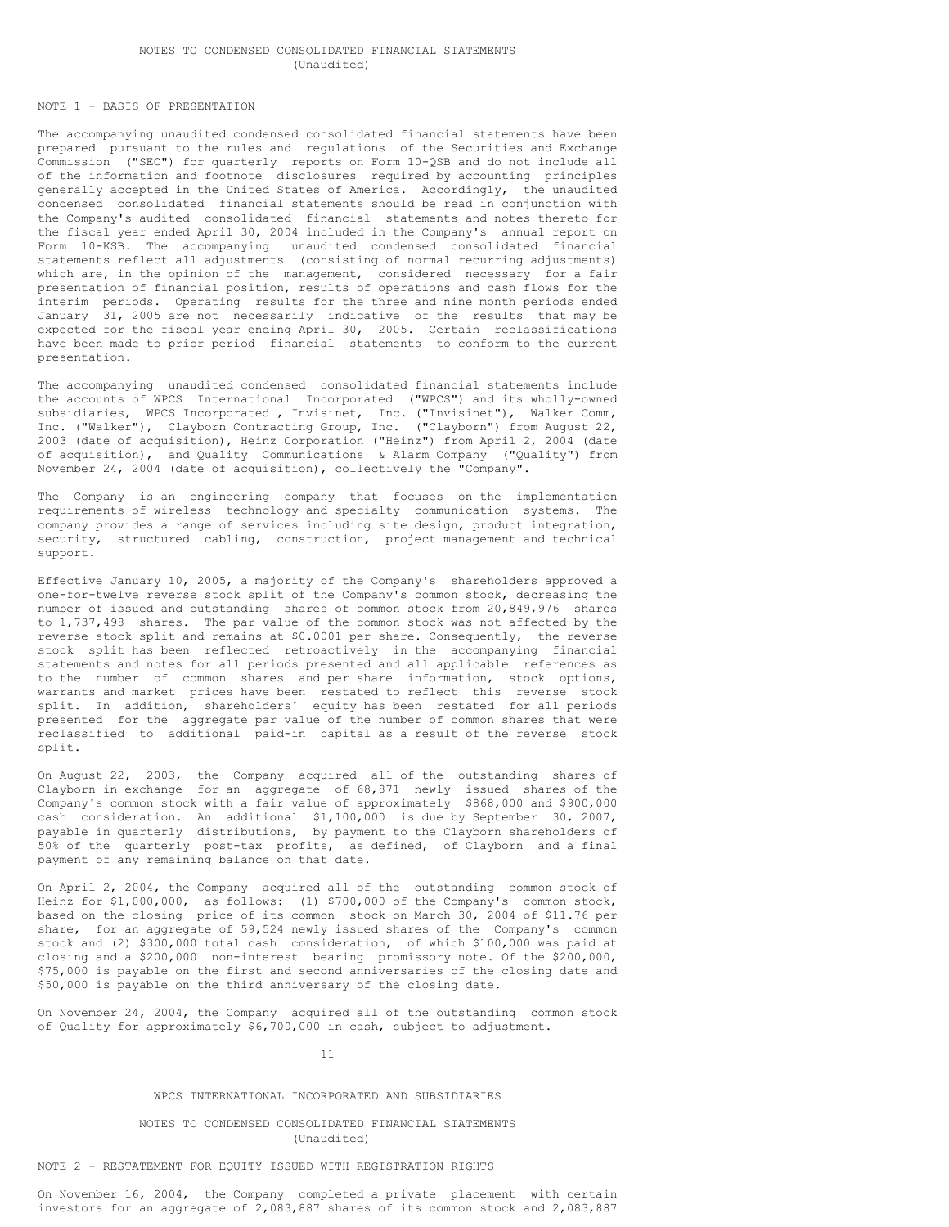# NOTES TO CONDENSED CONSOLIDATED FINANCIAL STATEMENTS (Unaudited)

# NOTE 1 - BASIS OF PRESENTATION

The accompanying unaudited condensed consolidated financial statements have been prepared pursuant to the rules and regulations of the Securities and Exchange Commission ("SEC") for quarterly reports on Form 10-QSB and do not include all of the information and footnote disclosures required by accounting principles generally accepted in the United States of America. Accordingly, the unaudited condensed consolidated financial statements should be read in conjunction with the Company's audited consolidated financial statements and notes thereto for the fiscal year ended April 30, 2004 included in the Company's annual report on Form 10-KSB. The accompanying unaudited condensed consolidated financial statements reflect all adjustments (consisting of normal recurring adjustments) which are, in the opinion of the management, considered necessary for a fair presentation of financial position, results of operations and cash flows for the interim periods. Operating results for the three and nine month periods ended January 31, 2005 are not necessarily indicative of the results that may be expected for the fiscal year ending April 30, 2005. Certain reclassifications have been made to prior period financial statements to conform to the current presentation.

The accompanying unaudited condensed consolidated financial statements include the accounts of WPCS International Incorporated ("WPCS") and its wholly-owned subsidiaries, WPCS Incorporated , Invisinet, Inc. ("Invisinet"), Walker Comm, Inc. ("Walker"), Clayborn Contracting Group, Inc. ("Clayborn") from August 22, 2003 (date of acquisition), Heinz Corporation ("Heinz") from April 2, 2004 (date of acquisition), and Quality Communications & Alarm Company ("Quality") from November 24, 2004 (date of acquisition), collectively the "Company".

The Company is an engineering company that focuses on the implementation requirements of wireless technology and specialty communication systems. The company provides a range of services including site design, product integration, security, structured cabling, construction, project management and technical support.

Effective January 10, 2005, a majority of the Company's shareholders approved a one-for-twelve reverse stock split of the Company's common stock, decreasing the number of issued and outstanding shares of common stock from 20,849,976 shares to 1,737,498 shares. The par value of the common stock was not affected by the reverse stock split and remains at \$0.0001 per share. Consequently, the reverse stock split has been reflected retroactively in the accompanying financial statements and notes for all periods presented and all applicable references as to the number of common shares and per share information, stock options, warrants and market prices have been restated to reflect this reverse stock split. In addition, shareholders' equity has been restated for all periods presented for the aggregate par value of the number of common shares that were reclassified to additional paid-in capital as a result of the reverse stock split.

On August 22, 2003, the Company acquired all of the outstanding shares of Clayborn in exchange for an aggregate of 68,871 newly issued shares of the Company's common stock with a fair value of approximately \$868,000 and \$900,000 cash consideration. An additional \$1,100,000 is due by September 30, 2007, payable in quarterly distributions, by payment to the Clayborn shareholders of 50% of the quarterly post-tax profits, as defined, of Clayborn and a final payment of any remaining balance on that date.

On April 2, 2004, the Company acquired all of the outstanding common stock of Heinz for \$1,000,000, as follows: (1) \$700,000 of the Company's common stock, based on the closing price of its common stock on March 30, 2004 of \$11.76 per share, for an aggregate of 59,524 newly issued shares of the Company's common stock and (2) \$300,000 total cash consideration, of which \$100,000 was paid at closing and a \$200,000 non-interest bearing promissory note. Of the \$200,000, \$75,000 is payable on the first and second anniversaries of the closing date and \$50,000 is payable on the third anniversary of the closing date.

On November 24, 2004, the Company acquired all of the outstanding common stock of Quality for approximately \$6,700,000 in cash, subject to adjustment.

11

## WPCS INTERNATIONAL INCORPORATED AND SUBSIDIARIES

## NOTES TO CONDENSED CONSOLIDATED FINANCIAL STATEMENTS (Unaudited)

NOTE 2 - RESTATEMENT FOR EQUITY ISSUED WITH REGISTRATION RIGHTS

On November 16, 2004, the Company completed a private placement with certain investors for an aggregate of 2,083,887 shares of its common stock and 2,083,887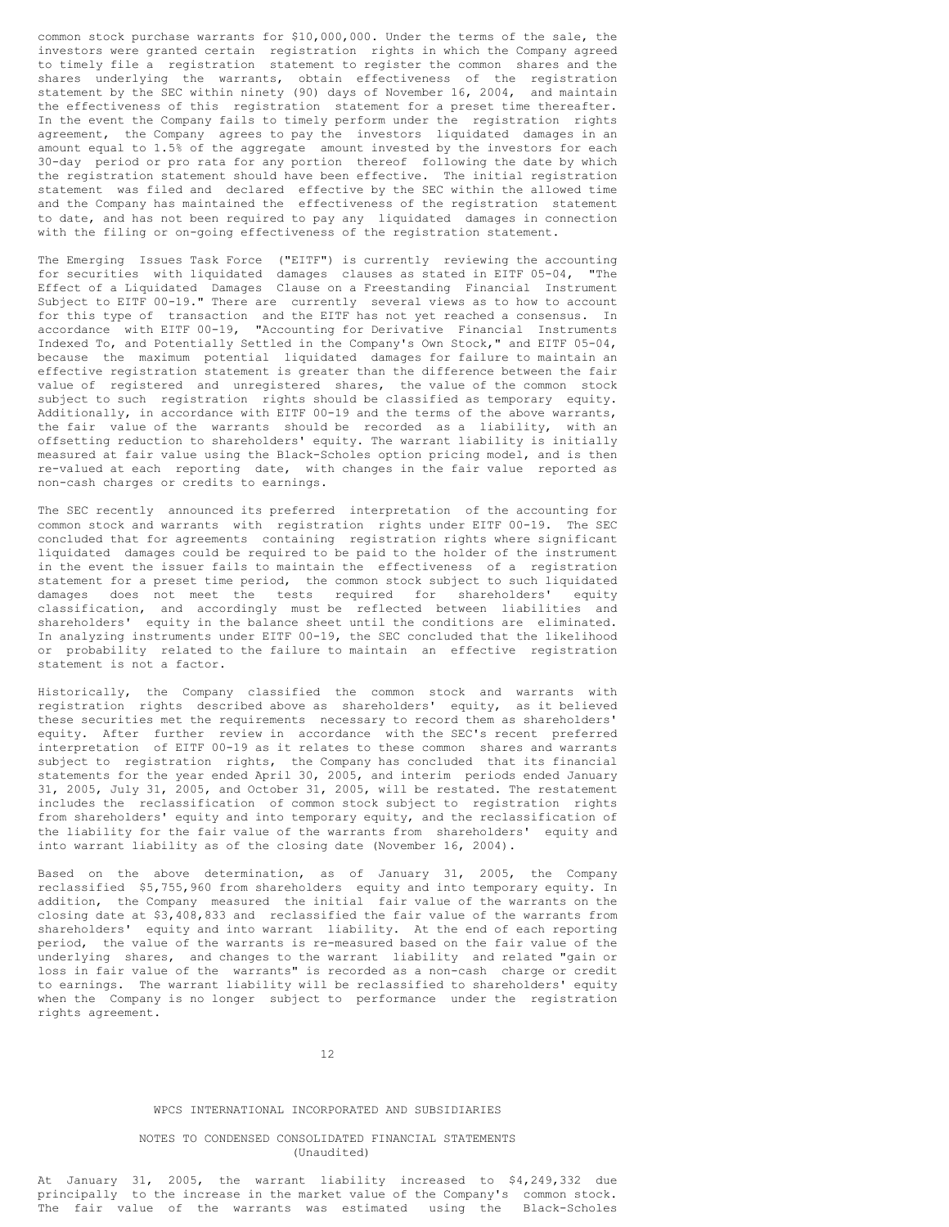common stock purchase warrants for \$10,000,000. Under the terms of the sale, the investors were granted certain registration rights in which the Company agreed to timely file a registration statement to register the common shares and the shares underlying the warrants, obtain effectiveness of the registration statement by the SEC within ninety (90) days of November 16, 2004, and maintain the effectiveness of this registration statement for a preset time thereafter. In the event the Company fails to timely perform under the registration rights agreement, the Company agrees to pay the investors liquidated damages in an amount equal to 1.5% of the aggregate amount invested by the investors for each 30-day period or pro rata for any portion thereof following the date by which the registration statement should have been effective. The initial registration statement was filed and declared effective by the SEC within the allowed time and the Company has maintained the effectiveness of the registration statement to date, and has not been required to pay any liquidated damages in connection with the filing or on-going effectiveness of the registration statement.

The Emerging Issues Task Force ("EITF") is currently reviewing the accounting for securities with liquidated damages clauses as stated in EITF 05-04, "The Effect of a Liquidated Damages Clause on a Freestanding Financial Instrument Subject to EITF 00-19." There are currently several views as to how to account for this type of transaction and the EITF has not yet reached a consensus. In accordance with EITF 00-19, "Accounting for Derivative Financial Instruments Indexed To, and Potentially Settled in the Company's Own Stock," and EITF 05-04, because the maximum potential liquidated damages for failure to maintain an effective registration statement is greater than the difference between the fair value of registered and unregistered shares, the value of the common stock subject to such registration rights should be classified as temporary equity. Additionally, in accordance with EITF 00-19 and the terms of the above warrants, the fair value of the warrants should be recorded as a liability, with an offsetting reduction to shareholders' equity. The warrant liability is initially measured at fair value using the Black-Scholes option pricing model, and is then re-valued at each reporting date, with changes in the fair value reported as non-cash charges or credits to earnings.

The SEC recently announced its preferred interpretation of the accounting for common stock and warrants with registration rights under EITF 00-19. The SEC concluded that for agreements containing registration rights where significant liquidated damages could be required to be paid to the holder of the instrument in the event the issuer fails to maintain the effectiveness of a registration statement for a preset time period, the common stock subject to such liquidated damages does not meet the tests required for shareholders' equity classification, and accordingly must be reflected between liabilities and shareholders' equity in the balance sheet until the conditions are eliminated. In analyzing instruments under EITF 00-19, the SEC concluded that the likelihood or probability related to the failure to maintain an effective registration statement is not a factor.

Historically, the Company classified the common stock and warrants with registration rights described above as shareholders' equity, as it believed these securities met the requirements necessary to record them as shareholders' equity. After further review in accordance with the SEC's recent preferred interpretation of EITF 00-19 as it relates to these common shares and warrants subject to registration rights, the Company has concluded that its financial statements for the year ended April 30, 2005, and interim periods ended January 31, 2005, July 31, 2005, and October 31, 2005, will be restated. The restatement includes the reclassification of common stock subject to registration rights from shareholders' equity and into temporary equity, and the reclassification of the liability for the fair value of the warrants from shareholders' equity and into warrant liability as of the closing date (November 16, 2004).

Based on the above determination, as of January 31, 2005, the Company reclassified \$5,755,960 from shareholders equity and into temporary equity. In addition, the Company measured the initial fair value of the warrants on the closing date at \$3,408,833 and reclassified the fair value of the warrants from shareholders' equity and into warrant liability. At the end of each reporting period, the value of the warrants is re-measured based on the fair value of the underlying shares, and changes to the warrant liability and related "gain or loss in fair value of the warrants" is recorded as a non-cash charge or credit to earnings. The warrant liability will be reclassified to shareholders' equity when the Company is no longer subject to performance under the registration rights agreement.

12

#### WPCS INTERNATIONAL INCORPORATED AND SUBSIDIARIES

## NOTES TO CONDENSED CONSOLIDATED FINANCIAL STATEMENTS (Unaudited)

At January 31, 2005, the warrant liability increased to \$4,249,332 due principally to the increase in the market value of the Company's common stock. The fair value of the warrants was estimated using the Black-Scholes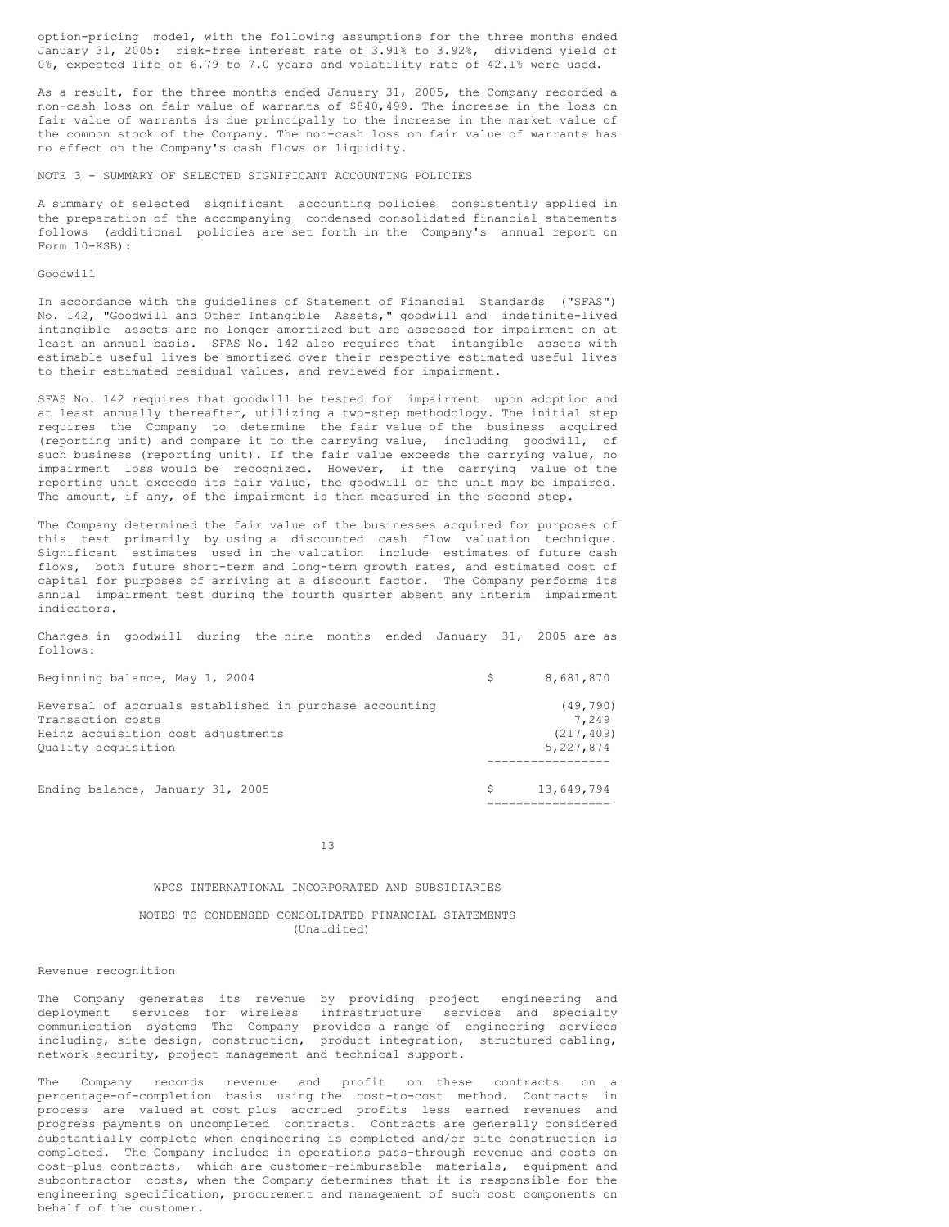option-pricing model, with the following assumptions for the three months ended January 31, 2005: risk-free interest rate of 3.91% to 3.92%, dividend yield of 0%, expected life of 6.79 to 7.0 years and volatility rate of 42.1% were used.

As a result, for the three months ended January 31, 2005, the Company recorded a non-cash loss on fair value of warrants of \$840,499. The increase in the loss on fair value of warrants is due principally to the increase in the market value of the common stock of the Company. The non-cash loss on fair value of warrants has no effect on the Company's cash flows or liquidity.

#### NOTE 3 - SUMMARY OF SELECTED SIGNIFICANT ACCOUNTING POLICIES

A summary of selected significant accounting policies consistently applied in the preparation of the accompanying condensed consolidated financial statements follows (additional policies are set forth in the Company's annual report on Form 10-KSB):

# Goodwill

In accordance with the guidelines of Statement of Financial Standards ("SFAS") No. 142, "Goodwill and Other Intangible Assets," goodwill and indefinite-lived intangible assets are no longer amortized but are assessed for impairment on at least an annual basis. SFAS No. 142 also requires that intangible assets with estimable useful lives be amortized over their respective estimated useful lives to their estimated residual values, and reviewed for impairment.

SFAS No. 142 requires that goodwill be tested for impairment upon adoption and at least annually thereafter, utilizing a two-step methodology. The initial step requires the Company to determine the fair value of the business acquired (reporting unit) and compare it to the carrying value, including goodwill, of such business (reporting unit). If the fair value exceeds the carrying value, no impairment loss would be recognized. However, if the carrying value of the reporting unit exceeds its fair value, the goodwill of the unit may be impaired. The amount, if any, of the impairment is then measured in the second step.

The Company determined the fair value of the businesses acquired for purposes of this test primarily by using a discounted cash flow valuation technique. Significant estimates used in the valuation include estimates of future cash flows, both future short-term and long-term growth rates, and estimated cost of capital for purposes of arriving at a discount factor. The Company performs its annual impairment test during the fourth quarter absent any interim impairment indicators.

Changes in goodwill during the nine months ended January 31, 2005 are as follows:

| Ending balance, January 31, 2005                        | S. | 13,649,794 |
|---------------------------------------------------------|----|------------|
|                                                         |    |            |
| Quality acquisition                                     |    | 5,227,874  |
| Heinz acquisition cost adjustments                      |    | (217, 409) |
| Transaction costs                                       |    | 7.249      |
| Reversal of accruals established in purchase accounting |    | (49, 790)  |
| Beginning balance, May 1, 2004                          |    | 8.681.870  |

13

## WPCS INTERNATIONAL INCORPORATED AND SUBSIDIARIES

#### NOTES TO CONDENSED CONSOLIDATED FINANCIAL STATEMENTS (Unaudited)

## Revenue recognition

The Company generates its revenue by providing project engineering and deployment services for wireless infrastructure services and specialty communication systems The Company provides a range of engineering services including, site design, construction, product integration, structured cabling, network security, project management and technical support.

The Company records revenue and profit on these contracts on a percentage-of-completion basis using the cost-to-cost method. Contracts in process are valued at cost plus accrued profits less earned revenues and progress payments on uncompleted contracts. Contracts are generally considered substantially complete when engineering is completed and/or site construction is completed. The Company includes in operations pass-through revenue and costs on cost-plus contracts, which are customer-reimbursable materials, equipment and subcontractor costs, when the Company determines that it is responsible for the engineering specification, procurement and management of such cost components on behalf of the customer.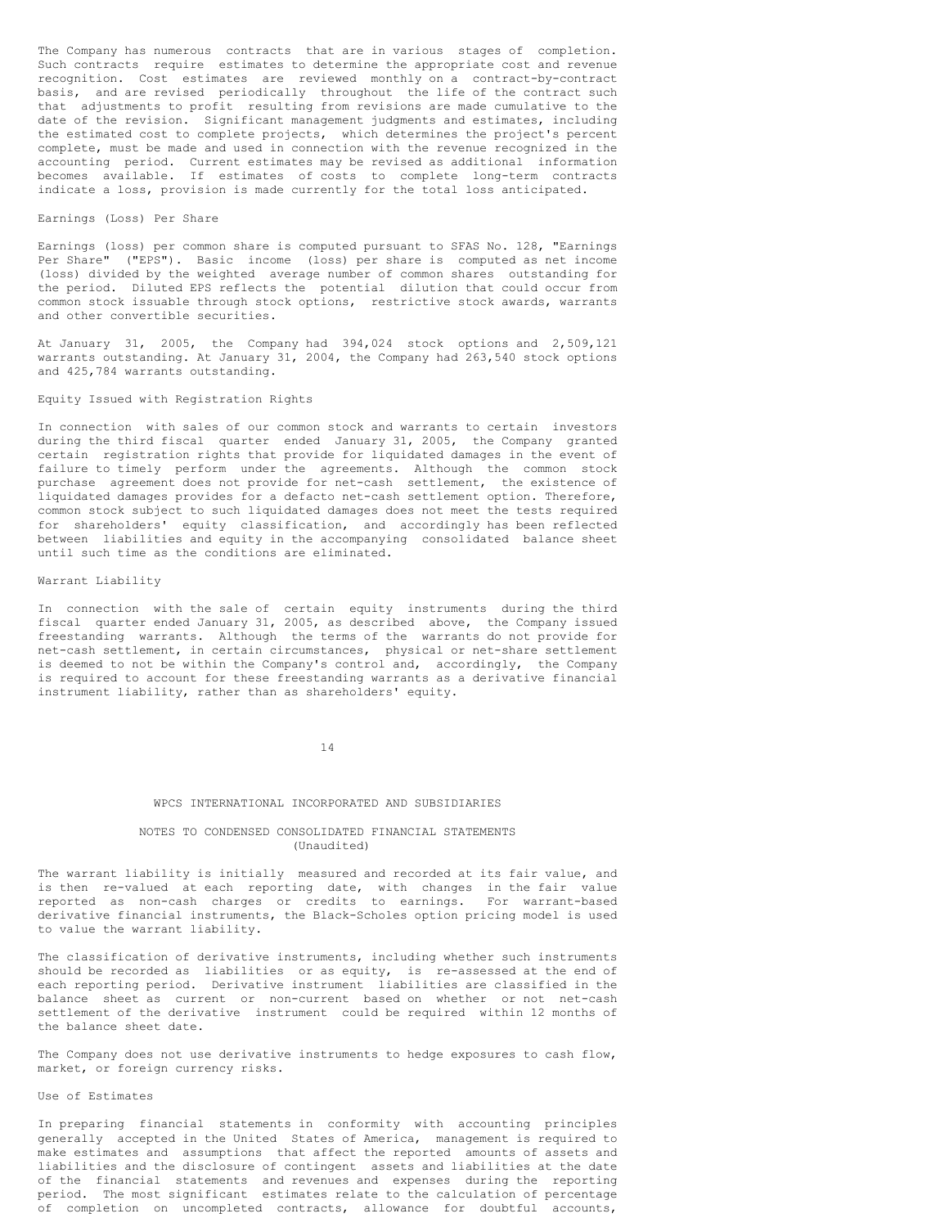The Company has numerous contracts that are in various stages of completion. Such contracts require estimates to determine the appropriate cost and revenue recognition. Cost estimates are reviewed monthly on a contract-by-contract basis, and are revised periodically throughout the life of the contract such that adjustments to profit resulting from revisions are made cumulative to the date of the revision. Significant management judgments and estimates, including the estimated cost to complete projects, which determines the project's percent complete, must be made and used in connection with the revenue recognized in the accounting period. Current estimates may be revised as additional information becomes available. If estimates of costs to complete long-term contracts indicate a loss, provision is made currently for the total loss anticipated.

#### Earnings (Loss) Per Share

Earnings (loss) per common share is computed pursuant to SFAS No. 128, "Earnings Per Share" ("EPS"). Basic income (loss) per share is computed as net income (loss) divided by the weighted average number of common shares outstanding for the period. Diluted EPS reflects the potential dilution that could occur from common stock issuable through stock options, restrictive stock awards, warrants and other convertible securities.

At January 31, 2005, the Company had 394,024 stock options and 2,509,121 warrants outstanding. At January 31, 2004, the Company had 263,540 stock options and 425,784 warrants outstanding.

#### Equity Issued with Registration Rights

In connection with sales of our common stock and warrants to certain investors during the third fiscal quarter ended January 31, 2005, the Company granted certain registration rights that provide for liquidated damages in the event of failure to timely perform under the agreements. Although the common stock purchase agreement does not provide for net-cash settlement, the existence of liquidated damages provides for a defacto net-cash settlement option. Therefore, common stock subject to such liquidated damages does not meet the tests required for shareholders' equity classification, and accordingly has been reflected between liabilities and equity in the accompanying consolidated balance sheet until such time as the conditions are eliminated.

## Warrant Liability

In connection with the sale of certain equity instruments during the third fiscal quarter ended January 31, 2005, as described above, the Company issued freestanding warrants. Although the terms of the warrants do not provide for net-cash settlement, in certain circumstances, physical or net-share settlement is deemed to not be within the Company's control and, accordingly, the Company is required to account for these freestanding warrants as a derivative financial instrument liability, rather than as shareholders' equity.

14

## WPCS INTERNATIONAL INCORPORATED AND SUBSIDIARIES

## NOTES TO CONDENSED CONSOLIDATED FINANCIAL STATEMENTS (Unaudited)

The warrant liability is initially measured and recorded at its fair value, and is then re-valued at each reporting date, with changes in the fair value reported as non-cash charges or credits to earnings. For warrant-based derivative financial instruments, the Black-Scholes option pricing model is used to value the warrant liability.

The classification of derivative instruments, including whether such instruments should be recorded as liabilities or as equity, is re-assessed at the end of each reporting period. Derivative instrument liabilities are classified in the balance sheet as current or non-current based on whether or not net-cash settlement of the derivative instrument could be required within 12 months of the balance sheet date.

The Company does not use derivative instruments to hedge exposures to cash flow, market, or foreign currency risks.

# Use of Estimates

In preparing financial statements in conformity with accounting principles generally accepted in the United States of America, management is required to make estimates and assumptions that affect the reported amounts of assets and liabilities and the disclosure of contingent assets and liabilities at the date of the financial statements and revenues and expenses during the reporting period. The most significant estimates relate to the calculation of percentage of completion on uncompleted contracts, allowance for doubtful accounts,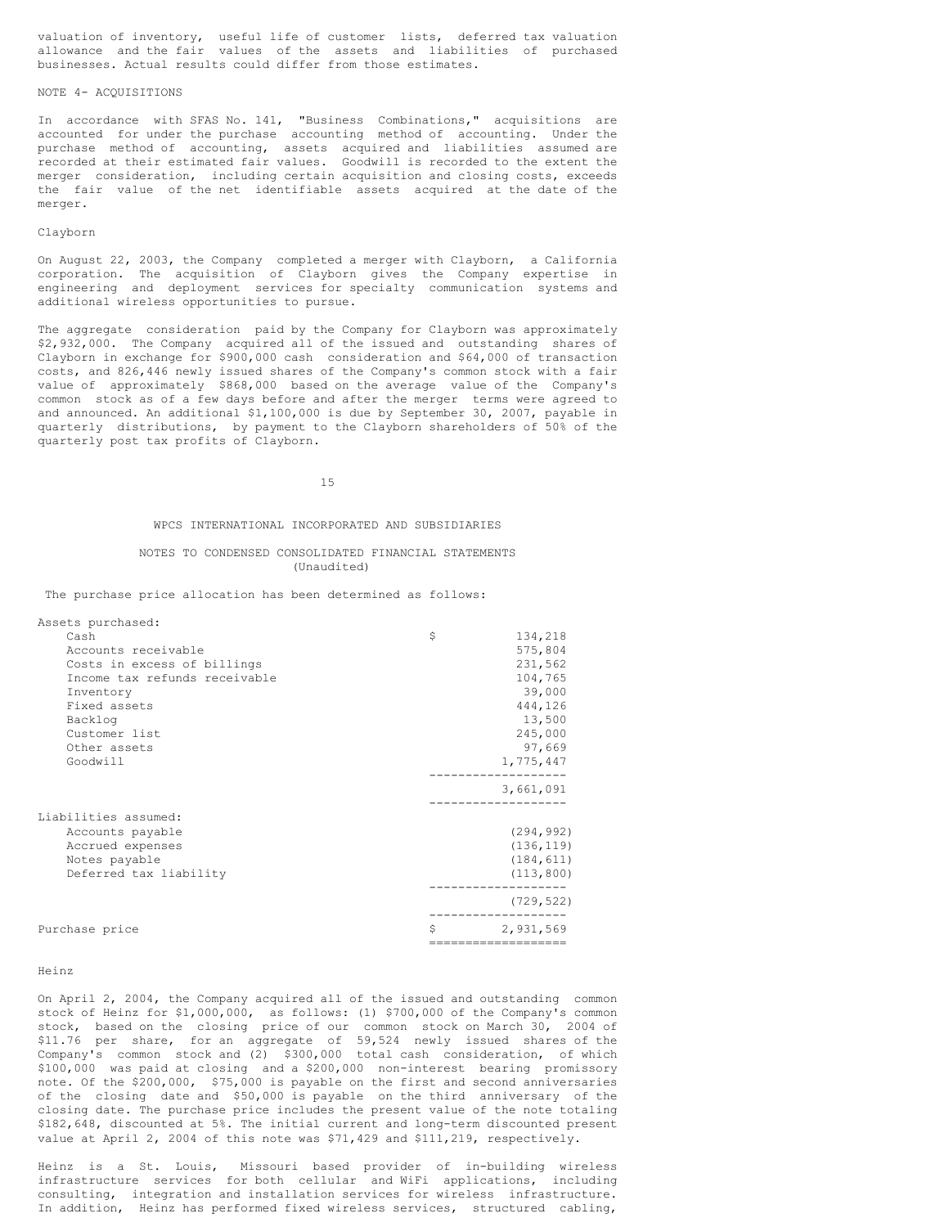valuation of inventory, useful life of customer lists, deferred tax valuation allowance and the fair values of the assets and liabilities of purchased businesses. Actual results could differ from those estimates.

# NOTE 4- ACQUISITIONS

In accordance with SFAS No. 141, "Business Combinations," acquisitions are accounted for under the purchase accounting method of accounting. Under the purchase method of accounting, assets acquired and liabilities assumed are recorded at their estimated fair values. Goodwill is recorded to the extent the merger consideration, including certain acquisition and closing costs, exceeds the fair value of the net identifiable assets acquired at the date of the merger.

## Clayborn

On August 22, 2003, the Company completed a merger with Clayborn, a California corporation. The acquisition of Clayborn gives the Company expertise in engineering and deployment services for specialty communication systems and additional wireless opportunities to pursue.

The aggregate consideration paid by the Company for Clayborn was approximately \$2,932,000. The Company acquired all of the issued and outstanding shares of Clayborn in exchange for \$900,000 cash consideration and \$64,000 of transaction costs, and 826,446 newly issued shares of the Company's common stock with a fair value of approximately \$868,000 based on the average value of the Company's common stock as of a few days before and after the merger terms were agreed to and announced. An additional \$1,100,000 is due by September 30, 2007, payable in quarterly distributions, by payment to the Clayborn shareholders of 50% of the quarterly post tax profits of Clayborn.

15

#### WPCS INTERNATIONAL INCORPORATED AND SUBSIDIARIES

#### NOTES TO CONDENSED CONSOLIDATED FINANCIAL STATEMENTS (Unaudited)

The purchase price allocation has been determined as follows:

| Assets purchased:             |                 |
|-------------------------------|-----------------|
| Cash                          | \$<br>134,218   |
| Accounts receivable           | 575,804         |
| Costs in excess of billings   | 231,562         |
| Income tax refunds receivable | 104,765         |
| Inventory                     | 39,000          |
| Fixed assets                  | 444,126         |
| Backlog                       | 13,500          |
| Customer list                 | 245,000         |
| Other assets                  | 97,669          |
| Goodwill                      | 1,775,447       |
|                               | 3,661,091       |
| Liabilities assumed:          |                 |
| Accounts payable              | (294, 992)      |
| Accrued expenses              | (136, 119)      |
| Notes payable                 | (184, 611)      |
| Deferred tax liability        | (113, 800)      |
|                               | (729, 522)      |
| Purchase price                | \$<br>2,931,569 |
|                               | ____________    |

#### Heinz

On April 2, 2004, the Company acquired all of the issued and outstanding common stock of Heinz for \$1,000,000, as follows: (1) \$700,000 of the Company's common stock, based on the closing price of our common stock on March 30, 2004 of \$11.76 per share, for an aggregate of 59,524 newly issued shares of the Company's common stock and (2) \$300,000 total cash consideration, of which \$100,000 was paid at closing and a \$200,000 non-interest bearing promissory note. Of the \$200,000, \$75,000 is payable on the first and second anniversaries of the closing date and \$50,000 is payable on the third anniversary of the closing date. The purchase price includes the present value of the note totaling \$182,648, discounted at 5%. The initial current and long-term discounted present value at April 2, 2004 of this note was \$71,429 and \$111,219, respectively.

Heinz is a St. Louis, Missouri based provider of in-building wireless infrastructure services for both cellular and WiFi applications, including consulting, integration and installation services for wireless infrastructure. In addition, Heinz has performed fixed wireless services, structured cabling,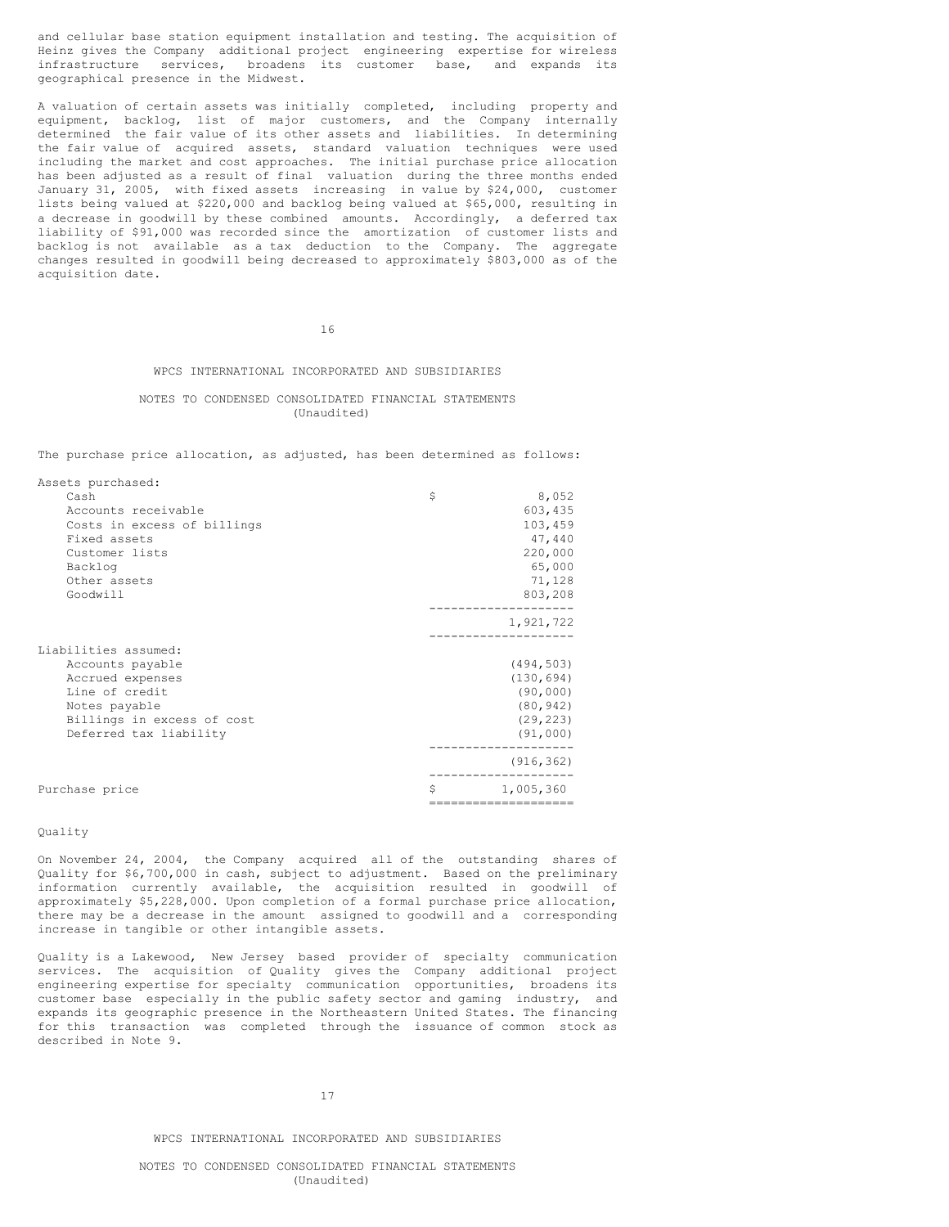and cellular base station equipment installation and testing. The acquisition of Heinz gives the Company additional project engineering expertise for wireless infrastructure services, broadens its customer base, and expands its geographical presence in the Midwest.

A valuation of certain assets was initially completed, including property and equipment, backlog, list of major customers, and the Company internally determined the fair value of its other assets and liabilities. In determining the fair value of acquired assets, standard valuation techniques were used including the market and cost approaches. The initial purchase price allocation has been adjusted as a result of final valuation during the three months ended January 31, 2005, with fixed assets increasing in value by \$24,000, customer lists being valued at \$220,000 and backlog being valued at \$65,000, resulting in a decrease in goodwill by these combined amounts. Accordingly, a deferred tax liability of \$91,000 was recorded since the amortization of customer lists and backlog is not available as a tax deduction to the Company. The aggregate changes resulted in goodwill being decreased to approximately \$803,000 as of the acquisition date.

16

## WPCS INTERNATIONAL INCORPORATED AND SUBSIDIARIES

#### NOTES TO CONDENSED CONSOLIDATED FINANCIAL STATEMENTS (Unaudited)

The purchase price allocation, as adjusted, has been determined as follows:

| Assets purchased:           |                  |
|-----------------------------|------------------|
| Cash                        | \$<br>8,052      |
| Accounts receivable         | 603,435          |
| Costs in excess of billings | 103,459          |
| Fixed assets                | 47,440           |
| Customer lists              | 220,000          |
| Backlog                     | 65,000           |
| Other assets                | 71,128           |
| Goodwill                    | 803,208          |
|                             | 1,921,722        |
| Liabilities assumed:        |                  |
| Accounts payable            | (494, 503)       |
| Accrued expenses            | (130, 694)       |
| Line of credit              | (90,000)         |
| Notes payable               | (80, 942)        |
| Billings in excess of cost  | (29, 223)        |
| Deferred tax liability      | (91,000)         |
|                             | (916, 362)       |
| Purchase price              | \$<br>1,005,360  |
|                             | ---------------- |

## Quality

On November 24, 2004, the Company acquired all of the outstanding shares of Quality for \$6,700,000 in cash, subject to adjustment. Based on the preliminary information currently available, the acquisition resulted in goodwill of approximately \$5,228,000. Upon completion of a formal purchase price allocation, there may be a decrease in the amount assigned to goodwill and a corresponding increase in tangible or other intangible assets.

Quality is a Lakewood, New Jersey based provider of specialty communication services. The acquisition of Quality gives the Company additional project engineering expertise for specialty communication opportunities, broadens its customer base especially in the public safety sector and gaming industry, and expands its geographic presence in the Northeastern United States. The financing for this transaction was completed through the issuance of common stock as described in Note 9.

NOTES TO CONDENSED CONSOLIDATED FINANCIAL STATEMENTS (Unaudited)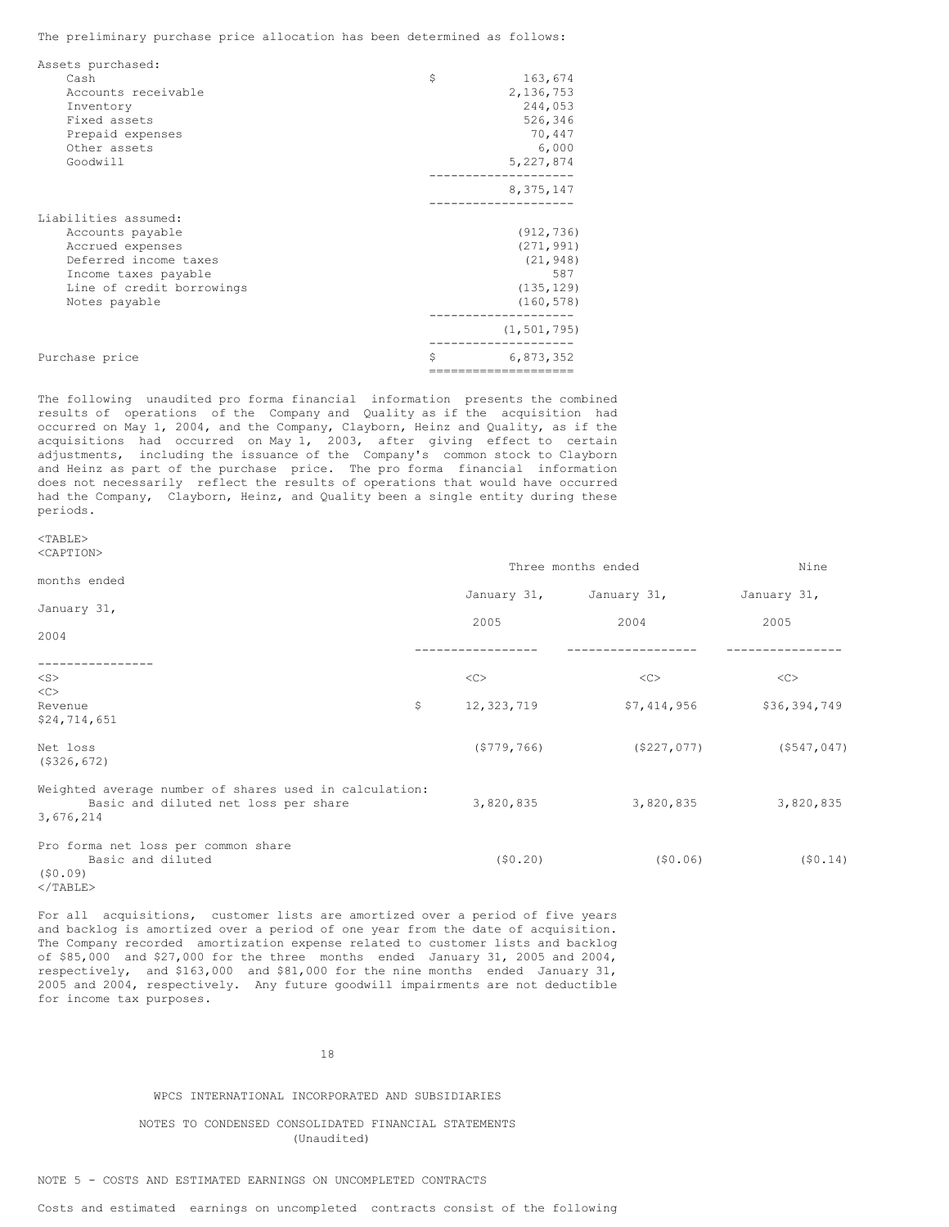The preliminary purchase price allocation has been determined as follows:

| Assets purchased:         |                         |
|---------------------------|-------------------------|
| Cash                      | \$<br>163,674           |
| Accounts receivable       | 2,136,753               |
| Inventory                 | 244,053                 |
| Fixed assets              | 526,346                 |
| Prepaid expenses          | 70,447                  |
| Other assets              | 6,000                   |
| Goodwill                  | 5,227,874               |
|                           | 8,375,147               |
| Liabilities assumed:      |                         |
| Accounts payable          | (912, 736)              |
| Accrued expenses          | (271, 991)              |
| Deferred income taxes     | (21, 948)               |
| Income taxes payable      | 587                     |
| Line of credit borrowings | (135, 129)              |
| Notes payable             | (160, 578)              |
|                           | (1, 501, 795)           |
| Purchase price            | \$<br>6,873,352         |
|                           | ----------------------- |

The following unaudited pro forma financial information presents the combined results of operations of the Company and Quality as if the acquisition had occurred on May 1, 2004, and the Company, Clayborn, Heinz and Quality, as if the acquisitions had occurred on May 1, 2003, after giving effect to certain adjustments, including the issuance of the Company's common stock to Clayborn and Heinz as part of the purchase price. The pro forma financial information does not necessarily reflect the results of operations that would have occurred had the Company, Clayborn, Heinz, and Quality been a single entity during these periods.

<sup>&</sup>lt;TABLE> <CAPTION>

| months ended                                                                                                |    | Three months ended | Nine          |                |
|-------------------------------------------------------------------------------------------------------------|----|--------------------|---------------|----------------|
|                                                                                                             |    | January 31,        | January 31,   | January 31,    |
| January 31,                                                                                                 |    | 2005               | 2004          | 2005           |
| 2004                                                                                                        |    |                    |               |                |
|                                                                                                             |    |                    |               |                |
| $<$ S $>$                                                                                                   |    | <<                 | <<            | <<             |
| <<                                                                                                          |    |                    |               |                |
| Revenue<br>\$24,714,651                                                                                     | \$ | 12,323,719         | \$7,414,956   | \$36,394,749   |
| Net loss<br>$($ \$326,672)                                                                                  |    | (5779, 766)        | ( \$227, 077) | $($ \$547,047) |
| Weighted average number of shares used in calculation:<br>Basic and diluted net loss per share<br>3,676,214 |    | 3,820,835          | 3,820,835     | 3,820,835      |
| Pro forma net loss per common share<br>Basic and diluted<br>(50.09)                                         |    | (50.20)            | (50.06)       | (50.14)        |

 $<$ /TABLE>

For all acquisitions, customer lists are amortized over a period of five years and backlog is amortized over a period of one year from the date of acquisition. The Company recorded amortization expense related to customer lists and backlog of \$85,000 and \$27,000 for the three months ended January 31, 2005 and 2004, respectively, and \$163,000 and \$81,000 for the nine months ended January 31, 2005 and 2004, respectively. Any future goodwill impairments are not deductible for income tax purposes.

18

## WPCS INTERNATIONAL INCORPORATED AND SUBSIDIARIES

# NOTES TO CONDENSED CONSOLIDATED FINANCIAL STATEMENTS (Unaudited)

NOTE 5 - COSTS AND ESTIMATED EARNINGS ON UNCOMPLETED CONTRACTS

Costs and estimated earnings on uncompleted contracts consist of the following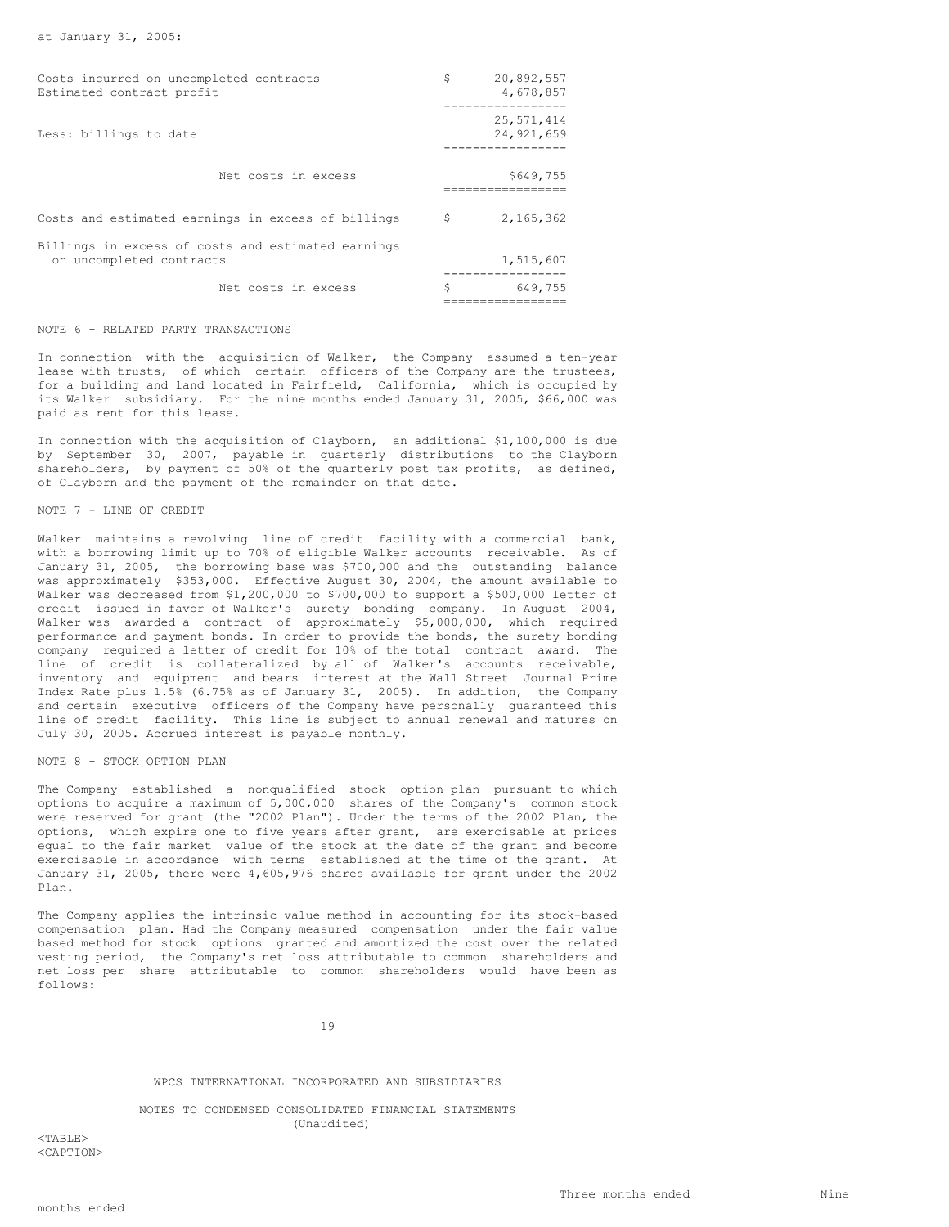| Costs incurred on uncompleted contracts<br>Estimated contract profit           | \$            | 20,892,557<br>4,678,857    |
|--------------------------------------------------------------------------------|---------------|----------------------------|
| Less: billings to date                                                         |               | 25,571,414<br>24, 921, 659 |
| Net costs in excess                                                            |               | \$649,755                  |
| Costs and estimated earnings in excess of billings                             | $\mathcal{S}$ | 2,165,362                  |
| Billings in excess of costs and estimated earnings<br>on uncompleted contracts |               | 1,515,607                  |
| Net costs in excess                                                            | \$            | 649.755                    |

#### NOTE 6 - RELATED PARTY TRANSACTIONS

In connection with the acquisition of Walker, the Company assumed a ten-year lease with trusts, of which certain officers of the Company are the trustees, for a building and land located in Fairfield, California, which is occupied by its Walker subsidiary. For the nine months ended January 31, 2005, \$66,000 was paid as rent for this lease.

In connection with the acquisition of Clayborn, an additional \$1,100,000 is due by September 30, 2007, payable in quarterly distributions to the Clayborn shareholders, by payment of 50% of the quarterly post tax profits, as defined, of Clayborn and the payment of the remainder on that date.

## NOTE 7 - LINE OF CREDIT

Walker maintains a revolving line of credit facility with a commercial bank, with a borrowing limit up to 70% of eligible Walker accounts receivable. As of January 31, 2005, the borrowing base was \$700,000 and the outstanding balance was approximately \$353,000. Effective August 30, 2004, the amount available to Walker was decreased from \$1,200,000 to \$700,000 to support a \$500,000 letter of credit issued in favor of Walker's surety bonding company. In August 2004, Walker was awarded a contract of approximately \$5,000,000, which required performance and payment bonds. In order to provide the bonds, the surety bonding company required a letter of credit for 10% of the total contract award. The line of credit is collateralized by all of Walker's accounts receivable, inventory and equipment and bears interest at the Wall Street Journal Prime Index Rate plus 1.5% (6.75% as of January 31, 2005). In addition, the Company and certain executive officers of the Company have personally guaranteed this line of credit facility. This line is subject to annual renewal and matures on July 30, 2005. Accrued interest is payable monthly.

## NOTE 8 - STOCK OPTION PLAN

The Company established a nonqualified stock option plan pursuant to which options to acquire a maximum of 5,000,000 shares of the Company's common stock were reserved for grant (the "2002 Plan"). Under the terms of the 2002 Plan, the options, which expire one to five years after grant, are exercisable at prices equal to the fair market value of the stock at the date of the grant and become exercisable in accordance with terms established at the time of the grant. At January 31, 2005, there were 4,605,976 shares available for grant under the 2002 Plan.

The Company applies the intrinsic value method in accounting for its stock-based compensation plan. Had the Company measured compensation under the fair value based method for stock options granted and amortized the cost over the related vesting period, the Company's net loss attributable to common shareholders and net loss per share attributable to common shareholders would have been as follows:

19

#### WPCS INTERNATIONAL INCORPORATED AND SUBSIDIARIES

NOTES TO CONDENSED CONSOLIDATED FINANCIAL STATEMENTS (Unaudited)

 $<$ TABLE> <CAPTION>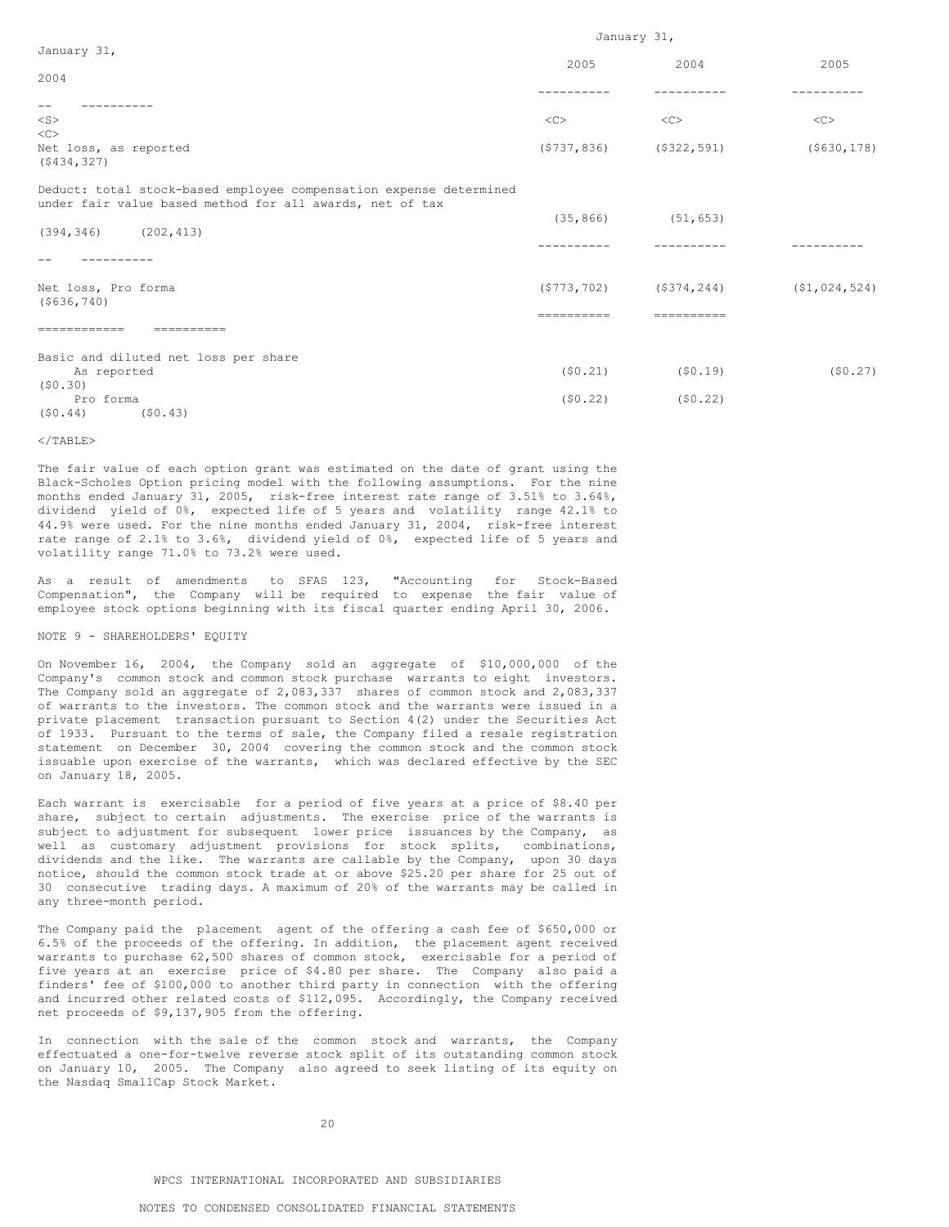|                                                                    | January 31,   |                             |                |
|--------------------------------------------------------------------|---------------|-----------------------------|----------------|
| January 31,                                                        | 2005          | 2004                        | 2005           |
| 2004                                                               |               |                             |                |
| $- -$<br>------                                                    | ---------     |                             | ---------      |
| $<$ S $>$                                                          | <<            | <<                          | <<             |
| <<                                                                 |               |                             |                |
| Net loss, as reported<br>( \$434, 327)                             |               | $(5737, 836)$ $(5322, 591)$ | ( \$630, 178)  |
| Deduct: total stock-based employee compensation expense determined |               |                             |                |
| under fair value based method for all awards, net of tax           | (35, 866)     | (51, 653)                   |                |
| $(394, 346)$ $(202, 413)$                                          |               |                             |                |
|                                                                    |               |                             |                |
| --------                                                           |               |                             |                |
| Net loss, Pro forma<br>$($ \$636,740)                              | ( \$773, 702) | (5374, 244)                 | (51, 024, 524) |
|                                                                    | ===========   | ----------                  |                |
| ==========<br>============                                         |               |                             |                |
| Basic and diluted net loss per share                               |               |                             |                |
| As reported                                                        | (50.21)       | (50.19)                     | (50.27)        |
| (50, 30)<br>Pro forma                                              |               |                             |                |
| (50.44)<br>(50.43)                                                 | (50.22)       | (50.22)                     |                |

 $<$ /TABLE>

The fair value of each option grant was estimated on the date of grant using the Black-Scholes Option pricing model with the following assumptions. For the nine months ended January 31, 2005, risk-free interest rate range of 3.51% to 3.64%, dividend yield of 0%, expected life of 5 years and volatility range 42.1% to 44.9% were used. For the nine months ended January 31, 2004, risk-free interest rate range of 2.1% to 3.6%, dividend yield of 0%, expected life of 5 years and volatility range 71.0% to 73.2% were used.

As a result of amendments to SFAS 123, "Accounting for Stock-Based Compensation", the Company will be required to expense the fair value of employee stock options beginning with its fiscal quarter ending April 30, 2006.

#### NOTE 9 - SHAREHOLDERS' EQUITY

On November 16, 2004, the Company sold an aggregate of \$10,000,000 of the Company's common stock and common stock purchase warrants to eight investors. The Company sold an aggregate of 2,083,337 shares of common stock and 2,083,337 of warrants to the investors. The common stock and the warrants were issued in a private placement transaction pursuant to Section 4(2) under the Securities Act of 1933. Pursuant to the terms of sale, the Company filed a resale registration statement on December 30, 2004 covering the common stock and the common stock issuable upon exercise of the warrants, which was declared effective by the SEC on January 18, 2005.

Each warrant is exercisable for a period of five years at a price of \$8.40 per share, subject to certain adjustments. The exercise price of the warrants is subject to adjustment for subsequent lower price issuances by the Company, as well as customary adjustment provisions for stock splits, combinations, dividends and the like. The warrants are callable by the Company, upon 30 days notice, should the common stock trade at or above \$25.20 per share for 25 out of 30 consecutive trading days. A maximum of 20% of the warrants may be called in any three-month period.

The Company paid the placement agent of the offering a cash fee of \$650,000 or 6.5% of the proceeds of the offering. In addition, the placement agent received warrants to purchase 62,500 shares of common stock, exercisable for a period of five years at an exercise price of \$4.80 per share. The Company also paid a finders' fee of \$100,000 to another third party in connection with the offering and incurred other related costs of \$112,095. Accordingly, the Company received net proceeds of \$9,137,905 from the offering.

In connection with the sale of the common stock and warrants, the Company effectuated a one-for-twelve reverse stock split of its outstanding common stock on January 10, 2005. The Company also agreed to seek listing of its equity on the Nasdaq SmallCap Stock Market.

 $20$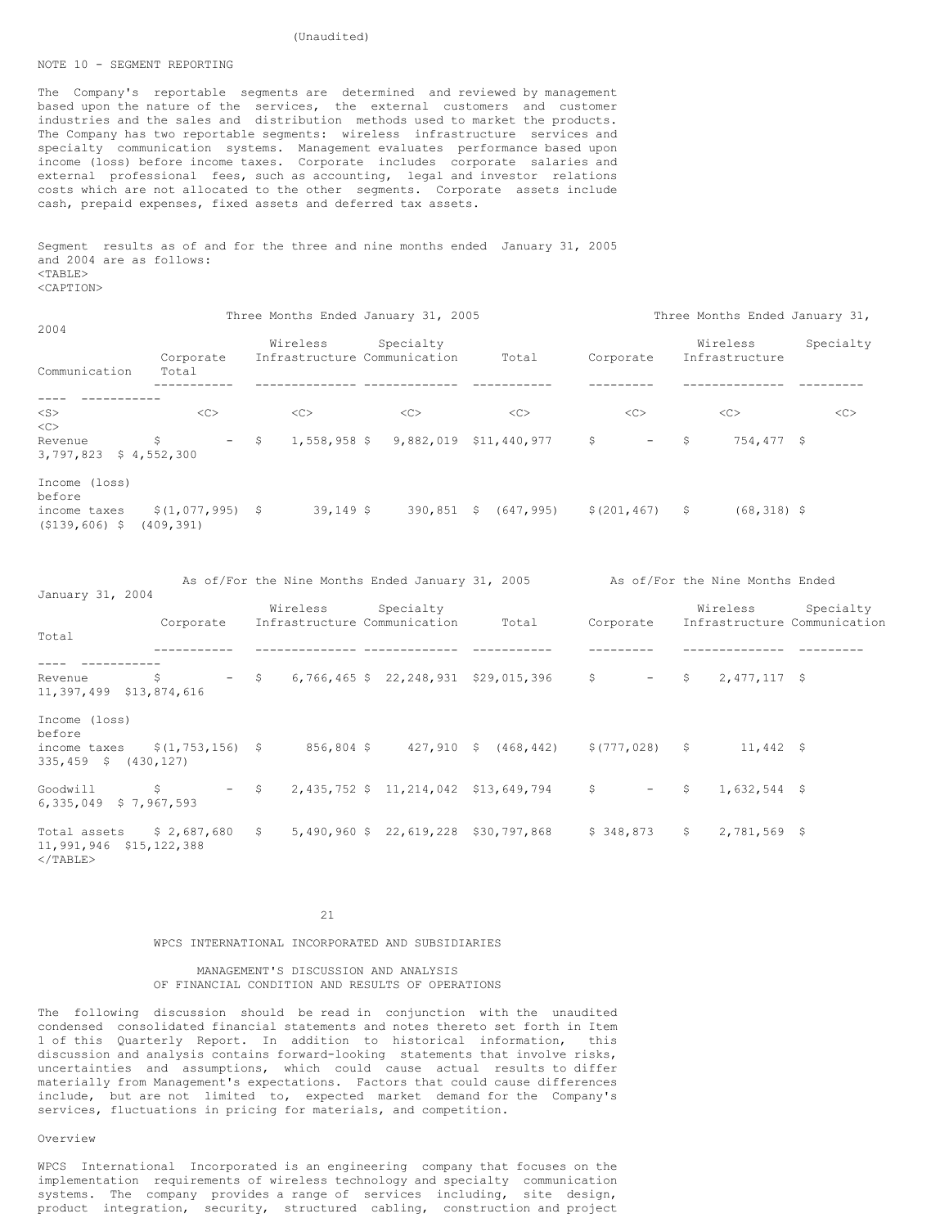## (Unaudited)

#### NOTE 10 - SEGMENT REPORTING

The Company's reportable segments are determined and reviewed by management based upon the nature of the services, the external customers and customer industries and the sales and distribution methods used to market the products. The Company has two reportable segments: wireless infrastructure services and specialty communication systems. Management evaluates performance based upon income (loss) before income taxes. Corporate includes corporate salaries and external professional fees, such as accounting, legal and investor relations costs which are not allocated to the other segments. Corporate assets include cash, prepaid expenses, fixed assets and deferred tax assets.

Segment results as of and for the three and nine months ended January 31, 2005 and 2004 are as follows: <TABLE> <CAPTION>

| 2004                                 |                                 | Three Months Ended January 31, 2005                   |            |                              |                                      | Three Months Ended January 31,   |           |  |
|--------------------------------------|---------------------------------|-------------------------------------------------------|------------|------------------------------|--------------------------------------|----------------------------------|-----------|--|
| Communication                        | Corporate<br>Total              | Wireless<br>Specialty<br>Infrastructure Communication |            | Total                        | Corporate                            | Wireless<br>Infrastructure       | Specialty |  |
| $<$ S $>$<br><<<br>Revenue           | <<<br>\$<br>$-$ \$              | <<<br>$1,558,958$ \$                                  | <<         | <<<br>9,882,019 \$11,440,977 | <<<br>\$<br>$\overline{\phantom{a}}$ | $<<$ $<$ $>$<br>754,477 \$<br>\$ | <<        |  |
| 3,797,823<br>Income (loss)<br>before | \$4,552,300                     |                                                       |            |                              |                                      |                                  |           |  |
| income taxes<br>$( $139, 606)$ \$    | $$(1,077,995)$ \$<br>(409, 391) | $39,149$ \$                                           | 390,851 \$ | (647, 995)                   | $$(201, 467)$ \$                     | $(68, 318)$ \$                   |           |  |

|                                                  |                                                       |             | As of/For the Nine Months Ended January 31, 2005 |                      |                          |               | As of/For the Nine Months Ended |                              |
|--------------------------------------------------|-------------------------------------------------------|-------------|--------------------------------------------------|----------------------|--------------------------|---------------|---------------------------------|------------------------------|
| January 31, 2004                                 |                                                       | Wireless    | Specialty                                        |                      |                          |               | Wireless                        | Specialty                    |
| Total                                            | Corporate                                             |             | Infrastructure Communication                     | Total                | Corporate                |               |                                 | Infrastructure Communication |
|                                                  |                                                       |             |                                                  |                      |                          |               |                                 |                              |
| Revenue<br>11,397,499 \$13,874,616               | \$.                                                   | $-$ \$      | $6, 766, 465$ \$ 22, 248, 931 \$29, 015, 396 \$  |                      | $\overline{\phantom{a}}$ | $\mathcal{S}$ | $2,477,117$ \$                  |                              |
| Income (loss)<br>before                          |                                                       |             |                                                  |                      |                          |               |                                 |                              |
| 335,459 \$ (430,127)                             | income taxes $\frac{1}{2}(1, 753, 156)$ \$ 856,804 \$ |             |                                                  | 427,910 \$ (468,442) | \$(777,028) \$           |               | $11,442$ \$                     |                              |
| Goodwill<br>$6, 335, 049$ \$ 7,967,593           | \$.                                                   | $ \sqrt{5}$ | 2,435,752 \$ 11,214,042 \$13,649,794 \$          |                      | $ \sqrt{S}$              |               | $1,632,544$ \$                  |                              |
| 11,991,946 \$15,122,388<br>$\epsilon$ /TARLE $>$ | Total assets $$2,687,680$ \$                          |             | 5,490,960 \$22,619,228 \$30,797,868              |                      | \$348,873                | $\mathsf{S}$  | $2,781,569$ \$                  |                              |

21

# WPCS INTERNATIONAL INCORPORATED AND SUBSIDIARIES

# MANAGEMENT'S DISCUSSION AND ANALYSIS OF FINANCIAL CONDITION AND RESULTS OF OPERATIONS

The following discussion should be read in conjunction with the unaudited condensed consolidated financial statements and notes thereto set forth in Item 1 of this Quarterly Report. In addition to historical information, this discussion and analysis contains forward-looking statements that involve risks, uncertainties and assumptions, which could cause actual results to differ materially from Management's expectations. Factors that could cause differences include, but are not limited to, expected market demand for the Company's services, fluctuations in pricing for materials, and competition.

#### Overview

WPCS International Incorporated is an engineering company that focuses on the implementation requirements of wireless technology and specialty communication systems. The company provides a range of services including, site design, product integration, security, structured cabling, construction and project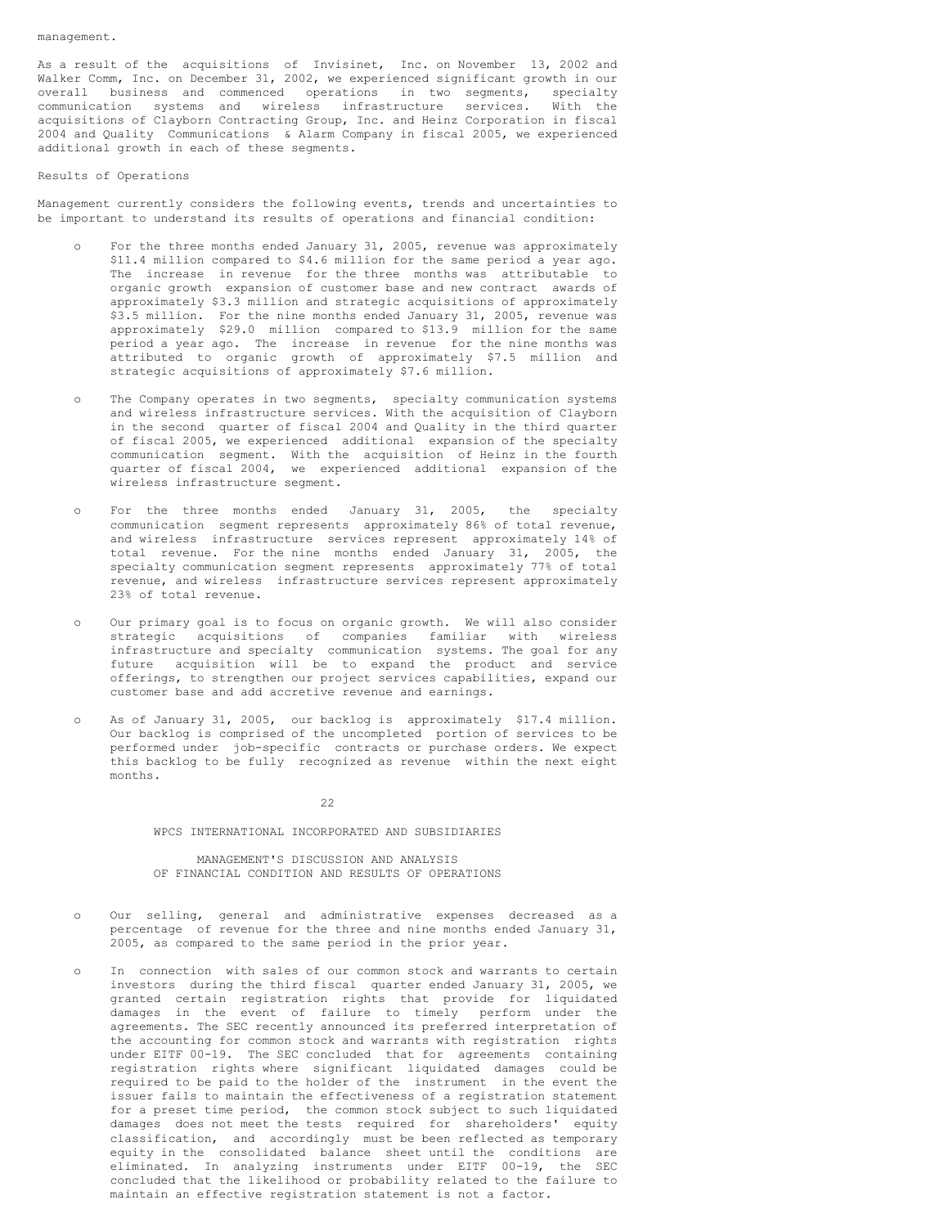As a result of the acquisitions of Invisinet, Inc. on November 13, 2002 and Walker Comm, Inc. on December 31, 2002, we experienced significant growth in our overall business and commenced operations in two segments, specialty communication systems and wireless infrastructure services. With the acquisitions of Clayborn Contracting Group, Inc. and Heinz Corporation in fiscal 2004 and Quality Communications & Alarm Company in fiscal 2005, we experienced additional growth in each of these segments.

## Results of Operations

Management currently considers the following events, trends and uncertainties to be important to understand its results of operations and financial condition:

- For the three months ended January 31, 2005, revenue was approximately \$11.4 million compared to \$4.6 million for the same period a year ago. The increase in revenue for the three months was attributable to organic growth expansion of customer base and new contract awards of approximately \$3.3 million and strategic acquisitions of approximately \$3.5 million. For the nine months ended January 31, 2005, revenue was approximately \$29.0 million compared to \$13.9 million for the same period a year ago. The increase in revenue for the nine months was attributed to organic growth of approximately \$7.5 million and strategic acquisitions of approximately \$7.6 million.
- o The Company operates in two segments, specialty communication systems and wireless infrastructure services. With the acquisition of Clayborn in the second quarter of fiscal 2004 and Quality in the third quarter of fiscal 2005, we experienced additional expansion of the specialty communication segment. With the acquisition of Heinz in the fourth quarter of fiscal 2004, we experienced additional expansion of the wireless infrastructure segment.
- For the three months ended January 31, 2005, the specialty communication segment represents approximately 86% of total revenue, and wireless infrastructure services represent approximately 14% of total revenue. For the nine months ended January 31, 2005, the specialty communication segment represents approximately 77% of total revenue, and wireless infrastructure services represent approximately 23% of total revenue.
- o Our primary goal is to focus on organic growth. We will also consider strategic acquisitions of companies familiar with wireless infrastructure and specialty communication systems. The goal for any future acquisition will be to expand the product and service offerings, to strengthen our project services capabilities, expand our customer base and add accretive revenue and earnings.
- o As of January 31, 2005, our backlog is approximately \$17.4 million. Our backlog is comprised of the uncompleted portion of services to be performed under job-specific contracts or purchase orders. We expect this backlog to be fully recognized as revenue within the next eight months.

22

WPCS INTERNATIONAL INCORPORATED AND SUBSIDIARIES

MANAGEMENT'S DISCUSSION AND ANALYSIS OF FINANCIAL CONDITION AND RESULTS OF OPERATIONS

- o Our selling, general and administrative expenses decreased as a percentage of revenue for the three and nine months ended January 31, 2005, as compared to the same period in the prior year.
- o In connection with sales of our common stock and warrants to certain investors during the third fiscal quarter ended January 31, 2005, we granted certain registration rights that provide for liquidated damages in the event of failure to timely perform under the agreements. The SEC recently announced its preferred interpretation of the accounting for common stock and warrants with registration rights under EITF 00-19. The SEC concluded that for agreements containing registration rights where significant liquidated damages could be required to be paid to the holder of the instrument in the event the issuer fails to maintain the effectiveness of a registration statement for a preset time period, the common stock subject to such liquidated damages does not meet the tests required for shareholders' equity classification, and accordingly must be been reflected as temporary equity in the consolidated balance sheet until the conditions are eliminated. In analyzing instruments under EITF 00-19, the SEC concluded that the likelihood or probability related to the failure to maintain an effective registration statement is not a factor.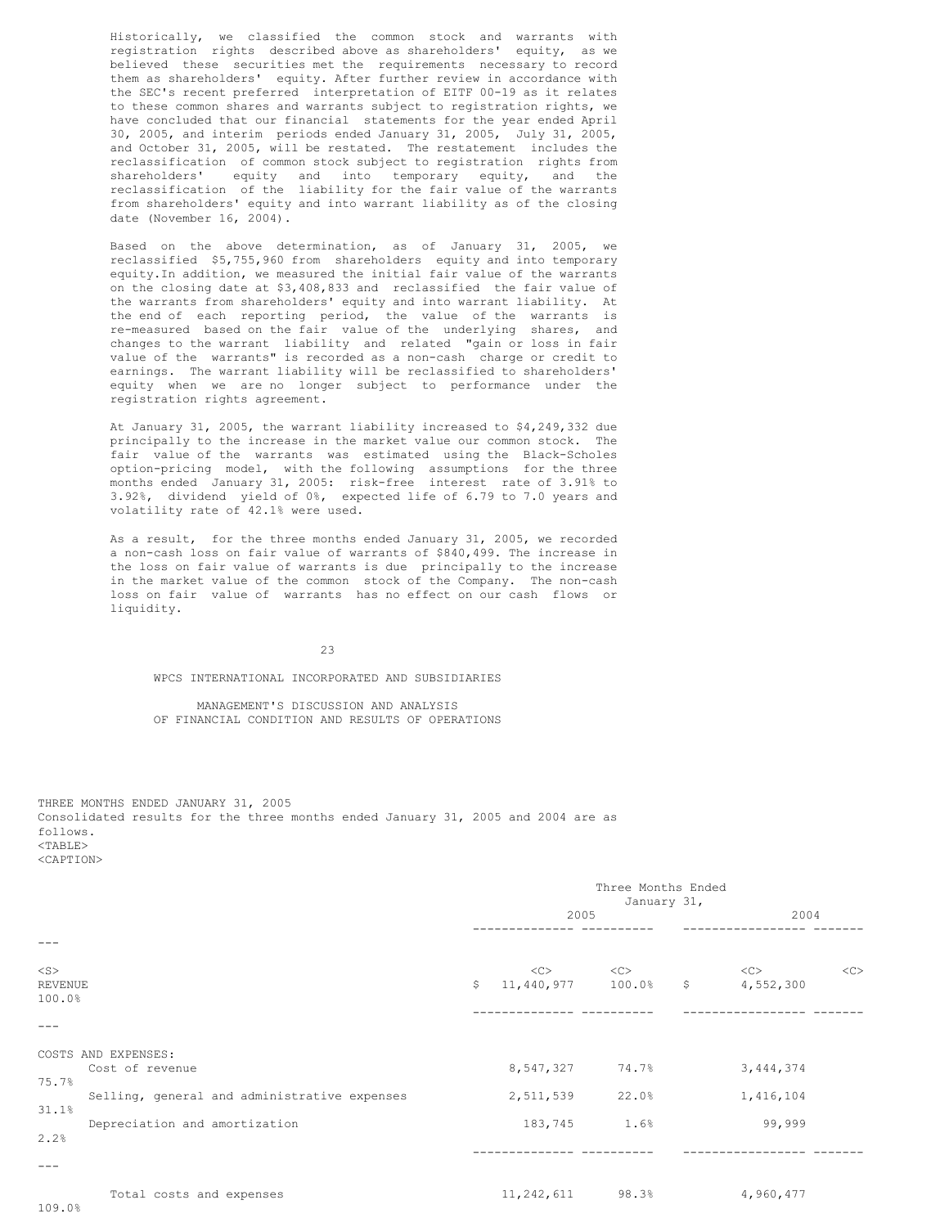Historically, we classified the common stock and warrants with registration rights described above as shareholders' equity, as we believed these securities met the requirements necessary to record them as shareholders' equity. After further review in accordance with the SEC's recent preferred interpretation of EITF 00-19 as it relates to these common shares and warrants subject to registration rights, we have concluded that our financial statements for the year ended April 30, 2005, and interim periods ended January 31, 2005, July 31, 2005, and October 31, 2005, will be restated. The restatement includes the reclassification of common stock subject to registration rights from shareholders' equity and into temporary equity, and the reclassification of the liability for the fair value of the warrants from shareholders' equity and into warrant liability as of the closing date (November 16, 2004).

Based on the above determination, as of January 31, 2005, we reclassified \$5,755,960 from shareholders equity and into temporary equity.In addition, we measured the initial fair value of the warrants on the closing date at \$3,408,833 and reclassified the fair value of the warrants from shareholders' equity and into warrant liability. At the end of each reporting period, the value of the warrants is re-measured based on the fair value of the underlying shares, and changes to the warrant liability and related "gain or loss in fair value of the warrants" is recorded as a non-cash charge or credit to earnings. The warrant liability will be reclassified to shareholders' equity when we are no longer subject to performance under the registration rights agreement.

At January 31, 2005, the warrant liability increased to \$4,249,332 due principally to the increase in the market value our common stock. The fair value of the warrants was estimated using the Black-Scholes option-pricing model, with the following assumptions for the three months ended January 31, 2005: risk-free interest rate of 3.91% to 3.92%, dividend yield of 0%, expected life of 6.79 to 7.0 years and volatility rate of 42.1% were used.

As a result, for the three months ended January 31, 2005, we recorded a non-cash loss on fair value of warrants of \$840,499. The increase in the loss on fair value of warrants is due principally to the increase in the market value of the common stock of the Company. The non-cash loss on fair value of warrants has no effect on our cash flows or liquidity.

23

WPCS INTERNATIONAL INCORPORATED AND SUBSIDIARIES

MANAGEMENT'S DISCUSSION AND ANALYSIS OF FINANCIAL CONDITION AND RESULTS OF OPERATIONS

THREE MONTHS ENDED JANUARY 31, 2005 Consolidated results for the three months ended January 31, 2005 and 2004 are as follows. <TABLE> <CAPTION>

|                                |                                              | Three Months Ended<br>January 31,<br>2005 |            |                     | 2004            |    |  |
|--------------------------------|----------------------------------------------|-------------------------------------------|------------|---------------------|-----------------|----|--|
|                                |                                              |                                           |            |                     |                 |    |  |
| $<$ S $>$<br>REVENUE<br>100.0% |                                              | \$<br><<><br>11,440,977 100.0%            | $<<$ C $>$ | $\ddot{\mathsf{S}}$ | <<<br>4,552,300 | << |  |
|                                |                                              |                                           |            |                     |                 |    |  |
|                                | COSTS AND EXPENSES:<br>Cost of revenue       | 8,547,327                                 | 74.7%      |                     | 3,444,374       |    |  |
| 75.7%<br>31.1%                 | Selling, general and administrative expenses | 2,511,539                                 | 22.0%      |                     | 1,416,104       |    |  |
| 2.2%                           | Depreciation and amortization                | 183,745                                   | 1.6%       |                     | 99,999          |    |  |
| $- - -$                        |                                              |                                           |            |                     |                 |    |  |
|                                | Total costs and expenses                     | 11,242,611 98.3%                          |            |                     | 4,960,477       |    |  |

109.0%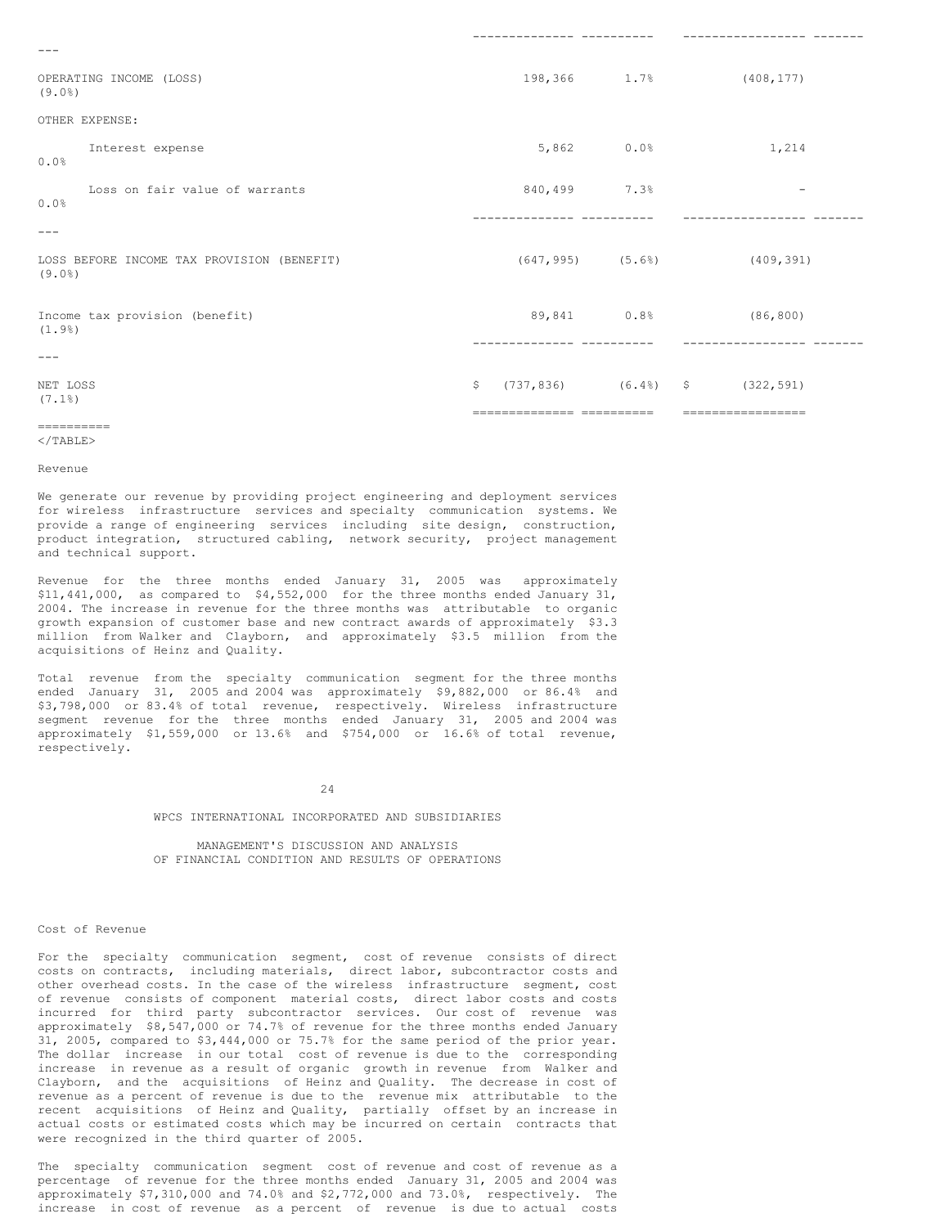| $---$                                               |                             |              |                                        |
|-----------------------------------------------------|-----------------------------|--------------|----------------------------------------|
| OPERATING INCOME (LOSS)<br>(9.0%                    |                             |              | 198,366 1.7% (408,177)                 |
| OTHER EXPENSE:                                      |                             |              |                                        |
| Interest expense<br>0.0%                            |                             | $5,862$ 0.0% | 1,214                                  |
| Loss on fair value of warrants<br>0.0%              | 840,499                     | 7.3%         | $\qquad \qquad -$                      |
| $- - -$                                             |                             |              |                                        |
| LOSS BEFORE INCOME TAX PROVISION (BENEFIT)<br>(9.0% | $(647, 995)$ $(5.6%$        |              | (409, 391)                             |
| Income tax provision (benefit)<br>(1.9)             |                             | 89,841 0.8%  | (86, 800)                              |
| ---                                                 |                             |              |                                        |
| NET LOSS<br>$(7.1$ $)$                              | \$<br>===================== |              | $(737, 836)$ $(6.4\%)$ \$ $(322, 591)$ |
| ==========                                          |                             |              |                                        |

 $<$ /TABLE $>$ 

Revenue

We generate our revenue by providing project engineering and deployment services for wireless infrastructure services and specialty communication systems. We provide a range of engineering services including site design, construction, product integration, structured cabling, network security, project management and technical support.

Revenue for the three months ended January 31, 2005 was approximately \$11,441,000, as compared to \$4,552,000 for the three months ended January 31, 2004. The increase in revenue for the three months was attributable to organic growth expansion of customer base and new contract awards of approximately \$3.3 million from Walker and Clayborn, and approximately \$3.5 million from the acquisitions of Heinz and Quality.

Total revenue from the specialty communication segment for the three months ended January 31, 2005 and 2004 was approximately \$9,882,000 or 86.4% and \$3,798,000 or 83.4% of total revenue, respectively. Wireless infrastructure segment revenue for the three months ended January 31, 2005 and 2004 was approximately \$1,559,000 or 13.6% and \$754,000 or 16.6% of total revenue, respectively.

24

WPCS INTERNATIONAL INCORPORATED AND SUBSIDIARIES

MANAGEMENT'S DISCUSSION AND ANALYSIS OF FINANCIAL CONDITION AND RESULTS OF OPERATIONS

## Cost of Revenue

For the specialty communication segment, cost of revenue consists of direct costs on contracts, including materials, direct labor, subcontractor costs and other overhead costs. In the case of the wireless infrastructure segment, cost of revenue consists of component material costs, direct labor costs and costs incurred for third party subcontractor services. Our cost of revenue was approximately \$8,547,000 or 74.7% of revenue for the three months ended January 31, 2005, compared to \$3,444,000 or 75.7% for the same period of the prior year. The dollar increase in our total cost of revenue is due to the corresponding increase in revenue as a result of organic growth in revenue from Walker and Clayborn, and the acquisitions of Heinz and Quality. The decrease in cost of revenue as a percent of revenue is due to the revenue mix attributable to the recent acquisitions of Heinz and Quality, partially offset by an increase in actual costs or estimated costs which may be incurred on certain contracts that were recognized in the third quarter of 2005.

The specialty communication segment cost of revenue and cost of revenue as a percentage of revenue for the three months ended January 31, 2005 and 2004 was approximately \$7,310,000 and 74.0% and \$2,772,000 and 73.0%, respectively. The increase in cost of revenue as a percent of revenue is due to actual costs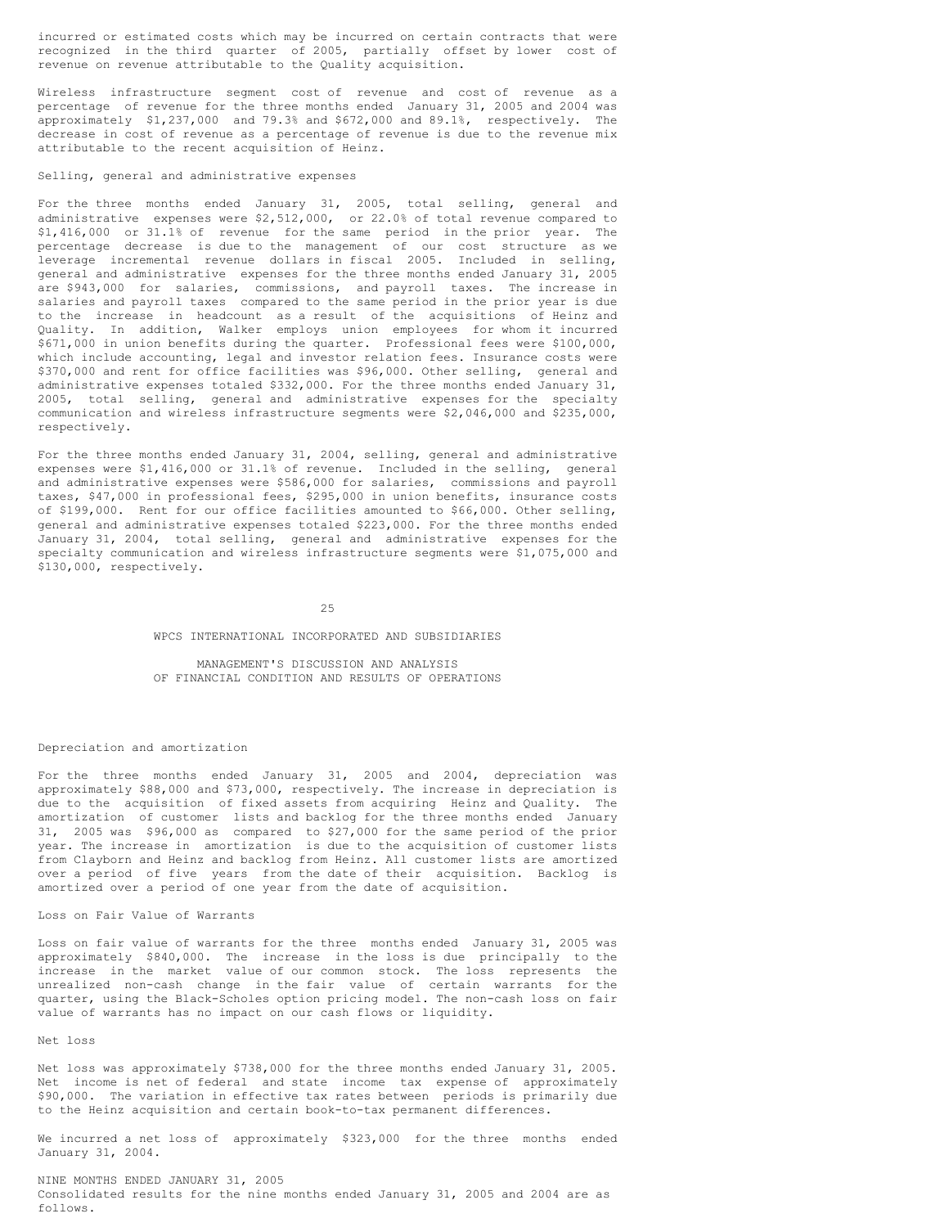incurred or estimated costs which may be incurred on certain contracts that were recognized in the third quarter of 2005, partially offset by lower cost of revenue on revenue attributable to the Quality acquisition.

Wireless infrastructure segment cost of revenue and cost of revenue as a percentage of revenue for the three months ended January 31, 2005 and 2004 was approximately \$1,237,000 and 79.3% and \$672,000 and 89.1%, respectively. The decrease in cost of revenue as a percentage of revenue is due to the revenue mix attributable to the recent acquisition of Heinz.

## Selling, general and administrative expenses

For the three months ended January 31, 2005, total selling, general and administrative expenses were \$2,512,000, or 22.0% of total revenue compared to \$1,416,000 or 31.1% of revenue for the same period in the prior year. The percentage decrease is due to the management of our cost structure as we leverage incremental revenue dollars in fiscal 2005. Included in selling, general and administrative expenses for the three months ended January 31, 2005 are \$943,000 for salaries, commissions, and payroll taxes. The increase in salaries and payroll taxes compared to the same period in the prior year is due to the increase in headcount as a result of the acquisitions of Heinz and Quality. In addition, Walker employs union employees for whom it incurred \$671,000 in union benefits during the quarter. Professional fees were \$100,000, which include accounting, legal and investor relation fees. Insurance costs were \$370,000 and rent for office facilities was \$96,000. Other selling, general and administrative expenses totaled \$332,000. For the three months ended January 31, 2005, total selling, general and administrative expenses for the specialty communication and wireless infrastructure segments were \$2,046,000 and \$235,000, respectively.

For the three months ended January 31, 2004, selling, general and administrative expenses were \$1,416,000 or 31.1% of revenue. Included in the selling, general and administrative expenses were \$586,000 for salaries, commissions and payroll taxes, \$47,000 in professional fees, \$295,000 in union benefits, insurance costs of \$199,000. Rent for our office facilities amounted to \$66,000. Other selling, general and administrative expenses totaled \$223,000. For the three months ended January 31, 2004, total selling, general and administrative expenses for the specialty communication and wireless infrastructure segments were \$1,075,000 and \$130,000, respectively.

25

#### WPCS INTERNATIONAL INCORPORATED AND SUBSIDIARIES

MANAGEMENT'S DISCUSSION AND ANALYSIS OF FINANCIAL CONDITION AND RESULTS OF OPERATIONS

# Depreciation and amortization

For the three months ended January 31, 2005 and 2004, depreciation was approximately \$88,000 and \$73,000, respectively. The increase in depreciation is due to the acquisition of fixed assets from acquiring Heinz and Quality. The amortization of customer lists and backlog for the three months ended January 31, 2005 was \$96,000 as compared to \$27,000 for the same period of the prior year. The increase in amortization is due to the acquisition of customer lists from Clayborn and Heinz and backlog from Heinz. All customer lists are amortized over a period of five years from the date of their acquisition. Backlog is amortized over a period of one year from the date of acquisition.

## Loss on Fair Value of Warrants

Loss on fair value of warrants for the three months ended January 31, 2005 was approximately \$840,000. The increase in the loss is due principally to the increase in the market value of our common stock. The loss represents the unrealized non-cash change in the fair value of certain warrants for the quarter, using the Black-Scholes option pricing model. The non-cash loss on fair value of warrants has no impact on our cash flows or liquidity.

Net loss

Net loss was approximately \$738,000 for the three months ended January 31, 2005. Net income is net of federal and state income tax expense of approximately \$90,000. The variation in effective tax rates between periods is primarily due to the Heinz acquisition and certain book-to-tax permanent differences.

We incurred a net loss of approximately \$323,000 for the three months ended January 31, 2004.

NINE MONTHS ENDED JANUARY 31, 2005 Consolidated results for the nine months ended January 31, 2005 and 2004 are as follows.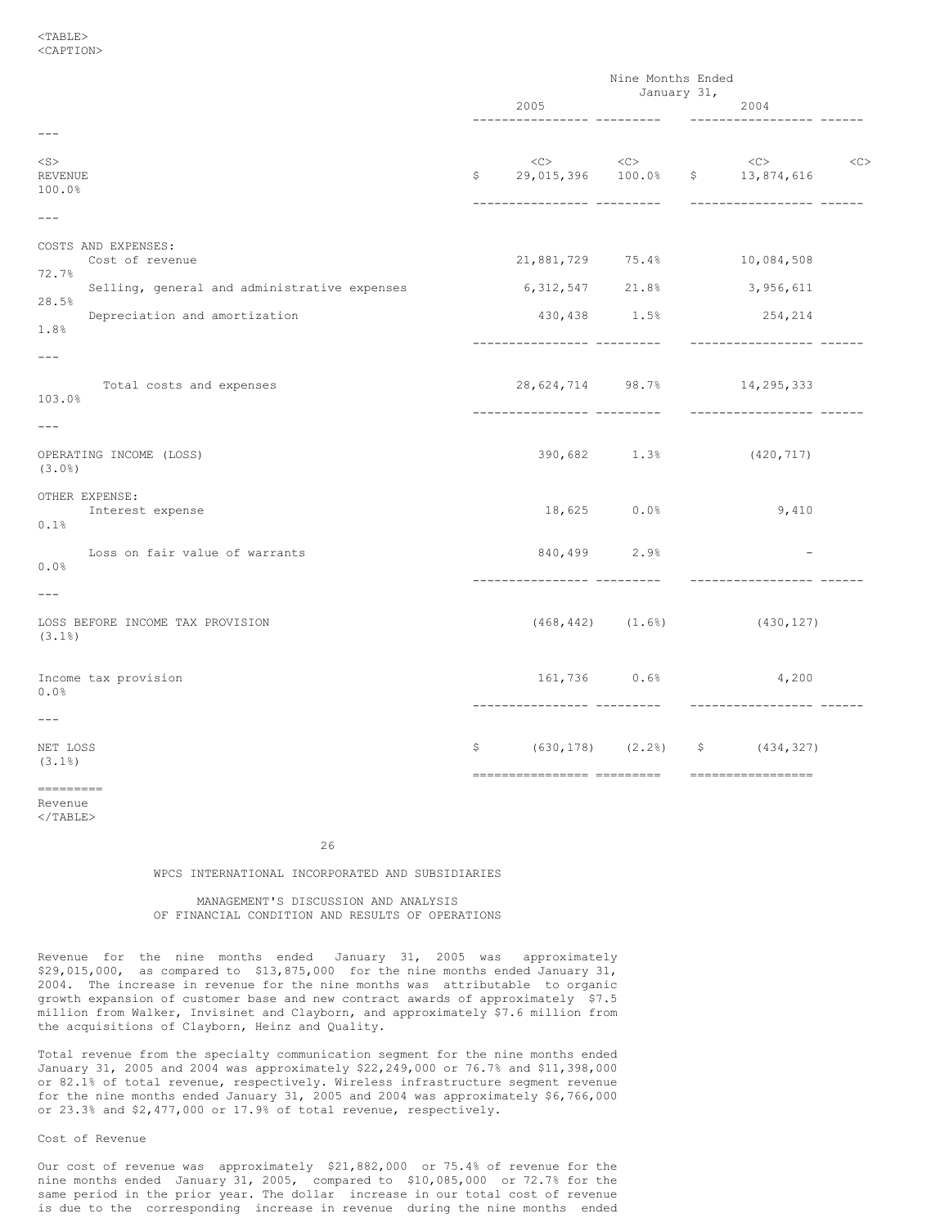|                                                                                                                                                                                                                                                                                                                                                                                                                                                                                                 |                                              | Nine Months Ended<br>January 31,<br>2005 |                               |                      | 2004 |                                                                            |  |
|-------------------------------------------------------------------------------------------------------------------------------------------------------------------------------------------------------------------------------------------------------------------------------------------------------------------------------------------------------------------------------------------------------------------------------------------------------------------------------------------------|----------------------------------------------|------------------------------------------|-------------------------------|----------------------|------|----------------------------------------------------------------------------|--|
| $\qquad \qquad - -$                                                                                                                                                                                                                                                                                                                                                                                                                                                                             |                                              |                                          | ----------------- --------    |                      |      | ------------------ ------                                                  |  |
| $<$ S $>$<br><b>REVENUE</b><br>100.0%                                                                                                                                                                                                                                                                                                                                                                                                                                                           |                                              | \$                                       | $<\infty$                     | < <c></c>            |      | $\langle C \rangle$ $\langle C \rangle$<br>29,015,396 100.0% \$ 13,874,616 |  |
| $---$                                                                                                                                                                                                                                                                                                                                                                                                                                                                                           |                                              |                                          | ----------------- ---------   |                      |      |                                                                            |  |
|                                                                                                                                                                                                                                                                                                                                                                                                                                                                                                 | COSTS AND EXPENSES:<br>Cost of revenue       |                                          |                               |                      |      | 21,881,729 75.4% 10,084,508                                                |  |
| 72.7%<br>28.5%                                                                                                                                                                                                                                                                                                                                                                                                                                                                                  | Selling, general and administrative expenses |                                          | 6, 312, 547 21.8% 3, 956, 611 |                      |      |                                                                            |  |
| 1.8%                                                                                                                                                                                                                                                                                                                                                                                                                                                                                            | Depreciation and amortization                |                                          | 430,438 1.5%                  |                      |      | 254,214                                                                    |  |
| $- - -$                                                                                                                                                                                                                                                                                                                                                                                                                                                                                         |                                              |                                          |                               |                      |      |                                                                            |  |
| 103.0%                                                                                                                                                                                                                                                                                                                                                                                                                                                                                          | Total costs and expenses                     |                                          |                               |                      |      | 28,624,714 98.7% 14,295,333                                                |  |
| $\qquad \qquad - -$                                                                                                                                                                                                                                                                                                                                                                                                                                                                             |                                              |                                          | ---------------- --------     |                      |      | ------------------ ------                                                  |  |
| (3.0%                                                                                                                                                                                                                                                                                                                                                                                                                                                                                           | OPERATING INCOME (LOSS)                      |                                          |                               |                      |      | 390,682 1.3% (420,717)                                                     |  |
| 0.1%                                                                                                                                                                                                                                                                                                                                                                                                                                                                                            | OTHER EXPENSE:<br>Interest expense           |                                          |                               | 18,625 0.0%          |      | 9,410                                                                      |  |
| 0.0%                                                                                                                                                                                                                                                                                                                                                                                                                                                                                            | Loss on fair value of warrants               |                                          | 840,499 2.9%                  |                      |      |                                                                            |  |
| $\frac{1}{2}$                                                                                                                                                                                                                                                                                                                                                                                                                                                                                   |                                              |                                          | ---------------- --------     |                      |      |                                                                            |  |
| (3.1)                                                                                                                                                                                                                                                                                                                                                                                                                                                                                           | LOSS BEFORE INCOME TAX PROVISION             |                                          |                               | $(468, 442)$ $(1.6%$ |      | (430, 127)                                                                 |  |
| 0.0%                                                                                                                                                                                                                                                                                                                                                                                                                                                                                            | Income tax provision                         |                                          |                               | 161,736 0.6%         |      | 4,200<br>------------------ ------                                         |  |
| $\frac{1}{2}$                                                                                                                                                                                                                                                                                                                                                                                                                                                                                   |                                              |                                          |                               |                      |      |                                                                            |  |
| NET LOSS<br>$(3.1$ $8)$                                                                                                                                                                                                                                                                                                                                                                                                                                                                         |                                              | \$                                       |                               |                      |      | $(630, 178)$ $(2.2\%)$ \$ $(434, 327)$                                     |  |
| $\begin{tabular}{ll} \multicolumn{2}{c}{\textbf{}} & \multicolumn{2}{c}{\textbf{}} & \multicolumn{2}{c}{\textbf{}} \\ \multicolumn{2}{c}{\textbf{}} & \multicolumn{2}{c}{\textbf{}} & \multicolumn{2}{c}{\textbf{}} \\ \multicolumn{2}{c}{\textbf{}} & \multicolumn{2}{c}{\textbf{}} & \multicolumn{2}{c}{\textbf{}} \\ \multicolumn{2}{c}{\textbf{}} & \multicolumn{2}{c}{\textbf{}} & \multicolumn{2}{c}{\textbf{}} \\ \multicolumn{2}{c}{\textbf{}} & \multicolumn{2}{c}{\textbf{}} & \mult$ |                                              |                                          |                               |                      |      |                                                                            |  |

Revenue  $<$ /TABLE $>$ 

26

#### WPCS INTERNATIONAL INCORPORATED AND SUBSIDIARIES

# MANAGEMENT'S DISCUSSION AND ANALYSIS OF FINANCIAL CONDITION AND RESULTS OF OPERATIONS

Revenue for the nine months ended January 31, 2005 was approximately \$29,015,000, as compared to \$13,875,000 for the nine months ended January 31, 2004. The increase in revenue for the nine months was attributable to organic growth expansion of customer base and new contract awards of approximately \$7.5 million from Walker, Invisinet and Clayborn, and approximately \$7.6 million from the acquisitions of Clayborn, Heinz and Quality.

Total revenue from the specialty communication segment for the nine months ended January 31, 2005 and 2004 was approximately \$22,249,000 or 76.7% and \$11,398,000 or 82.1% of total revenue, respectively. Wireless infrastructure segment revenue for the nine months ended January 31, 2005 and 2004 was approximately \$6,766,000 or 23.3% and \$2,477,000 or 17.9% of total revenue, respectively.

# Cost of Revenue

Our cost of revenue was approximately \$21,882,000 or 75.4% of revenue for the nine months ended January 31, 2005, compared to \$10,085,000 or 72.7% for the same period in the prior year. The dollar increase in our total cost of revenue is due to the corresponding increase in revenue during the nine months ended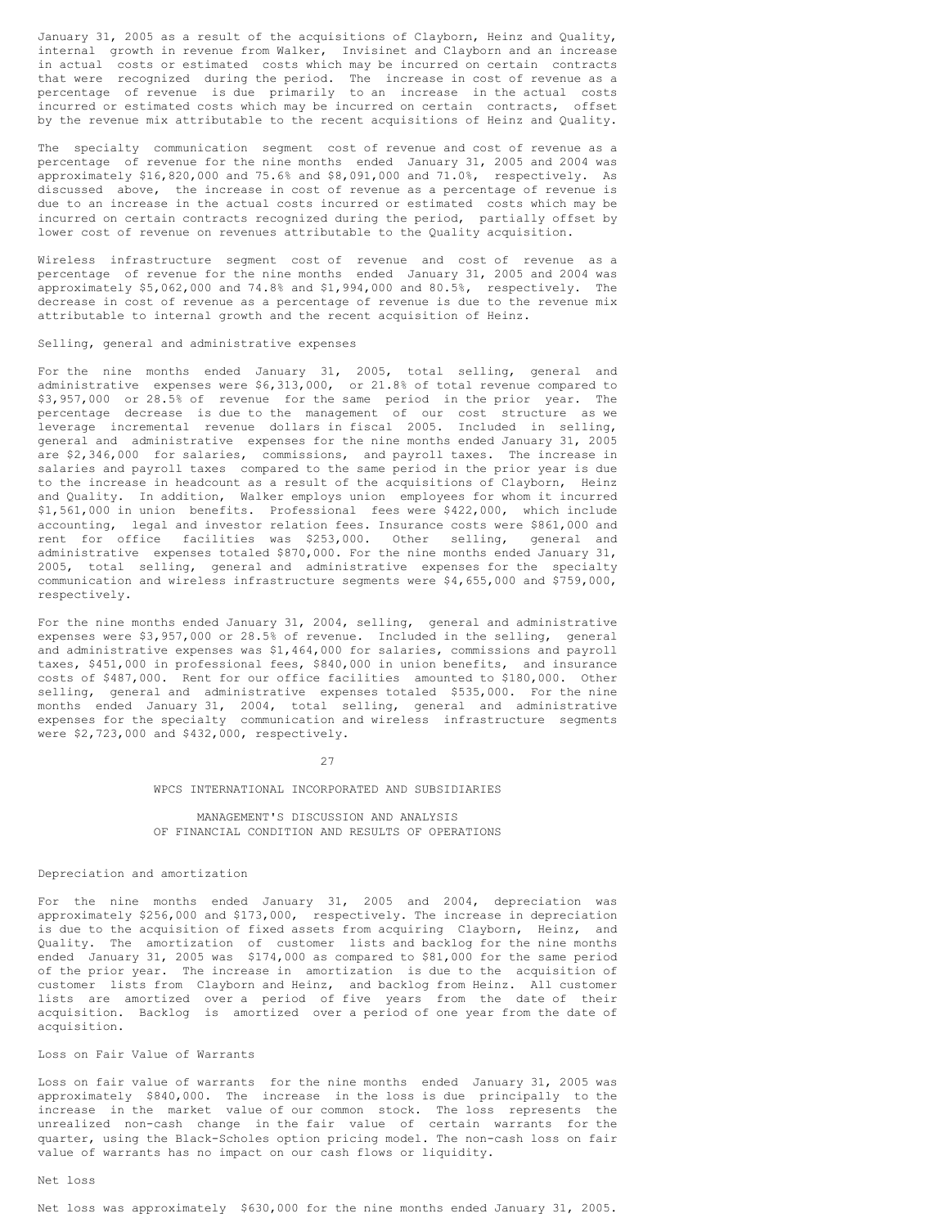January 31, 2005 as a result of the acquisitions of Clayborn, Heinz and Quality, internal growth in revenue from Walker, Invisinet and Clayborn and an increase in actual costs or estimated costs which may be incurred on certain contracts that were recognized during the period. The increase in cost of revenue as a percentage of revenue is due primarily to an increase in the actual costs incurred or estimated costs which may be incurred on certain contracts, offset by the revenue mix attributable to the recent acquisitions of Heinz and Quality.

The specialty communication segment cost of revenue and cost of revenue as a percentage of revenue for the nine months ended January 31, 2005 and 2004 was approximately \$16,820,000 and 75.6% and \$8,091,000 and 71.0%, respectively. As discussed above, the increase in cost of revenue as a percentage of revenue is due to an increase in the actual costs incurred or estimated costs which may be incurred on certain contracts recognized during the period, partially offset by lower cost of revenue on revenues attributable to the Quality acquisition.

Wireless infrastructure segment cost of revenue and cost of revenue as a percentage of revenue for the nine months ended January 31, 2005 and 2004 was approximately \$5,062,000 and 74.8% and \$1,994,000 and 80.5%, respectively. The decrease in cost of revenue as a percentage of revenue is due to the revenue mix attributable to internal growth and the recent acquisition of Heinz.

#### Selling, general and administrative expenses

For the nine months ended January 31, 2005, total selling, general and administrative expenses were \$6,313,000, or 21.8% of total revenue compared to \$3,957,000 or 28.5% of revenue for the same period in the prior year. The percentage decrease is due to the management of our cost structure as we leverage incremental revenue dollars in fiscal 2005. Included in selling, general and administrative expenses for the nine months ended January 31, 2005 are \$2,346,000 for salaries, commissions, and payroll taxes. The increase in salaries and payroll taxes compared to the same period in the prior year is due to the increase in headcount as a result of the acquisitions of Clayborn, Heinz and Quality. In addition, Walker employs union employees for whom it incurred \$1,561,000 in union benefits. Professional fees were \$422,000, which include accounting, legal and investor relation fees. Insurance costs were \$861,000 and rent for office facilities was \$253,000. Other selling, general and administrative expenses totaled \$870,000. For the nine months ended January 31, 2005, total selling, general and administrative expenses for the specialty communication and wireless infrastructure segments were \$4,655,000 and \$759,000, respectively.

For the nine months ended January 31, 2004, selling, general and administrative expenses were \$3,957,000 or 28.5% of revenue. Included in the selling, general and administrative expenses was \$1,464,000 for salaries, commissions and payroll taxes, \$451,000 in professional fees, \$840,000 in union benefits, and insurance costs of \$487,000. Rent for our office facilities amounted to \$180,000. Other selling, general and administrative expenses totaled \$535,000. For the nine months ended January 31, 2004, total selling, general and administrative expenses for the specialty communication and wireless infrastructure segments were \$2,723,000 and \$432,000, respectively.

#### 27

#### WPCS INTERNATIONAL INCORPORATED AND SUBSIDIARIES

# MANAGEMENT'S DISCUSSION AND ANALYSIS OF FINANCIAL CONDITION AND RESULTS OF OPERATIONS

## Depreciation and amortization

For the nine months ended January 31, 2005 and 2004, depreciation was approximately \$256,000 and \$173,000, respectively. The increase in depreciation is due to the acquisition of fixed assets from acquiring Clayborn, Heinz, and Quality. The amortization of customer lists and backlog for the nine months ended January 31, 2005 was \$174,000 as compared to \$81,000 for the same period of the prior year. The increase in amortization is due to the acquisition of customer lists from Clayborn and Heinz, and backlog from Heinz. All customer lists are amortized over a period of five years from the date of their acquisition. Backlog is amortized over a period of one year from the date of acquisition.

# Loss on Fair Value of Warrants

Loss on fair value of warrants for the nine months ended January 31, 2005 was approximately \$840,000. The increase in the loss is due principally to the increase in the market value of our common stock. The loss represents the unrealized non-cash change in the fair value of certain warrants for the quarter, using the Black-Scholes option pricing model. The non-cash loss on fair value of warrants has no impact on our cash flows or liquidity.

#### Net loss

Net loss was approximately \$630,000 for the nine months ended January 31, 2005.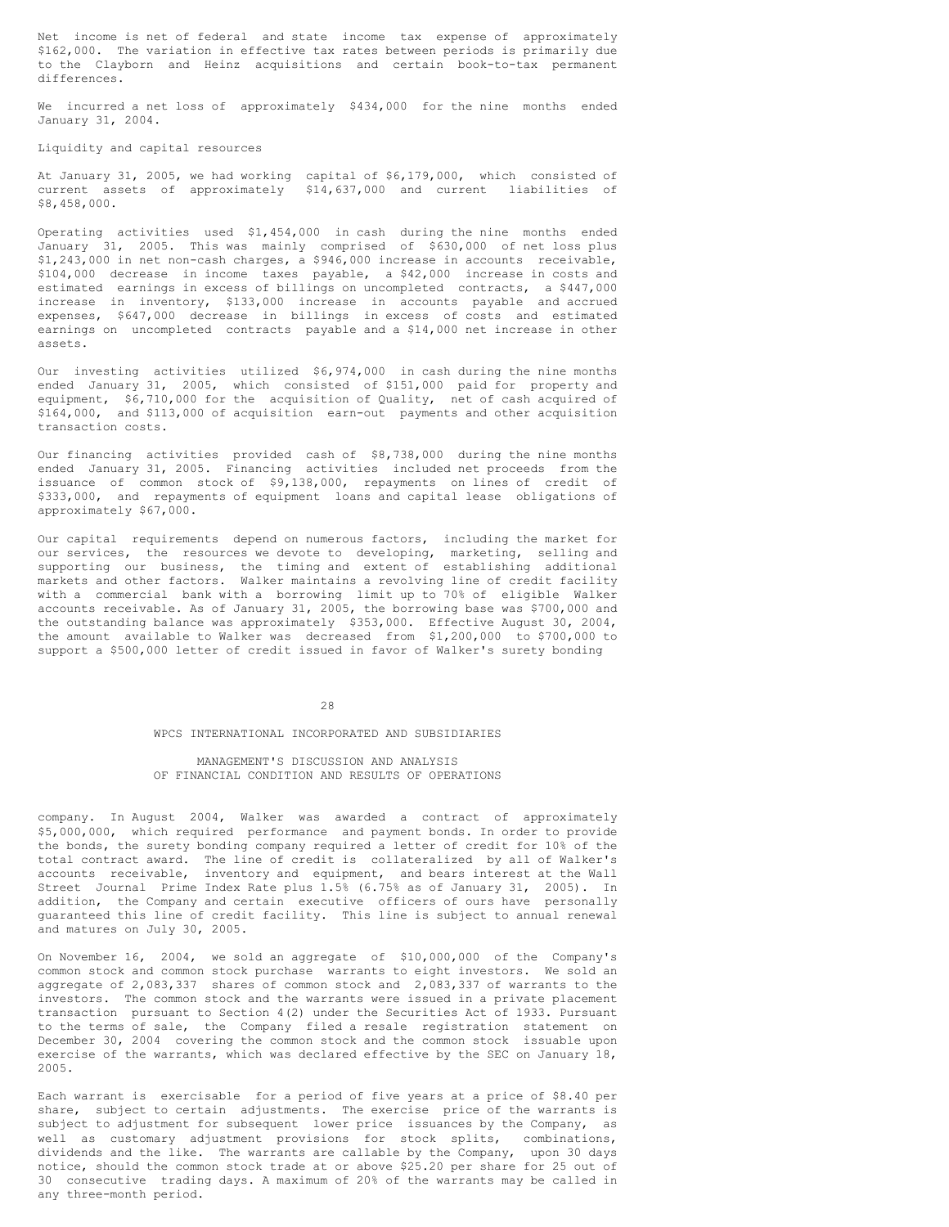Net income is net of federal and state income tax expense of approximately \$162,000. The variation in effective tax rates between periods is primarily due to the Clayborn and Heinz acquisitions and certain book-to-tax permanent differences.

We incurred a net loss of approximately \$434,000 for the nine months ended January 31, 2004.

## Liquidity and capital resources

At January 31, 2005, we had working capital of \$6,179,000, which consisted of current assets of approximately \$14,637,000 and current liabilities of \$8,458,000.

Operating activities used \$1,454,000 in cash during the nine months ended January 31, 2005. This was mainly comprised of \$630,000 of net loss plus \$1,243,000 in net non-cash charges, a \$946,000 increase in accounts receivable, \$104,000 decrease in income taxes payable, a \$42,000 increase in costs and estimated earnings in excess of billings on uncompleted contracts, a \$447,000 increase in inventory, \$133,000 increase in accounts payable and accrued expenses, \$647,000 decrease in billings in excess of costs and estimated earnings on uncompleted contracts payable and a \$14,000 net increase in other assets.

Our investing activities utilized \$6,974,000 in cash during the nine months ended January 31, 2005, which consisted of \$151,000 paid for property and equipment, \$6,710,000 for the acquisition of Quality, net of cash acquired of \$164,000, and \$113,000 of acquisition earn-out payments and other acquisition transaction costs.

Our financing activities provided cash of \$8,738,000 during the nine months ended January 31, 2005. Financing activities included net proceeds from the issuance of common stock of \$9,138,000, repayments on lines of credit of \$333,000, and repayments of equipment loans and capital lease obligations of approximately \$67,000.

Our capital requirements depend on numerous factors, including the market for our services, the resources we devote to developing, marketing, selling and supporting our business, the timing and extent of establishing additional markets and other factors. Walker maintains a revolving line of credit facility with a commercial bank with a borrowing limit up to 70% of eligible Walker accounts receivable. As of January 31, 2005, the borrowing base was \$700,000 and the outstanding balance was approximately \$353,000. Effective August 30, 2004, the amount available to Walker was decreased from \$1,200,000 to \$700,000 to support a \$500,000 letter of credit issued in favor of Walker's surety bonding

28

#### WPCS INTERNATIONAL INCORPORATED AND SUBSIDIARIES

## MANAGEMENT'S DISCUSSION AND ANALYSIS OF FINANCIAL CONDITION AND RESULTS OF OPERATIONS

company. In August 2004, Walker was awarded a contract of approximately \$5,000,000, which required performance and payment bonds. In order to provide the bonds, the surety bonding company required a letter of credit for 10% of the total contract award. The line of credit is collateralized by all of Walker's accounts receivable, inventory and equipment, and bears interest at the Wall Street Journal Prime Index Rate plus 1.5% (6.75% as of January 31, 2005). In addition, the Company and certain executive officers of ours have personally guaranteed this line of credit facility. This line is subject to annual renewal and matures on July 30, 2005.

On November 16, 2004, we sold an aggregate of \$10,000,000 of the Company's common stock and common stock purchase warrants to eight investors. We sold an aggregate of 2,083,337 shares of common stock and 2,083,337 of warrants to the investors. The common stock and the warrants were issued in a private placement transaction pursuant to Section 4(2) under the Securities Act of 1933. Pursuant to the terms of sale, the Company filed a resale registration statement on December 30, 2004 covering the common stock and the common stock issuable upon exercise of the warrants, which was declared effective by the SEC on January 18, 2005.

Each warrant is exercisable for a period of five years at a price of \$8.40 per share, subject to certain adjustments. The exercise price of the warrants is subject to adjustment for subsequent lower price issuances by the Company, as well as customary adjustment provisions for stock splits, combinations, dividends and the like. The warrants are callable by the Company, upon 30 days notice, should the common stock trade at or above \$25.20 per share for 25 out of 30 consecutive trading days. A maximum of 20% of the warrants may be called in any three-month period.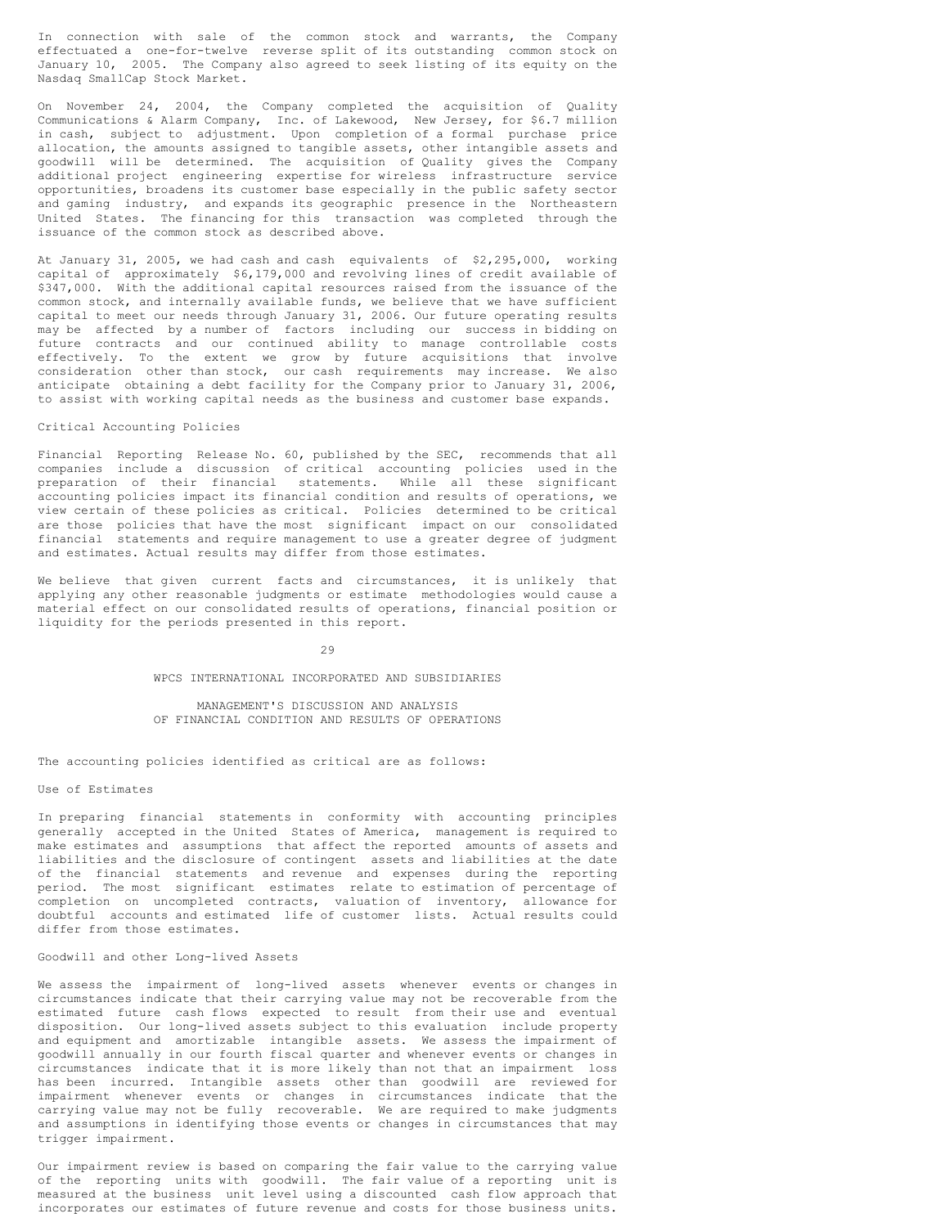In connection with sale of the common stock and warrants, the Company effectuated a one-for-twelve reverse split of its outstanding common stock on January 10, 2005. The Company also agreed to seek listing of its equity on the Nasdaq SmallCap Stock Market.

On November 24, 2004, the Company completed the acquisition of Quality Communications & Alarm Company, Inc. of Lakewood, New Jersey, for \$6.7 million in cash, subject to adjustment. Upon completion of a formal purchase price allocation, the amounts assigned to tangible assets, other intangible assets and goodwill will be determined. The acquisition of Quality gives the Company additional project engineering expertise for wireless infrastructure service opportunities, broadens its customer base especially in the public safety sector and gaming industry, and expands its geographic presence in the Northeastern United States. The financing for this transaction was completed through the issuance of the common stock as described above.

At January 31, 2005, we had cash and cash equivalents of \$2,295,000, working capital of approximately \$6,179,000 and revolving lines of credit available of \$347,000. With the additional capital resources raised from the issuance of the common stock, and internally available funds, we believe that we have sufficient capital to meet our needs through January 31, 2006. Our future operating results may be affected by a number of factors including our success in bidding on future contracts and our continued ability to manage controllable costs effectively. To the extent we grow by future acquisitions that involve consideration other than stock, our cash requirements may increase. We also anticipate obtaining a debt facility for the Company prior to January 31, 2006, to assist with working capital needs as the business and customer base expands.

#### Critical Accounting Policies

Financial Reporting Release No. 60, published by the SEC, recommends that all companies include a discussion of critical accounting policies used in the preparation of their financial statements. While all these significant accounting policies impact its financial condition and results of operations, we view certain of these policies as critical. Policies determined to be critical are those policies that have the most significant impact on our consolidated financial statements and require management to use a greater degree of judgment and estimates. Actual results may differ from those estimates.

We believe that given current facts and circumstances, it is unlikely that applying any other reasonable judgments or estimate methodologies would cause a material effect on our consolidated results of operations, financial position or liquidity for the periods presented in this report.

29

#### WPCS INTERNATIONAL INCORPORATED AND SUBSIDIARIES

MANAGEMENT'S DISCUSSION AND ANALYSIS OF FINANCIAL CONDITION AND RESULTS OF OPERATIONS

The accounting policies identified as critical are as follows:

# Use of Estimates

In preparing financial statements in conformity with accounting principles generally accepted in the United States of America, management is required to make estimates and assumptions that affect the reported amounts of assets and liabilities and the disclosure of contingent assets and liabilities at the date of the financial statements and revenue and expenses during the reporting period. The most significant estimates relate to estimation of percentage of completion on uncompleted contracts, valuation of inventory, allowance for doubtful accounts and estimated life of customer lists. Actual results could differ from those estimates.

# Goodwill and other Long-lived Assets

We assess the impairment of long-lived assets whenever events or changes in circumstances indicate that their carrying value may not be recoverable from the estimated future cash flows expected to result from their use and eventual disposition. Our long-lived assets subject to this evaluation include property and equipment and amortizable intangible assets. We assess the impairment of goodwill annually in our fourth fiscal quarter and whenever events or changes in circumstances indicate that it is more likely than not that an impairment loss has been incurred. Intangible assets other than goodwill are reviewed for impairment whenever events or changes in circumstances indicate that the carrying value may not be fully recoverable. We are required to make judgments and assumptions in identifying those events or changes in circumstances that may trigger impairment.

Our impairment review is based on comparing the fair value to the carrying value of the reporting units with goodwill. The fair value of a reporting unit is measured at the business unit level using a discounted cash flow approach that incorporates our estimates of future revenue and costs for those business units.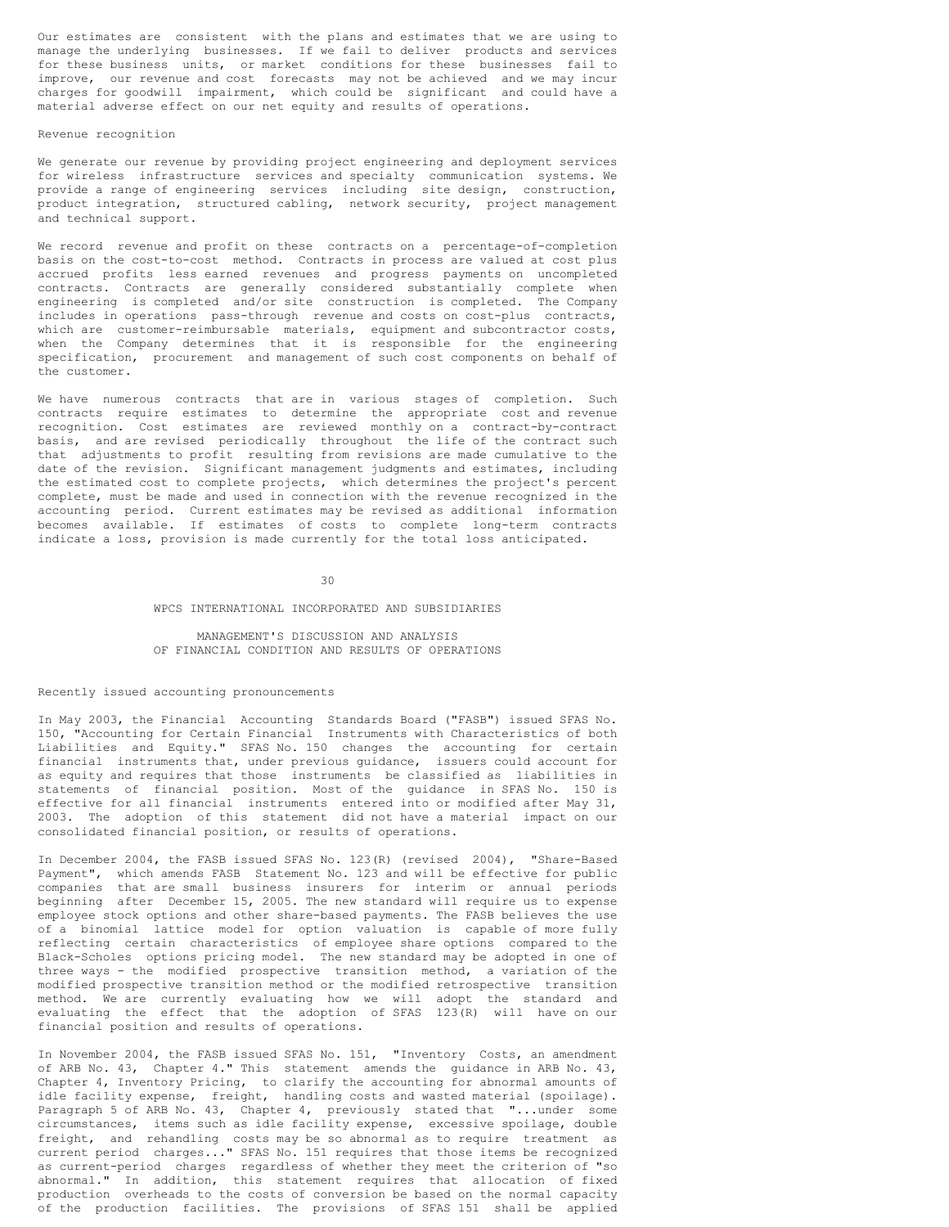Our estimates are consistent with the plans and estimates that we are using to manage the underlying businesses. If we fail to deliver products and services for these business units, or market conditions for these businesses fail to improve, our revenue and cost forecasts may not be achieved and we may incur charges for goodwill impairment, which could be significant and could have a material adverse effect on our net equity and results of operations.

# Revenue recognition

We generate our revenue by providing project engineering and deployment services for wireless infrastructure services and specialty communication systems. We provide a range of engineering services including site design, construction, product integration, structured cabling, network security, project management and technical support.

We record revenue and profit on these contracts on a percentage-of-completion basis on the cost-to-cost method. Contracts in process are valued at cost plus accrued profits less earned revenues and progress payments on uncompleted contracts. Contracts are generally considered substantially complete when engineering is completed and/or site construction is completed. The Company includes in operations pass-through revenue and costs on cost-plus contracts, which are customer-reimbursable materials, equipment and subcontractor costs, when the Company determines that it is responsible for the engineering specification, procurement and management of such cost components on behalf of the customer.

We have numerous contracts that are in various stages of completion. Such contracts require estimates to determine the appropriate cost and revenue recognition. Cost estimates are reviewed monthly on a contract-by-contract basis, and are revised periodically throughout the life of the contract such that adjustments to profit resulting from revisions are made cumulative to the date of the revision. Significant management judgments and estimates, including the estimated cost to complete projects, which determines the project's percent complete, must be made and used in connection with the revenue recognized in the accounting period. Current estimates may be revised as additional information becomes available. If estimates of costs to complete long-term contracts indicate a loss, provision is made currently for the total loss anticipated.

30

#### WPCS INTERNATIONAL INCORPORATED AND SUBSIDIARIES

## MANAGEMENT'S DISCUSSION AND ANALYSIS OF FINANCIAL CONDITION AND RESULTS OF OPERATIONS

# Recently issued accounting pronouncements

In May 2003, the Financial Accounting Standards Board ("FASB") issued SFAS No. 150, "Accounting for Certain Financial Instruments with Characteristics of both Liabilities and Equity." SFAS No. 150 changes the accounting for certain financial instruments that, under previous guidance, issuers could account for as equity and requires that those instruments be classified as liabilities in statements of financial position. Most of the guidance in SFAS No. 150 is effective for all financial instruments entered into or modified after May 31, 2003. The adoption of this statement did not have a material impact on our consolidated financial position, or results of operations.

In December 2004, the FASB issued SFAS No. 123(R) (revised 2004), "Share-Based Payment", which amends FASB Statement No. 123 and will be effective for public companies that are small business insurers for interim or annual periods beginning after December 15, 2005. The new standard will require us to expense employee stock options and other share-based payments. The FASB believes the use of a binomial lattice model for option valuation is capable of more fully reflecting certain characteristics of employee share options compared to the Black-Scholes options pricing model. The new standard may be adopted in one of three ways - the modified prospective transition method, a variation of the modified prospective transition method or the modified retrospective transition method. We are currently evaluating how we will adopt the standard and evaluating the effect that the adoption of SFAS 123(R) will have on our financial position and results of operations.

In November 2004, the FASB issued SFAS No. 151, "Inventory Costs, an amendment of ARB No. 43, Chapter 4." This statement amends the guidance in ARB No. 43, Chapter 4, Inventory Pricing, to clarify the accounting for abnormal amounts of idle facility expense, freight, handling costs and wasted material (spoilage). Paragraph 5 of ARB No. 43, Chapter 4, previously stated that "...under some circumstances, items such as idle facility expense, excessive spoilage, double freight, and rehandling costs may be so abnormal as to require treatment as current period charges..." SFAS No. 151 requires that those items be recognized as current-period charges regardless of whether they meet the criterion of "so abnormal." In addition, this statement requires that allocation of fixed production overheads to the costs of conversion be based on the normal capacity of the production facilities. The provisions of SFAS 151 shall be applied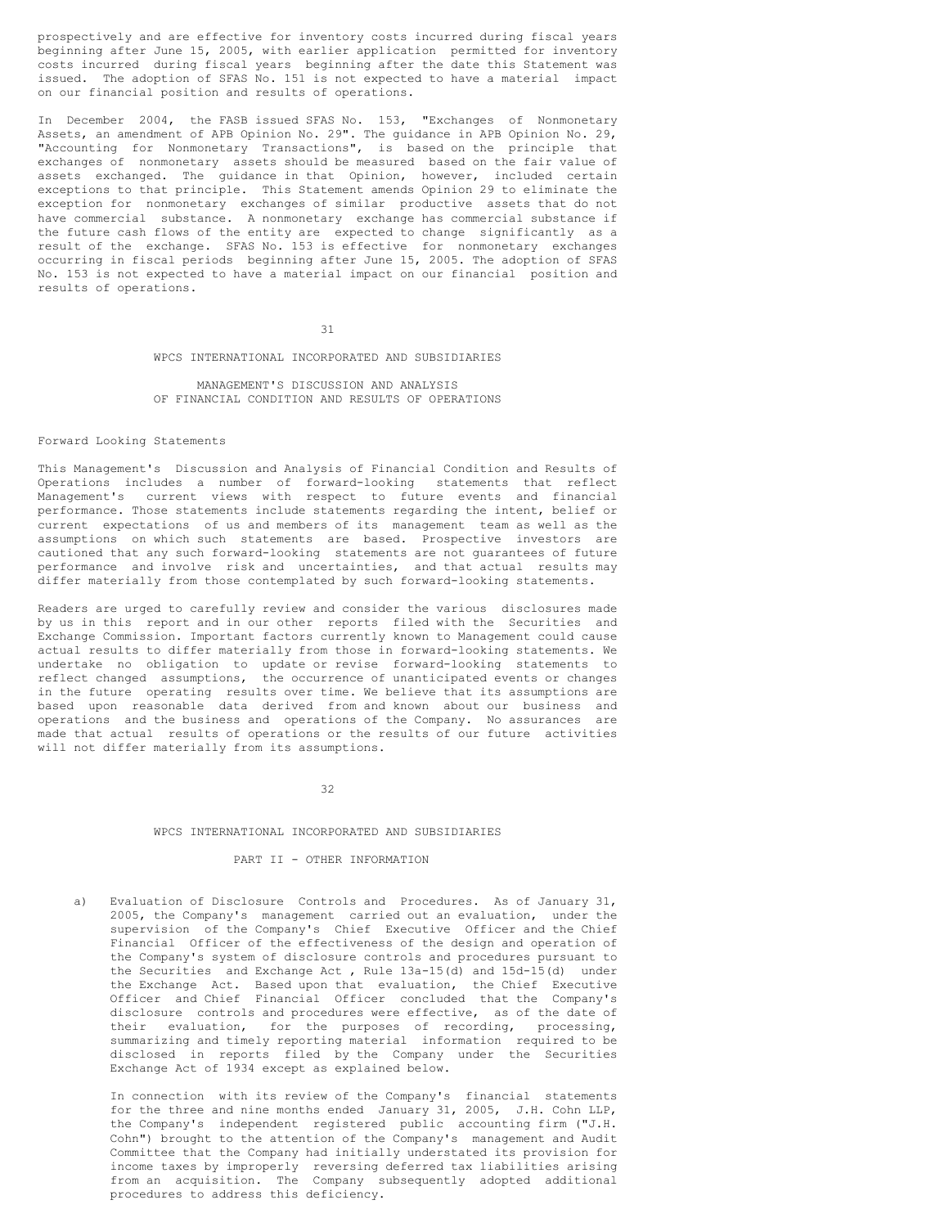prospectively and are effective for inventory costs incurred during fiscal years beginning after June 15, 2005, with earlier application permitted for inventory costs incurred during fiscal years beginning after the date this Statement was issued. The adoption of SFAS No. 151 is not expected to have a material impact on our financial position and results of operations.

In December 2004, the FASB issued SFAS No. 153, "Exchanges of Nonmonetary Assets, an amendment of APB Opinion No. 29". The guidance in APB Opinion No. 29, "Accounting for Nonmonetary Transactions", is based on the principle that exchanges of nonmonetary assets should be measured based on the fair value of assets exchanged. The guidance in that Opinion, however, included certain exceptions to that principle. This Statement amends Opinion 29 to eliminate the exception for nonmonetary exchanges of similar productive assets that do not have commercial substance. A nonmonetary exchange has commercial substance if the future cash flows of the entity are expected to change significantly as a result of the exchange. SFAS No. 153 is effective for nonmonetary exchanges occurring in fiscal periods beginning after June 15, 2005. The adoption of SFAS No. 153 is not expected to have a material impact on our financial position and results of operations.

31

## WPCS INTERNATIONAL INCORPORATED AND SUBSIDIARIES

MANAGEMENT'S DISCUSSION AND ANALYSIS OF FINANCIAL CONDITION AND RESULTS OF OPERATIONS

# Forward Looking Statements

This Management's Discussion and Analysis of Financial Condition and Results of Operations includes a number of forward-looking statements that reflect Management's current views with respect to future events and financial performance. Those statements include statements regarding the intent, belief or current expectations of us and members of its management team as well as the assumptions on which such statements are based. Prospective investors are cautioned that any such forward-looking statements are not guarantees of future performance and involve risk and uncertainties, and that actual results may differ materially from those contemplated by such forward-looking statements.

Readers are urged to carefully review and consider the various disclosures made by us in this report and in our other reports filed with the Securities and Exchange Commission. Important factors currently known to Management could cause actual results to differ materially from those in forward-looking statements. We undertake no obligation to update or revise forward-looking statements to reflect changed assumptions, the occurrence of unanticipated events or changes in the future operating results over time. We believe that its assumptions are based upon reasonable data derived from and known about our business and operations and the business and operations of the Company. No assurances are made that actual results of operations or the results of our future activities will not differ materially from its assumptions.

32

#### WPCS INTERNATIONAL INCORPORATED AND SUBSIDIARIES

# PART II - OTHER INFORMATION

a) Evaluation of Disclosure Controls and Procedures. As of January 31, 2005, the Company's management carried out an evaluation, under the supervision of the Company's Chief Executive Officer and the Chief Financial Officer of the effectiveness of the design and operation of the Company's system of disclosure controls and procedures pursuant to the Securities and Exchange Act , Rule 13a-15(d) and 15d-15(d) under the Exchange Act. Based upon that evaluation, the Chief Executive Officer and Chief Financial Officer concluded that the Company's disclosure controls and procedures were effective, as of the date of their evaluation, for the purposes of recording, processing, summarizing and timely reporting material information required to be disclosed in reports filed by the Company under the Securities Exchange Act of 1934 except as explained below.

In connection with its review of the Company's financial statements for the three and nine months ended January 31, 2005, J.H. Cohn LLP, the Company's independent registered public accounting firm ("J.H. Cohn") brought to the attention of the Company's management and Audit Committee that the Company had initially understated its provision for income taxes by improperly reversing deferred tax liabilities arising from an acquisition. The Company subsequently adopted additional procedures to address this deficiency.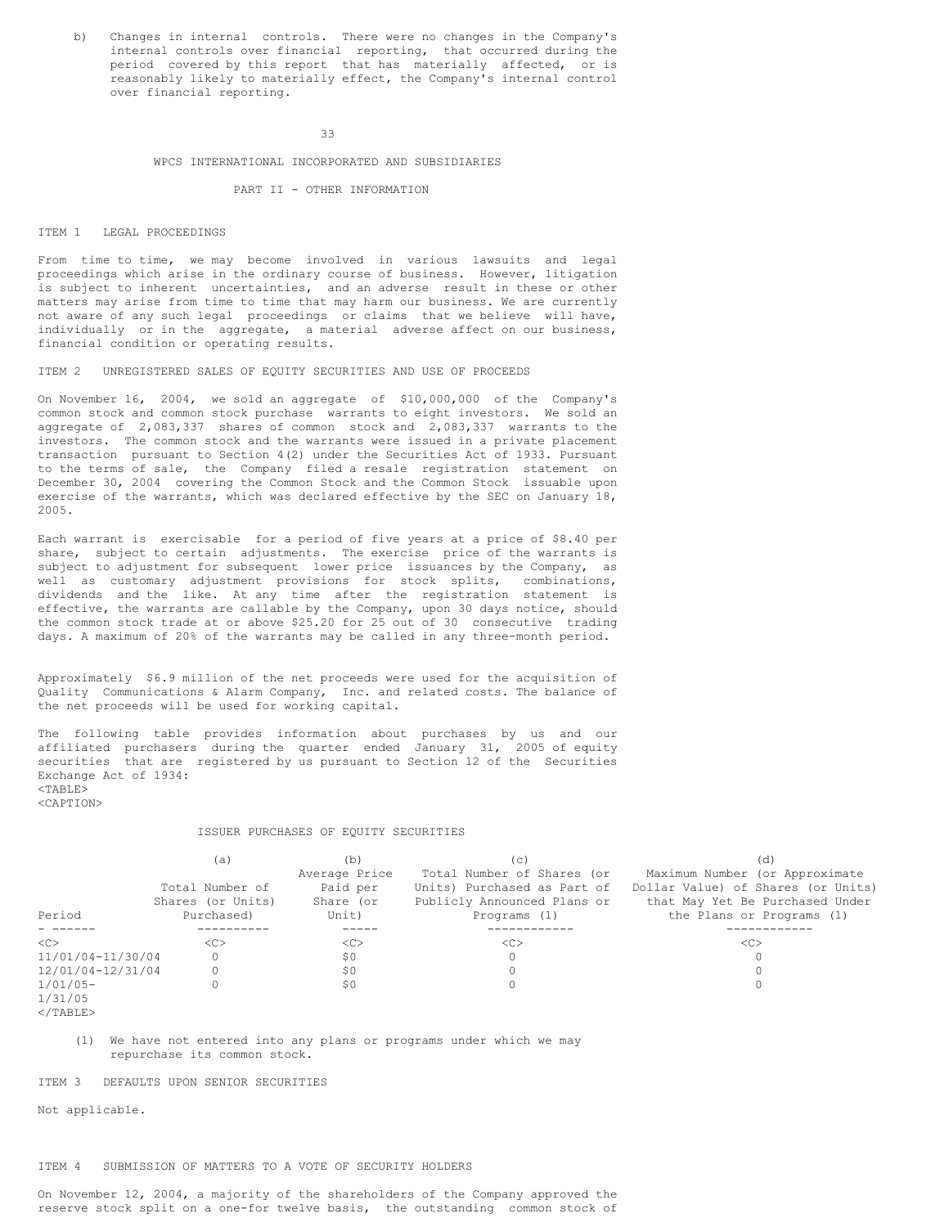b) Changes in internal controls. There were no changes in the Company's internal controls over financial reporting, that occurred during the period covered by this report that has materially affected, or is reasonably likely to materially effect, the Company's internal control over financial reporting.

33

#### WPCS INTERNATIONAL INCORPORATED AND SUBSIDIARIES

#### PART II - OTHER INFORMATION

#### ITEM 1 LEGAL PROCEEDINGS

From time to time, we may become involved in various lawsuits and legal proceedings which arise in the ordinary course of business. However, litigation is subject to inherent uncertainties, and an adverse result in these or other matters may arise from time to time that may harm our business. We are currently not aware of any such legal proceedings or claims that we believe will have, individually or in the aggregate, a material adverse affect on our business, financial condition or operating results.

ITEM 2 UNREGISTERED SALES OF EQUITY SECURITIES AND USE OF PROCEEDS

On November 16, 2004, we sold an aggregate of \$10,000,000 of the Company's common stock and common stock purchase warrants to eight investors. We sold an aggregate of 2,083,337 shares of common stock and 2,083,337 warrants to the investors. The common stock and the warrants were issued in a private placement transaction pursuant to Section 4(2) under the Securities Act of 1933. Pursuant to the terms of sale, the Company filed a resale registration statement on December 30, 2004 covering the Common Stock and the Common Stock issuable upon exercise of the warrants, which was declared effective by the SEC on January 18, 2005.

Each warrant is exercisable for a period of five years at a price of \$8.40 per share, subject to certain adjustments. The exercise price of the warrants is subject to adjustment for subsequent lower price issuances by the Company, as well as customary adjustment provisions for stock splits, combinations, dividends and the like. At any time after the registration statement is effective, the warrants are callable by the Company, upon 30 days notice, should the common stock trade at or above \$25.20 for 25 out of 30 consecutive trading days. A maximum of 20% of the warrants may be called in any three-month period.

Approximately \$6.9 million of the net proceeds were used for the acquisition of Quality Communications & Alarm Company, Inc. and related costs. The balance of the net proceeds will be used for working capital.

The following table provides information about purchases by us and our affiliated purchasers during the quarter ended January 31, 2005 of equity securities that are registered by us pursuant to Section 12 of the Securities Exchange Act of 1934:  $<$ TABLE $>$ 

<CAPTION>

#### ISSUER PURCHASES OF EQUITY SECURITIES

|                        | (a)               | (b)           | (c)                         | (d)                                |
|------------------------|-------------------|---------------|-----------------------------|------------------------------------|
|                        |                   | Average Price | Total Number of Shares (or  | Maximum Number (or Approximate     |
|                        | Total Number of   | Paid per      | Units) Purchased as Part of | Dollar Value) of Shares (or Units) |
|                        | Shares (or Units) | Share (or     | Publicly Announced Plans or | that May Yet Be Purchased Under    |
| Period                 | Purchased)        | Unit)         | Programs (1)                | the Plans or Programs (1)          |
|                        |                   |               |                             |                                    |
| <<                     | < <sub></sub>     | <<            | < <sub></sub>               | < <sub></sub>                      |
| 11/01/04-11/30/04      |                   | \$0           |                             |                                    |
| 12/01/04-12/31/04      |                   | \$0           |                             |                                    |
| $1/01/05 -$<br>1/31/05 |                   | \$O           |                             |                                    |

 $\langle$ /TABLE>

(1) We have not entered into any plans or programs under which we may repurchase its common stock.

ITEM 3 DEFAULTS UPON SENIOR SECURITIES

Not applicable.

# ITEM 4 SUBMISSION OF MATTERS TO A VOTE OF SECURITY HOLDERS

On November 12, 2004, a majority of the shareholders of the Company approved the reserve stock split on a one-for twelve basis, the outstanding common stock of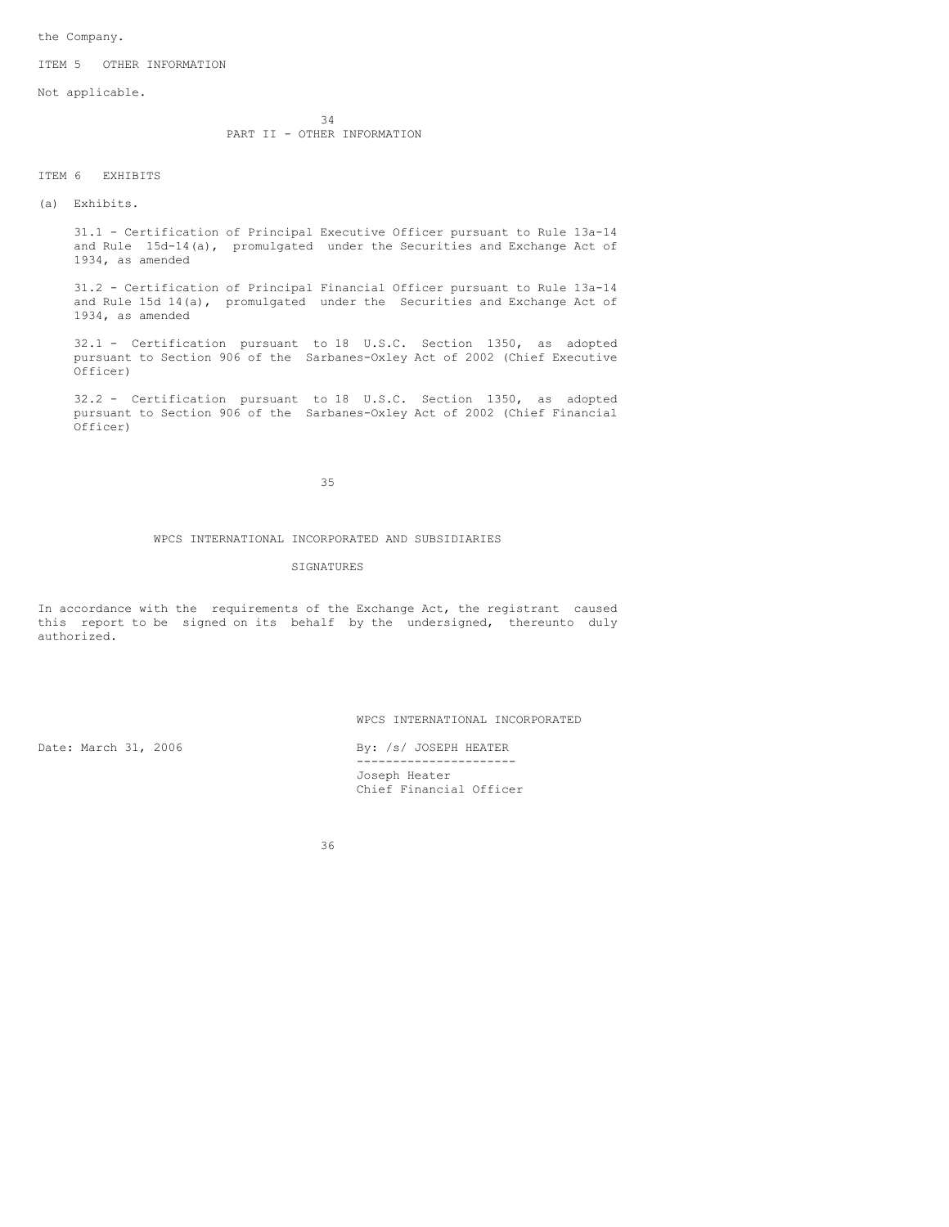the Company.

ITEM 5 OTHER INFORMATION

Not applicable.

$$
\begin{array}{cc} & 34 \\ \texttt{PART II} & - \texttt{ OTHER INFORMATION} \end{array}
$$

ITEM 6 EXHIBITS

(a) Exhibits.

31.1 - Certification of Principal Executive Officer pursuant to Rule 13a-14 and Rule 15d-14(a), promulgated under the Securities and Exchange Act of 1934, as amended

31.2 - Certification of Principal Financial Officer pursuant to Rule 13a-14 and Rule 15d 14(a), promulgated under the Securities and Exchange Act of 1934, as amended

32.1 - Certification pursuant to 18 U.S.C. Section 1350, as adopted pursuant to Section 906 of the Sarbanes-Oxley Act of 2002 (Chief Executive Officer)

32.2 - Certification pursuant to 18 U.S.C. Section 1350, as adopted pursuant to Section 906 of the Sarbanes-Oxley Act of 2002 (Chief Financial Officer)

35

#### WPCS INTERNATIONAL INCORPORATED AND SUBSIDIARIES

#### SIGNATURES

In accordance with the requirements of the Exchange Act, the registrant caused this report to be signed on its behalf by the undersigned, thereunto duly authorized.

WPCS INTERNATIONAL INCORPORATED

Date: March 31, 2006 By: /s/ JOSEPH HEATER ---------------------- Joseph Heater Chief Financial Officer

36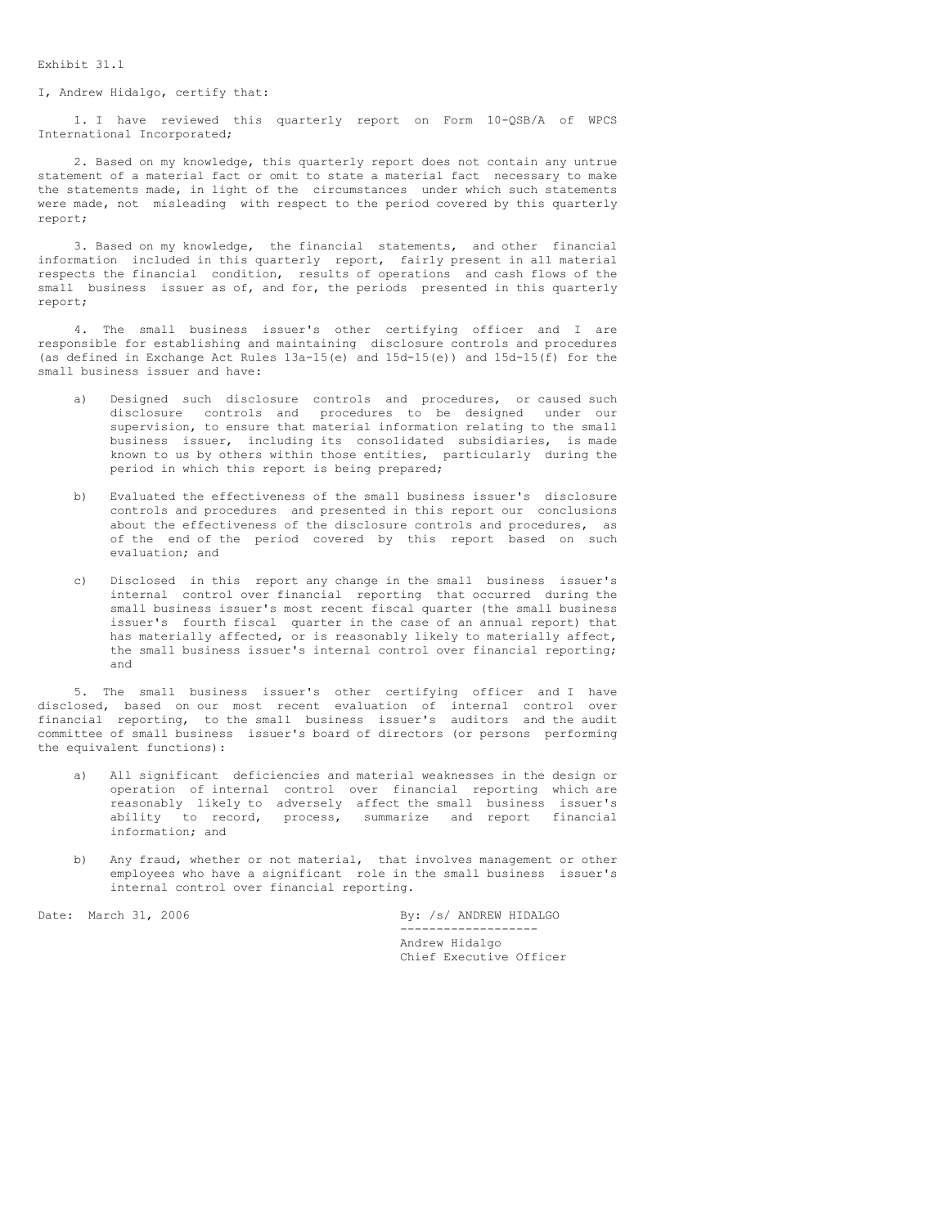Exhibit 31.1

I, Andrew Hidalgo, certify that:

1. I have reviewed this quarterly report on Form 10-QSB/A of WPCS International Incorporated;

2. Based on my knowledge, this quarterly report does not contain any untrue statement of a material fact or omit to state a material fact necessary to make the statements made, in light of the circumstances under which such statements were made, not misleading with respect to the period covered by this quarterly report;

3. Based on my knowledge, the financial statements, and other financial information included in this quarterly report, fairly present in all material respects the financial condition, results of operations and cash flows of the small business issuer as of, and for, the periods presented in this quarterly report;

4. The small business issuer's other certifying officer and I are responsible for establishing and maintaining disclosure controls and procedures (as defined in Exchange Act Rules 13a-15(e) and 15d-15(e)) and 15d-15(f) for the small business issuer and have:

- a) Designed such disclosure controls and procedures, or caused such disclosure controls and procedures to be designed under our supervision, to ensure that material information relating to the small business issuer, including its consolidated subsidiaries, is made known to us by others within those entities, particularly during the period in which this report is being prepared;
- b) Evaluated the effectiveness of the small business issuer's disclosure controls and procedures and presented in this report our conclusions about the effectiveness of the disclosure controls and procedures, as of the end of the period covered by this report based on such evaluation; and
- c) Disclosed in this report any change in the small business issuer's internal control over financial reporting that occurred during the small business issuer's most recent fiscal quarter (the small business issuer's fourth fiscal quarter in the case of an annual report) that has materially affected, or is reasonably likely to materially affect, the small business issuer's internal control over financial reporting; and

5. The small business issuer's other certifying officer and I have disclosed, based on our most recent evaluation of internal control over financial reporting, to the small business issuer's auditors and the audit committee of small business issuer's board of directors (or persons performing the equivalent functions):

- a) All significant deficiencies and material weaknesses in the design or operation of internal control over financial reporting which are reasonably likely to adversely affect the small business issuer's ability to record, process, summarize and report financial information; and
- b) Any fraud, whether or not material, that involves management or other employees who have a significant role in the small business issuer's internal control over financial reporting.

Date: March 31, 2006 By: /s/ ANDREW HIDALGO ------------------- Andrew Hidalgo Chief Executive Officer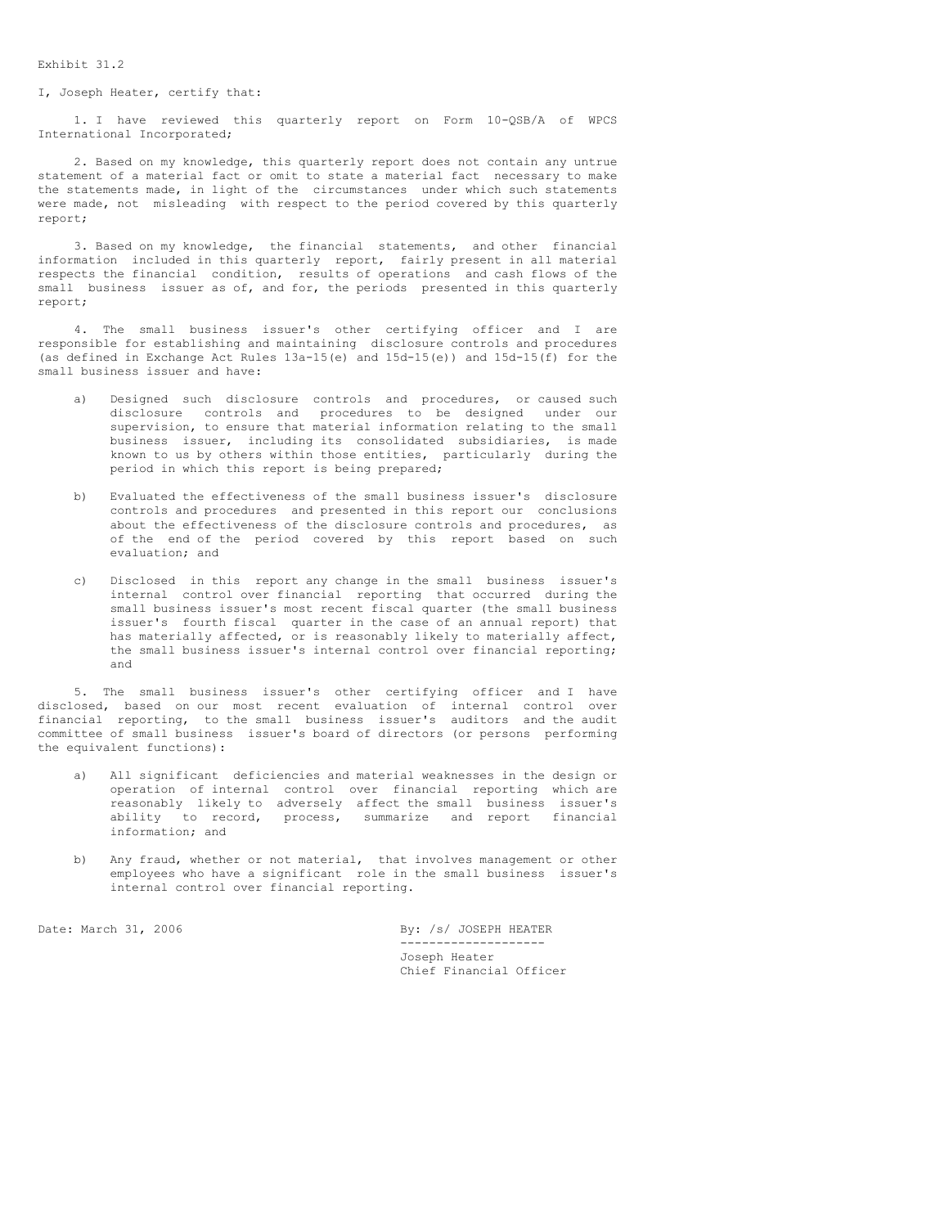Exhibit 31.2

I, Joseph Heater, certify that:

1. I have reviewed this quarterly report on Form 10-QSB/A of WPCS International Incorporated;

2. Based on my knowledge, this quarterly report does not contain any untrue statement of a material fact or omit to state a material fact necessary to make the statements made, in light of the circumstances under which such statements were made, not misleading with respect to the period covered by this quarterly report;

3. Based on my knowledge, the financial statements, and other financial information included in this quarterly report, fairly present in all material respects the financial condition, results of operations and cash flows of the small business issuer as of, and for, the periods presented in this quarterly report;

4. The small business issuer's other certifying officer and I are responsible for establishing and maintaining disclosure controls and procedures (as defined in Exchange Act Rules 13a-15(e) and 15d-15(e)) and 15d-15(f) for the small business issuer and have:

- a) Designed such disclosure controls and procedures, or caused such disclosure controls and procedures to be designed under our supervision, to ensure that material information relating to the small business issuer, including its consolidated subsidiaries, is made known to us by others within those entities, particularly during the period in which this report is being prepared;
- b) Evaluated the effectiveness of the small business issuer's disclosure controls and procedures and presented in this report our conclusions about the effectiveness of the disclosure controls and procedures, as of the end of the period covered by this report based on such evaluation; and
- c) Disclosed in this report any change in the small business issuer's internal control over financial reporting that occurred during the small business issuer's most recent fiscal quarter (the small business issuer's fourth fiscal quarter in the case of an annual report) that has materially affected, or is reasonably likely to materially affect, the small business issuer's internal control over financial reporting; and

5. The small business issuer's other certifying officer and I have disclosed, based on our most recent evaluation of internal control over financial reporting, to the small business issuer's auditors and the audit committee of small business issuer's board of directors (or persons performing the equivalent functions):

- a) All significant deficiencies and material weaknesses in the design or operation of internal control over financial reporting which are reasonably likely to adversely affect the small business issuer's ability to record, process, summarize and report financial information; and
- b) Any fraud, whether or not material, that involves management or other employees who have a significant role in the small business issuer's internal control over financial reporting.

Date: March 31, 2006 By: /s/ JOSEPH HEATER -------------------- Joseph Heater Chief Financial Officer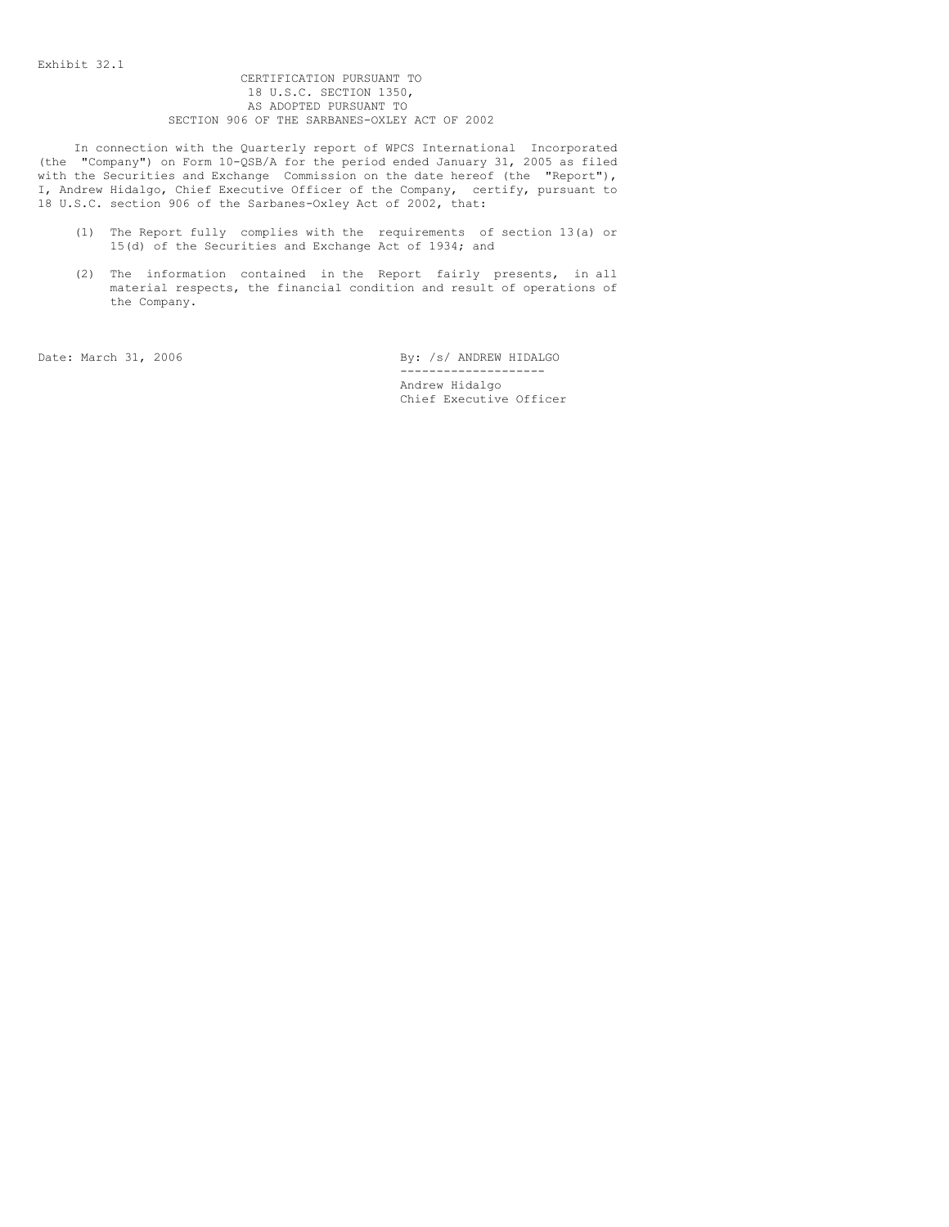# CERTIFICATION PURSUANT TO 18 U.S.C. SECTION 1350, AS ADOPTED PURSUANT TO SECTION 906 OF THE SARBANES-OXLEY ACT OF 2002

In connection with the Quarterly report of WPCS International Incorporated (the "Company") on Form 10-QSB/A for the period ended January 31, 2005 as filed with the Securities and Exchange Commission on the date hereof (the "Report"), I, Andrew Hidalgo, Chief Executive Officer of the Company, certify, pursuant to 18 U.S.C. section 906 of the Sarbanes-Oxley Act of 2002, that:

- (1) The Report fully complies with the requirements of section 13(a) or 15(d) of the Securities and Exchange Act of 1934; and
- (2) The information contained in the Report fairly presents, in all material respects, the financial condition and result of operations of the Company.

Date: March 31, 2006 By: /s/ ANDREW HIDALGO -------------------- Andrew Hidalgo Chief Executive Officer